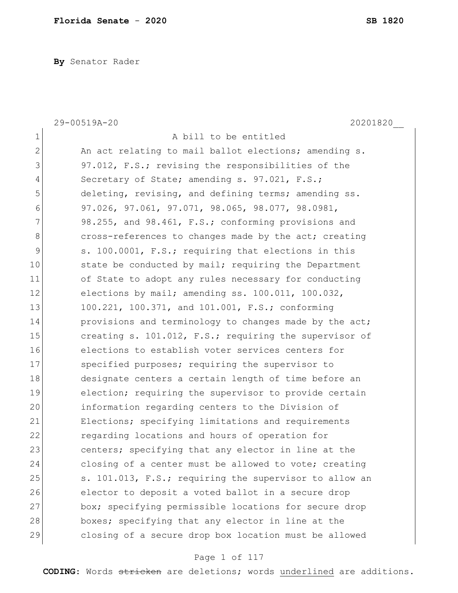**By** Senator Rader

| $\mathbf 1$<br>A bill to be entitled<br>$\overline{2}$<br>An act relating to mail ballot elections; amending s.<br>3<br>97.012, F.S.; revising the responsibilities of the<br>4<br>Secretary of State; amending s. 97.021, F.S.;<br>5<br>deleting, revising, and defining terms; amending ss.<br>6<br>97.026, 97.061, 97.071, 98.065, 98.077, 98.0981,<br>7<br>98.255, and 98.461, F.S.; conforming provisions and<br>8<br>cross-references to changes made by the act; creating<br>9<br>s. 100.0001, F.S.; requiring that elections in this<br>10<br>state be conducted by mail; requiring the Department<br>11<br>of State to adopt any rules necessary for conducting<br>12<br>elections by mail; amending ss. 100.011, 100.032,<br>13<br>100.221, 100.371, and 101.001, F.S.; conforming<br>14<br>provisions and terminology to changes made by the act;<br>15<br>creating s. 101.012, F.S.; requiring the supervisor of<br>16<br>elections to establish voter services centers for<br>17<br>specified purposes; requiring the supervisor to<br>18<br>designate centers a certain length of time before an<br>19<br>election; requiring the supervisor to provide certain<br>20<br>information regarding centers to the Division of<br>21<br>Elections; specifying limitations and requirements<br>22<br>regarding locations and hours of operation for<br>23<br>centers; specifying that any elector in line at the<br>24<br>closing of a center must be allowed to vote; creating<br>25<br>s. 101.013, F.S.; requiring the supervisor to allow an<br>26<br>elector to deposit a voted ballot in a secure drop<br>27<br>box; specifying permissible locations for secure drop<br>28<br>boxes; specifying that any elector in line at the<br>29<br>closing of a secure drop box location must be allowed | 20201820<br>29-00519A-20 |
|--------------------------------------------------------------------------------------------------------------------------------------------------------------------------------------------------------------------------------------------------------------------------------------------------------------------------------------------------------------------------------------------------------------------------------------------------------------------------------------------------------------------------------------------------------------------------------------------------------------------------------------------------------------------------------------------------------------------------------------------------------------------------------------------------------------------------------------------------------------------------------------------------------------------------------------------------------------------------------------------------------------------------------------------------------------------------------------------------------------------------------------------------------------------------------------------------------------------------------------------------------------------------------------------------------------------------------------------------------------------------------------------------------------------------------------------------------------------------------------------------------------------------------------------------------------------------------------------------------------------------------------------------------------------------------------------------------------------------------------------------------------------------------------------------------------|--------------------------|
|                                                                                                                                                                                                                                                                                                                                                                                                                                                                                                                                                                                                                                                                                                                                                                                                                                                                                                                                                                                                                                                                                                                                                                                                                                                                                                                                                                                                                                                                                                                                                                                                                                                                                                                                                                                                              |                          |
|                                                                                                                                                                                                                                                                                                                                                                                                                                                                                                                                                                                                                                                                                                                                                                                                                                                                                                                                                                                                                                                                                                                                                                                                                                                                                                                                                                                                                                                                                                                                                                                                                                                                                                                                                                                                              |                          |
|                                                                                                                                                                                                                                                                                                                                                                                                                                                                                                                                                                                                                                                                                                                                                                                                                                                                                                                                                                                                                                                                                                                                                                                                                                                                                                                                                                                                                                                                                                                                                                                                                                                                                                                                                                                                              |                          |
|                                                                                                                                                                                                                                                                                                                                                                                                                                                                                                                                                                                                                                                                                                                                                                                                                                                                                                                                                                                                                                                                                                                                                                                                                                                                                                                                                                                                                                                                                                                                                                                                                                                                                                                                                                                                              |                          |
|                                                                                                                                                                                                                                                                                                                                                                                                                                                                                                                                                                                                                                                                                                                                                                                                                                                                                                                                                                                                                                                                                                                                                                                                                                                                                                                                                                                                                                                                                                                                                                                                                                                                                                                                                                                                              |                          |
|                                                                                                                                                                                                                                                                                                                                                                                                                                                                                                                                                                                                                                                                                                                                                                                                                                                                                                                                                                                                                                                                                                                                                                                                                                                                                                                                                                                                                                                                                                                                                                                                                                                                                                                                                                                                              |                          |
|                                                                                                                                                                                                                                                                                                                                                                                                                                                                                                                                                                                                                                                                                                                                                                                                                                                                                                                                                                                                                                                                                                                                                                                                                                                                                                                                                                                                                                                                                                                                                                                                                                                                                                                                                                                                              |                          |
|                                                                                                                                                                                                                                                                                                                                                                                                                                                                                                                                                                                                                                                                                                                                                                                                                                                                                                                                                                                                                                                                                                                                                                                                                                                                                                                                                                                                                                                                                                                                                                                                                                                                                                                                                                                                              |                          |
|                                                                                                                                                                                                                                                                                                                                                                                                                                                                                                                                                                                                                                                                                                                                                                                                                                                                                                                                                                                                                                                                                                                                                                                                                                                                                                                                                                                                                                                                                                                                                                                                                                                                                                                                                                                                              |                          |
|                                                                                                                                                                                                                                                                                                                                                                                                                                                                                                                                                                                                                                                                                                                                                                                                                                                                                                                                                                                                                                                                                                                                                                                                                                                                                                                                                                                                                                                                                                                                                                                                                                                                                                                                                                                                              |                          |
|                                                                                                                                                                                                                                                                                                                                                                                                                                                                                                                                                                                                                                                                                                                                                                                                                                                                                                                                                                                                                                                                                                                                                                                                                                                                                                                                                                                                                                                                                                                                                                                                                                                                                                                                                                                                              |                          |
|                                                                                                                                                                                                                                                                                                                                                                                                                                                                                                                                                                                                                                                                                                                                                                                                                                                                                                                                                                                                                                                                                                                                                                                                                                                                                                                                                                                                                                                                                                                                                                                                                                                                                                                                                                                                              |                          |
|                                                                                                                                                                                                                                                                                                                                                                                                                                                                                                                                                                                                                                                                                                                                                                                                                                                                                                                                                                                                                                                                                                                                                                                                                                                                                                                                                                                                                                                                                                                                                                                                                                                                                                                                                                                                              |                          |
|                                                                                                                                                                                                                                                                                                                                                                                                                                                                                                                                                                                                                                                                                                                                                                                                                                                                                                                                                                                                                                                                                                                                                                                                                                                                                                                                                                                                                                                                                                                                                                                                                                                                                                                                                                                                              |                          |
|                                                                                                                                                                                                                                                                                                                                                                                                                                                                                                                                                                                                                                                                                                                                                                                                                                                                                                                                                                                                                                                                                                                                                                                                                                                                                                                                                                                                                                                                                                                                                                                                                                                                                                                                                                                                              |                          |
|                                                                                                                                                                                                                                                                                                                                                                                                                                                                                                                                                                                                                                                                                                                                                                                                                                                                                                                                                                                                                                                                                                                                                                                                                                                                                                                                                                                                                                                                                                                                                                                                                                                                                                                                                                                                              |                          |
|                                                                                                                                                                                                                                                                                                                                                                                                                                                                                                                                                                                                                                                                                                                                                                                                                                                                                                                                                                                                                                                                                                                                                                                                                                                                                                                                                                                                                                                                                                                                                                                                                                                                                                                                                                                                              |                          |
|                                                                                                                                                                                                                                                                                                                                                                                                                                                                                                                                                                                                                                                                                                                                                                                                                                                                                                                                                                                                                                                                                                                                                                                                                                                                                                                                                                                                                                                                                                                                                                                                                                                                                                                                                                                                              |                          |
|                                                                                                                                                                                                                                                                                                                                                                                                                                                                                                                                                                                                                                                                                                                                                                                                                                                                                                                                                                                                                                                                                                                                                                                                                                                                                                                                                                                                                                                                                                                                                                                                                                                                                                                                                                                                              |                          |
|                                                                                                                                                                                                                                                                                                                                                                                                                                                                                                                                                                                                                                                                                                                                                                                                                                                                                                                                                                                                                                                                                                                                                                                                                                                                                                                                                                                                                                                                                                                                                                                                                                                                                                                                                                                                              |                          |
|                                                                                                                                                                                                                                                                                                                                                                                                                                                                                                                                                                                                                                                                                                                                                                                                                                                                                                                                                                                                                                                                                                                                                                                                                                                                                                                                                                                                                                                                                                                                                                                                                                                                                                                                                                                                              |                          |
|                                                                                                                                                                                                                                                                                                                                                                                                                                                                                                                                                                                                                                                                                                                                                                                                                                                                                                                                                                                                                                                                                                                                                                                                                                                                                                                                                                                                                                                                                                                                                                                                                                                                                                                                                                                                              |                          |
|                                                                                                                                                                                                                                                                                                                                                                                                                                                                                                                                                                                                                                                                                                                                                                                                                                                                                                                                                                                                                                                                                                                                                                                                                                                                                                                                                                                                                                                                                                                                                                                                                                                                                                                                                                                                              |                          |
|                                                                                                                                                                                                                                                                                                                                                                                                                                                                                                                                                                                                                                                                                                                                                                                                                                                                                                                                                                                                                                                                                                                                                                                                                                                                                                                                                                                                                                                                                                                                                                                                                                                                                                                                                                                                              |                          |
|                                                                                                                                                                                                                                                                                                                                                                                                                                                                                                                                                                                                                                                                                                                                                                                                                                                                                                                                                                                                                                                                                                                                                                                                                                                                                                                                                                                                                                                                                                                                                                                                                                                                                                                                                                                                              |                          |
|                                                                                                                                                                                                                                                                                                                                                                                                                                                                                                                                                                                                                                                                                                                                                                                                                                                                                                                                                                                                                                                                                                                                                                                                                                                                                                                                                                                                                                                                                                                                                                                                                                                                                                                                                                                                              |                          |
|                                                                                                                                                                                                                                                                                                                                                                                                                                                                                                                                                                                                                                                                                                                                                                                                                                                                                                                                                                                                                                                                                                                                                                                                                                                                                                                                                                                                                                                                                                                                                                                                                                                                                                                                                                                                              |                          |
|                                                                                                                                                                                                                                                                                                                                                                                                                                                                                                                                                                                                                                                                                                                                                                                                                                                                                                                                                                                                                                                                                                                                                                                                                                                                                                                                                                                                                                                                                                                                                                                                                                                                                                                                                                                                              |                          |
|                                                                                                                                                                                                                                                                                                                                                                                                                                                                                                                                                                                                                                                                                                                                                                                                                                                                                                                                                                                                                                                                                                                                                                                                                                                                                                                                                                                                                                                                                                                                                                                                                                                                                                                                                                                                              |                          |

# Page 1 of 117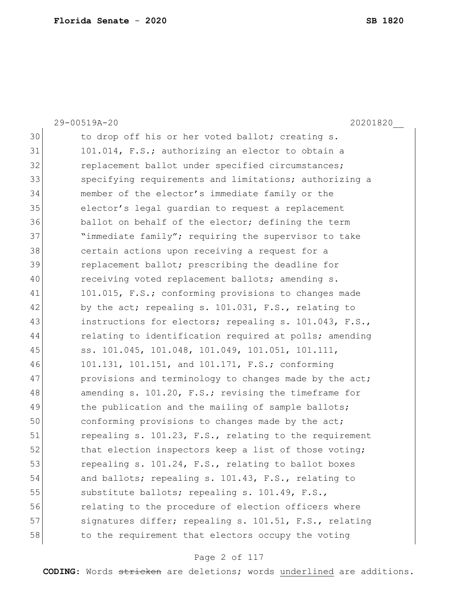|    | 29-00519A-20<br>20201820                               |
|----|--------------------------------------------------------|
| 30 | to drop off his or her voted ballot; creating s.       |
| 31 | 101.014, F.S.; authorizing an elector to obtain a      |
| 32 | replacement ballot under specified circumstances;      |
| 33 | specifying requirements and limitations; authorizing a |
| 34 | member of the elector's immediate family or the        |
| 35 | elector's legal quardian to request a replacement      |
| 36 | ballot on behalf of the elector; defining the term     |
| 37 | "immediate family"; requiring the supervisor to take   |
| 38 | certain actions upon receiving a request for a         |
| 39 | replacement ballot; prescribing the deadline for       |
| 40 | receiving voted replacement ballots; amending s.       |
| 41 | 101.015, F.S.; conforming provisions to changes made   |
| 42 | by the act; repealing s. 101.031, F.S., relating to    |
| 43 | instructions for electors; repealing s. 101.043, F.S., |
| 44 | relating to identification required at polls; amending |
| 45 | ss. 101.045, 101.048, 101.049, 101.051, 101.111,       |
| 46 | 101.131, 101.151, and 101.171, F.S.; conforming        |
| 47 | provisions and terminology to changes made by the act; |
| 48 | amending s. 101.20, F.S.; revising the timeframe for   |
| 49 | the publication and the mailing of sample ballots;     |
| 50 | conforming provisions to changes made by the act;      |
| 51 | repealing s. 101.23, F.S., relating to the requirement |
| 52 | that election inspectors keep a list of those voting;  |
| 53 | repealing s. 101.24, F.S., relating to ballot boxes    |
| 54 | and ballots; repealing s. 101.43, F.S., relating to    |
| 55 | substitute ballots; repealing s. 101.49, F.S.,         |
| 56 | relating to the procedure of election officers where   |
| 57 | signatures differ; repealing s. 101.51, F.S., relating |
| 58 | to the requirement that electors occupy the voting     |

# Page 2 of 117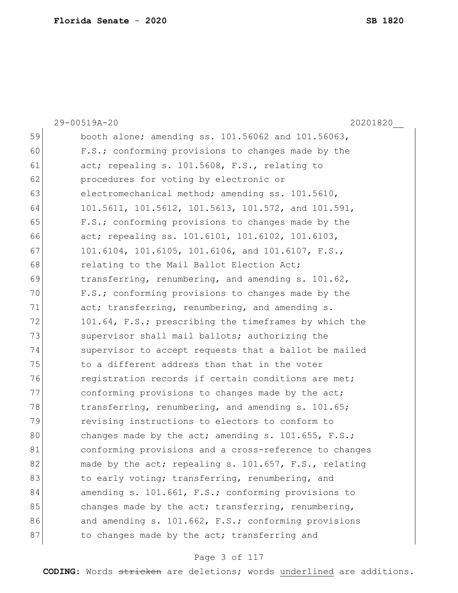|    | 29-00519A-20<br>20201820                               |
|----|--------------------------------------------------------|
| 59 | booth alone; amending ss. 101.56062 and 101.56063,     |
| 60 | F.S.; conforming provisions to changes made by the     |
| 61 | act; repealing s. 101.5608, F.S., relating to          |
| 62 | procedures for voting by electronic or                 |
| 63 | electromechanical method; amending ss. 101.5610,       |
| 64 | 101.5611, 101.5612, 101.5613, 101.572, and 101.591,    |
| 65 | F.S.; conforming provisions to changes made by the     |
| 66 | act; repealing ss. 101.6101, 101.6102, 101.6103,       |
| 67 | 101.6104, 101.6105, 101.6106, and 101.6107, F.S.,      |
| 68 | relating to the Mail Ballot Election Act;              |
| 69 | transferring, renumbering, and amending s. 101.62,     |
| 70 | F.S.; conforming provisions to changes made by the     |
| 71 | act; transferring, renumbering, and amending s.        |
| 72 | 101.64, F.S.; prescribing the timeframes by which the  |
| 73 | supervisor shall mail ballots; authorizing the         |
| 74 | supervisor to accept requests that a ballot be mailed  |
| 75 | to a different address than that in the voter          |
| 76 | registration records if certain conditions are met;    |
| 77 | conforming provisions to changes made by the act;      |
| 78 | transferring, renumbering, and amending s. 101.65;     |
| 79 | revising instructions to electors to conform to        |
| 80 | changes made by the act; amending s. $101.655$ , F.S.; |
| 81 | conforming provisions and a cross-reference to changes |
| 82 | made by the act; repealing s. 101.657, F.S., relating  |
| 83 | to early voting; transferring, renumbering, and        |
| 84 | amending s. 101.661, F.S.; conforming provisions to    |
| 85 | changes made by the act; transferring, renumbering,    |
| 86 | and amending s. 101.662, F.S.; conforming provisions   |
| 87 | to changes made by the act; transferring and           |

# Page 3 of 117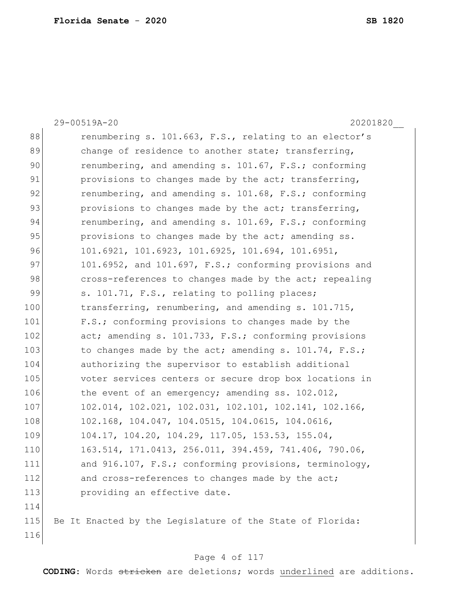116

29-00519A-20 20201820\_\_ 88 renumbering s. 101.663, F.S., relating to an elector's 89 change of residence to another state; transferring, 90 renumbering, and amending s. 101.67, F.S.; conforming 91 provisions to changes made by the act; transferring, 92 renumbering, and amending s. 101.68, F.S.; conforming 93 provisions to changes made by the act; transferring, 94 renumbering, and amending s. 101.69, F.S.; conforming 95 provisions to changes made by the act; amending ss. 96 101.6921, 101.6923, 101.6925, 101.694, 101.6951, 97 101.6952, and 101.697, F.S.; conforming provisions and 98 cross-references to changes made by the act; repealing 99 s. 101.71, F.S., relating to polling places; 100 transferring, renumbering, and amending s. 101.715, 101 F.S.; conforming provisions to changes made by the 102 act; amending s. 101.733, F.S.; conforming provisions 103 to changes made by the act; amending s. 101.74, F.S.; 104 authorizing the supervisor to establish additional 105 voter services centers or secure drop box locations in 106 the event of an emergency; amending ss. 102.012, 107 102.014, 102.021, 102.031, 102.101, 102.141, 102.166, 108 102.168, 104.047, 104.0515, 104.0615, 104.0616, 109 104.17, 104.20, 104.29, 117.05, 153.53, 155.04, 110 163.514, 171.0413, 256.011, 394.459, 741.406, 790.06, 111 and 916.107, F.S.; conforming provisions, terminology, 112 and cross-references to changes made by the act; 113 **providing an effective date.** 114 115 Be It Enacted by the Legislature of the State of Florida:

### Page 4 of 117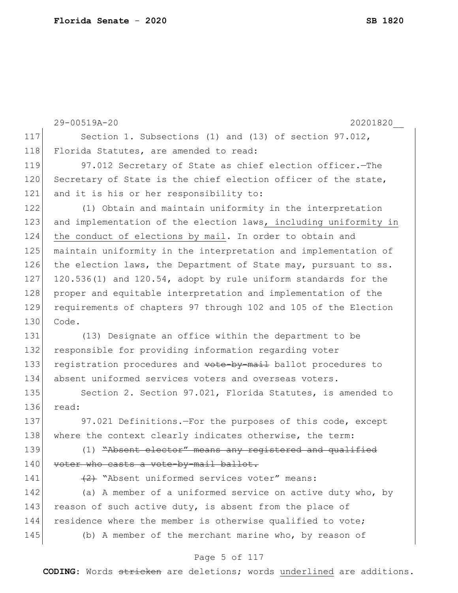|     | 29-00519A-20<br>20201820                                         |
|-----|------------------------------------------------------------------|
| 117 | Section 1. Subsections (1) and (13) of section 97.012,           |
| 118 | Florida Statutes, are amended to read:                           |
| 119 | 97.012 Secretary of State as chief election officer. - The       |
| 120 | Secretary of State is the chief election officer of the state,   |
| 121 | and it is his or her responsibility to:                          |
| 122 | (1) Obtain and maintain uniformity in the interpretation         |
| 123 | and implementation of the election laws, including uniformity in |
| 124 | the conduct of elections by mail. In order to obtain and         |
| 125 | maintain uniformity in the interpretation and implementation of  |
| 126 | the election laws, the Department of State may, pursuant to ss.  |
| 127 | 120.536(1) and 120.54, adopt by rule uniform standards for the   |
| 128 | proper and equitable interpretation and implementation of the    |
| 129 | requirements of chapters 97 through 102 and 105 of the Election  |
| 130 | Code.                                                            |
| 131 | (13) Designate an office within the department to be             |
| 132 | responsible for providing information regarding voter            |
| 133 | registration procedures and vote-by-mail ballot procedures to    |
| 134 | absent uniformed services voters and overseas voters.            |
| 135 | Section 2. Section 97.021, Florida Statutes, is amended to       |
| 136 | read:                                                            |
| 137 | 97.021 Definitions.-For the purposes of this code, except        |
| 138 | where the context clearly indicates otherwise, the term:         |
| 139 | (1) "Absent elector" means any registered and qualified          |
| 140 | voter who casts a vote-by-mail ballot.                           |
| 141 | (2) "Absent uniformed services voter" means:                     |
| 142 | (a) A member of a uniformed service on active duty who, by       |
| 143 | reason of such active duty, is absent from the place of          |
| 144 | residence where the member is otherwise qualified to vote;       |
| 145 | (b) A member of the merchant marine who, by reason of            |
|     |                                                                  |

# Page 5 of 117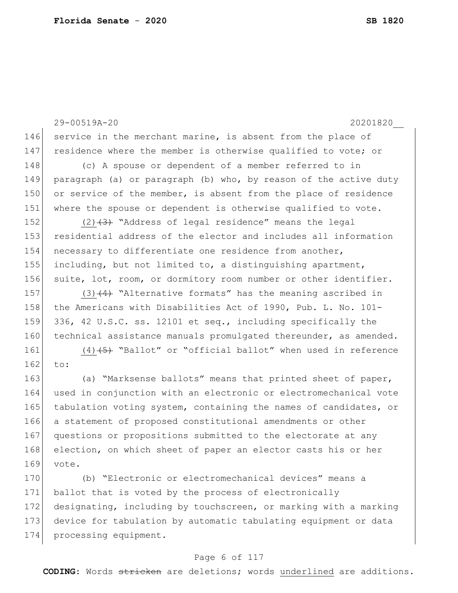29-00519A-20 20201820\_\_ 146 service in the merchant marine, is absent from the place of 147 residence where the member is otherwise qualified to vote; or 148 (c) A spouse or dependent of a member referred to in 149 paragraph (a) or paragraph (b) who, by reason of the active duty 150 or service of the member, is absent from the place of residence 151 where the spouse or dependent is otherwise qualified to vote. 152  $(2)$   $(3)$  "Address of legal residence" means the legal 153 residential address of the elector and includes all information 154 necessary to differentiate one residence from another, 155 including, but not limited to, a distinguishing apartment, 156 suite, lot, room, or dormitory room number or other identifier. 157 (3) $(4)$  "Alternative formats" has the meaning ascribed in 158 the Americans with Disabilities Act of 1990, Pub. L. No. 101-159 336, 42 U.S.C. ss. 12101 et seq., including specifically the 160 technical assistance manuals promulgated thereunder, as amended. 161  $(4)$   $(5)$  "Ballot" or "official ballot" when used in reference  $162$  to: 163 (a) "Marksense ballots" means that printed sheet of paper, 164 used in conjunction with an electronic or electromechanical vote 165 tabulation voting system, containing the names of candidates, or 166 a statement of proposed constitutional amendments or other 167 questions or propositions submitted to the electorate at any 168 election, on which sheet of paper an elector casts his or her 169 vote. 170 (b) "Electronic or electromechanical devices" means a 171 ballot that is voted by the process of electronically 172 designating, including by touchscreen, or marking with a marking 173 device for tabulation by automatic tabulating equipment or data 174 processing equipment.

## Page 6 of 117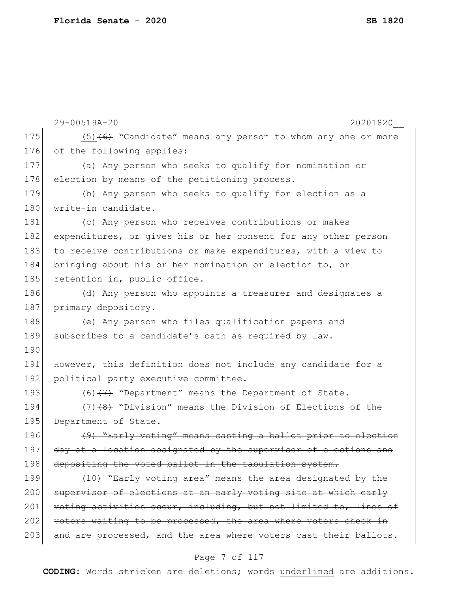|     | 29-00519A-20<br>20201820                                         |
|-----|------------------------------------------------------------------|
| 175 | $(5)$ +6+ "Candidate" means any person to whom any one or more   |
| 176 | of the following applies:                                        |
| 177 | (a) Any person who seeks to qualify for nomination or            |
| 178 | election by means of the petitioning process.                    |
| 179 | (b) Any person who seeks to qualify for election as a            |
| 180 | write-in candidate.                                              |
| 181 | (c) Any person who receives contributions or makes               |
| 182 | expenditures, or gives his or her consent for any other person   |
| 183 | to receive contributions or make expenditures, with a view to    |
| 184 | bringing about his or her nomination or election to, or          |
| 185 | retention in, public office.                                     |
| 186 | (d) Any person who appoints a treasurer and designates a         |
| 187 | primary depository.                                              |
| 188 | (e) Any person who files qualification papers and                |
| 189 | subscribes to a candidate's oath as required by law.             |
| 190 |                                                                  |
| 191 | However, this definition does not include any candidate for a    |
| 192 | political party executive committee.                             |
| 193 | $(6)$ $(7)$ "Department" means the Department of State.          |
| 194 | $(7)$ $(8)$ "Division" means the Division of Elections of the    |
| 195 | Department of State.                                             |
| 196 | (9) "Early voting" means casting a ballot prior to election      |
| 197 | day at a location designated by the supervisor of elections and  |
| 198 | depositing the voted ballot in the tabulation system.            |
| 199 | (10) "Early voting area" means the area designated by the        |
| 200 | supervisor of elections at an early voting site at which early   |
| 201 | voting activities occur, including, but not limited to, lines of |
| 202 | voters waiting to be processed, the area where voters check in   |
| 203 | and are processed, and the area where voters cast their ballots. |

# Page 7 of 117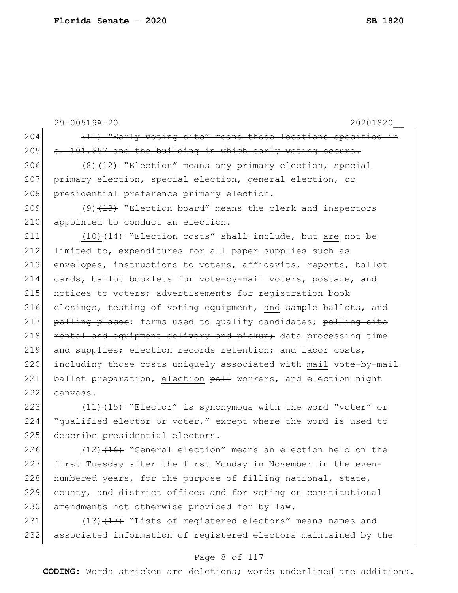|     | 29-00519A-20<br>20201820                                         |
|-----|------------------------------------------------------------------|
| 204 | (11) "Early voting site" means those locations specified in      |
| 205 | s. 101.657 and the building in which early voting occurs.        |
| 206 | $(8)$ $(12)$ "Election" means any primary election, special      |
| 207 | primary election, special election, general election, or         |
| 208 | presidential preference primary election.                        |
| 209 | $(9)$ $(13)$ "Election board" means the clerk and inspectors     |
| 210 | appointed to conduct an election.                                |
| 211 | $(10)$ $(14)$ "Election costs" shall include, but are not be     |
| 212 | limited to, expenditures for all paper supplies such as          |
| 213 | envelopes, instructions to voters, affidavits, reports, ballot   |
| 214 | cards, ballot booklets for vote-by-mail voters, postage, and     |
| 215 | notices to voters; advertisements for registration book          |
| 216 | closings, testing of voting equipment, and sample ballots, and   |
| 217 | polling places; forms used to qualify candidates; polling site   |
| 218 | rental and equipment delivery and pickup; data processing time   |
| 219 | and supplies; election records retention; and labor costs,       |
| 220 | including those costs uniquely associated with mail vote-by-mail |
| 221 | ballot preparation, election poll workers, and election night    |
| 222 | canvass.                                                         |
| 223 | $(11)$ $(15)$ "Elector" is synonymous with the word "voter" or   |
| 224 | "qualified elector or voter," except where the word is used to   |
| 225 | describe presidential electors.                                  |

226  $(12)$   $(16)$  "General election" means an election held on the 227 first Tuesday after the first Monday in November in the even-228 | numbered years, for the purpose of filling national, state, 229 county, and district offices and for voting on constitutional 230 amendments not otherwise provided for by law.

231 (13)<sup>(17)</sup> "Lists of registered electors" means names and 232 associated information of registered electors maintained by the

## Page 8 of 117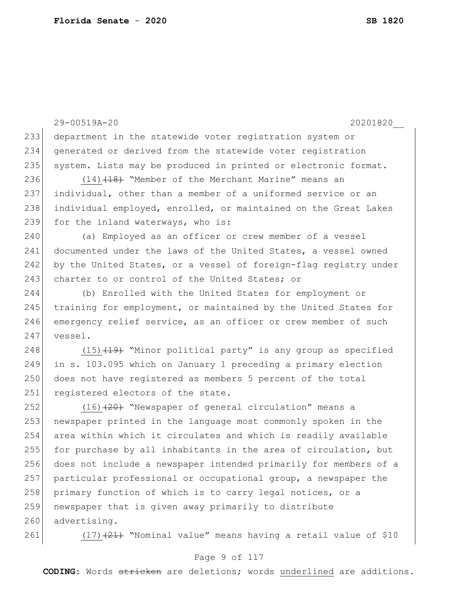29-00519A-20 20201820\_\_ 233 department in the statewide voter registration system or 234 generated or derived from the statewide voter registration 235 system. Lists may be produced in printed or electronic format. 236 (14)<del>(18)</del> "Member of the Merchant Marine" means an 237 individual, other than a member of a uniformed service or an 238 individual employed, enrolled, or maintained on the Great Lakes 239 for the inland waterways, who is: 240 (a) Employed as an officer or crew member of a vessel 241 documented under the laws of the United States, a vessel owned 242 by the United States, or a vessel of foreign-flag registry under 243 charter to or control of the United States; or 244 (b) Enrolled with the United States for employment or 245 training for employment, or maintained by the United States for 246 emergency relief service, as an officer or crew member of such 247 vessel. 248 (15)<del>(19)</del> "Minor political party" is any group as specified 249 in s. 103.095 which on January 1 preceding a primary election 250 does not have registered as members 5 percent of the total 251 registered electors of the state. 252 (16)<del>(20)</del> "Newspaper of general circulation" means a 253 newspaper printed in the language most commonly spoken in the 254 area within which it circulates and which is readily available 255 for purchase by all inhabitants in the area of circulation, but 256 does not include a newspaper intended primarily for members of a 257 particular professional or occupational group, a newspaper the 258 primary function of which is to carry legal notices, or a 259 newspaper that is given away primarily to distribute 260 advertising. 261  $(17)$   $(21)$  "Nominal value" means having a retail value of \$10

## Page 9 of 117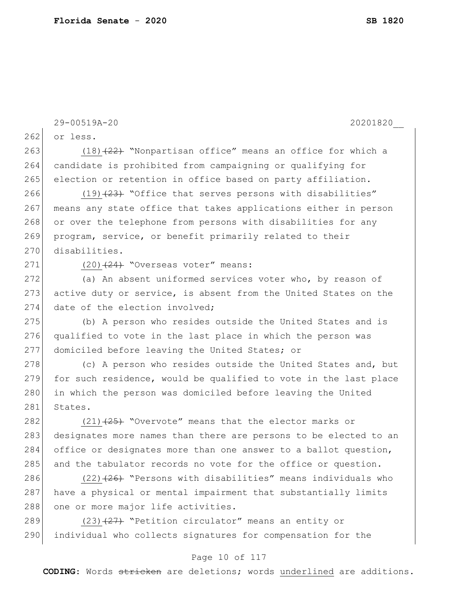29-00519A-20 20201820\_\_ 262 or less. 263 (18)<del>(22)</del> "Nonpartisan office" means an office for which a 264 candidate is prohibited from campaigning or qualifying for 265 election or retention in office based on party affiliation. 266 (19) (23) "Office that serves persons with disabilities" 267 means any state office that takes applications either in person 268 or over the telephone from persons with disabilities for any 269 program, service, or benefit primarily related to their 270 disabilities.  $271$  (20)<del>(24)</del> "Overseas voter" means: 272 (a) An absent uniformed services voter who, by reason of 273 active duty or service, is absent from the United States on the 274 date of the election involved; 275 (b) A person who resides outside the United States and is 276 qualified to vote in the last place in which the person was 277 domiciled before leaving the United States; or 278 (c) A person who resides outside the United States and, but 279 for such residence, would be qualified to vote in the last place 280 in which the person was domiciled before leaving the United 281 States. 282  $(21)$   $(25)$  "Overvote" means that the elector marks or 283 designates more names than there are persons to be elected to an 284 office or designates more than one answer to a ballot question, 285 and the tabulator records no vote for the office or question. 286 (22)<del>(26)</del> "Persons with disabilities" means individuals who 287 have a physical or mental impairment that substantially limits 288 one or more major life activities. 289 (23) (27) "Petition circulator" means an entity or 290 individual who collects signatures for compensation for the

## Page 10 of 117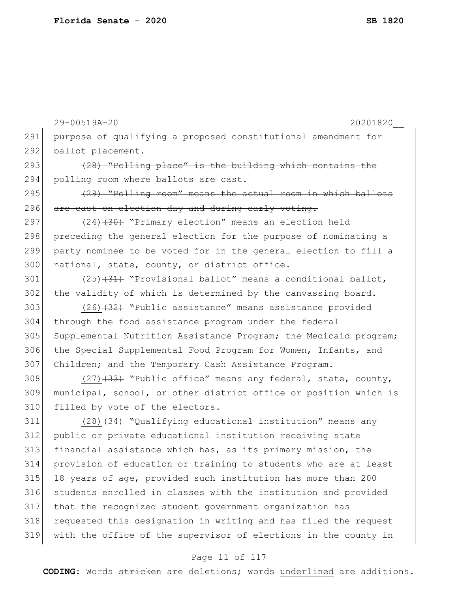29-00519A-20 20201820\_\_ 291 purpose of qualifying a proposed constitutional amendment for 292 ballot placement.  $293$  (28) "Polling place" is the building which contains the 294 polling room where ballots are cast. 295  $(295)$  "Polling room" means the actual room in which ballots 296 are cast on election day and during early voting. 297 (24)<del>(30)</del> "Primary election" means an election held 298 preceding the general election for the purpose of nominating a 299 party nominee to be voted for in the general election to fill a 300 national, state, county, or district office. 301  $(25)$   $(31)$  "Provisional ballot" means a conditional ballot, 302 the validity of which is determined by the canvassing board. 303 (26)<del>(32)</del> "Public assistance" means assistance provided 304 through the food assistance program under the federal 305 Supplemental Nutrition Assistance Program; the Medicaid program; 306 the Special Supplemental Food Program for Women, Infants, and 307 Children; and the Temporary Cash Assistance Program. 308  $(27)$   $(33)$  "Public office" means any federal, state, county, 309 municipal, school, or other district office or position which is 310 filled by vote of the electors. 311 (28)<del>(34)</del> "Qualifying educational institution" means any 312 public or private educational institution receiving state 313 financial assistance which has, as its primary mission, the 314 provision of education or training to students who are at least 315 18 years of age, provided such institution has more than 200 316 students enrolled in classes with the institution and provided 317 that the recognized student government organization has 318 requested this designation in writing and has filed the request 319 with the office of the supervisor of elections in the county in

## Page 11 of 117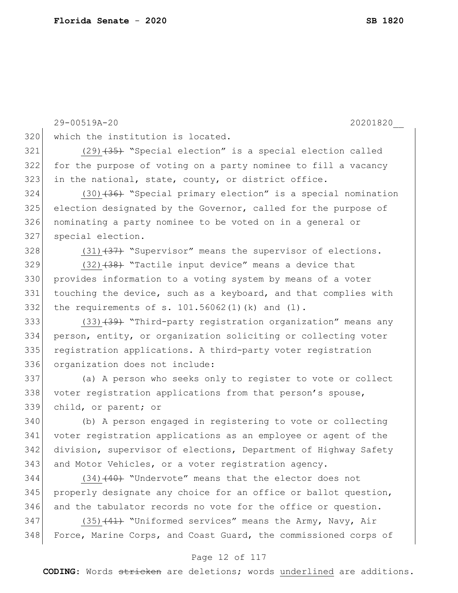29-00519A-20 20201820\_\_ 320 which the institution is located. (29)<del>(35)</del> "Special election" is a special election called for the purpose of voting on a party nominee to fill a vacancy in the national, state, county, or district office. (30)<del>(36)</del> "Special primary election" is a special nomination election designated by the Governor, called for the purpose of nominating a party nominee to be voted on in a general or special election.  $(31)$   $(37)$  "Supervisor" means the supervisor of elections. (32) $(34)$  "Tactile input device" means a device that provides information to a voting system by means of a voter touching the device, such as a keyboard, and that complies with 332 the requirements of s.  $101.56062(1)(k)$  and  $(l)$ . 333 (33)<del>(39)</del> "Third-party registration organization" means any person, entity, or organization soliciting or collecting voter 335 registration applications. A third-party voter registration organization does not include: 337 (a) A person who seeks only to register to vote or collect 338 voter registration applications from that person's spouse, child, or parent; or (b) A person engaged in registering to vote or collecting voter registration applications as an employee or agent of the division, supervisor of elections, Department of Highway Safety 343 and Motor Vehicles, or a voter registration agency. (34) $(40)$  "Undervote" means that the elector does not 345 properly designate any choice for an office or ballot question, and the tabulator records no vote for the office or question. 347 (35)<del>(41)</del> "Uniformed services" means the Army, Navy, Air 348 Force, Marine Corps, and Coast Guard, the commissioned corps of

### Page 12 of 117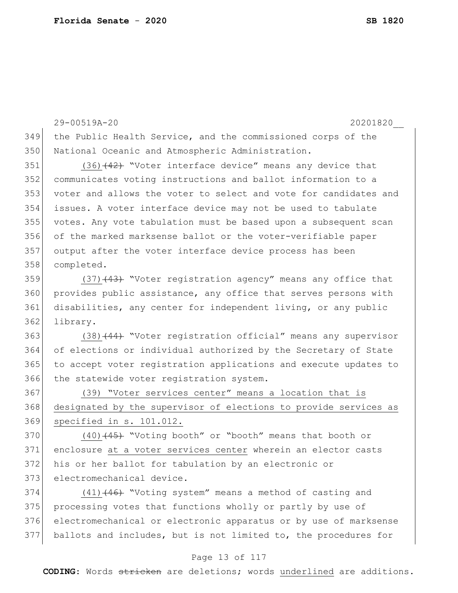29-00519A-20 20201820\_\_ the Public Health Service, and the commissioned corps of the National Oceanic and Atmospheric Administration. (36) $(42)$  "Voter interface device" means any device that communicates voting instructions and ballot information to a voter and allows the voter to select and vote for candidates and issues. A voter interface device may not be used to tabulate votes. Any vote tabulation must be based upon a subsequent scan of the marked marksense ballot or the voter-verifiable paper output after the voter interface device process has been completed.

359 (37)<del>(43)</del> "Voter registration agency" means any office that provides public assistance, any office that serves persons with disabilities, any center for independent living, or any public 362 library.

363 (38)<del>(44)</del> "Voter registration official" means any supervisor of elections or individual authorized by the Secretary of State to accept voter registration applications and execute updates to 366 the statewide voter registration system.

 (39) "Voter services center" means a location that is designated by the supervisor of elections to provide services as specified in s. 101.012.

370 (40)<del>(45)</del> "Voting booth" or "booth" means that booth or enclosure at a voter services center wherein an elector casts his or her ballot for tabulation by an electronic or 373 electromechanical device.

 $(41)$   $(46)$  "Voting system" means a method of casting and 375 processing votes that functions wholly or partly by use of electromechanical or electronic apparatus or by use of marksense ballots and includes, but is not limited to, the procedures for

#### Page 13 of 117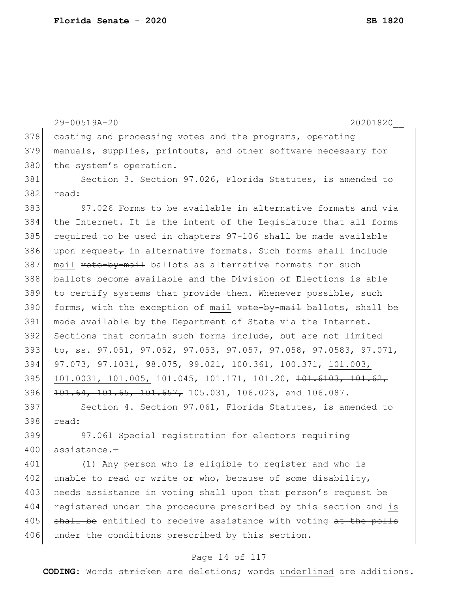29-00519A-20 20201820\_\_ 378 casting and processing votes and the programs, operating 379 manuals, supplies, printouts, and other software necessary for 380 the system's operation. 381 Section 3. Section 97.026, Florida Statutes, is amended to 382 read: 383 97.026 Forms to be available in alternative formats and via 384 the Internet.—It is the intent of the Legislature that all forms 385 required to be used in chapters 97-106 shall be made available 386 upon request $_{\tau}$  in alternative formats. Such forms shall include 387 mail vote-by-mail ballots as alternative formats for such 388 ballots become available and the Division of Elections is able 389 to certify systems that provide them. Whenever possible, such 390 forms, with the exception of mail vote-by-mail ballots, shall be 391 made available by the Department of State via the Internet. 392 Sections that contain such forms include, but are not limited 393 to, ss. 97.051, 97.052, 97.053, 97.057, 97.058, 97.0583, 97.071, 394 97.073, 97.1031, 98.075, 99.021, 100.361, 100.371, 101.003, 395 101.0031, 101.005, 101.045, 101.171, 101.20, <del>101.6103, 101.62,</del> 396 <del>101.64, 101.65, 101.657,</del> 105.031, 106.023, and 106.087. 397 Section 4. Section 97.061, Florida Statutes, is amended to 398 read: 399 97.061 Special registration for electors requiring 400 assistance.-401 (1) Any person who is eligible to register and who is 402 unable to read or write or who, because of some disability, 403 needs assistance in voting shall upon that person's request be 404 registered under the procedure prescribed by this section and is 405 shall be entitled to receive assistance with voting at the polls 406 under the conditions prescribed by this section.

## Page 14 of 117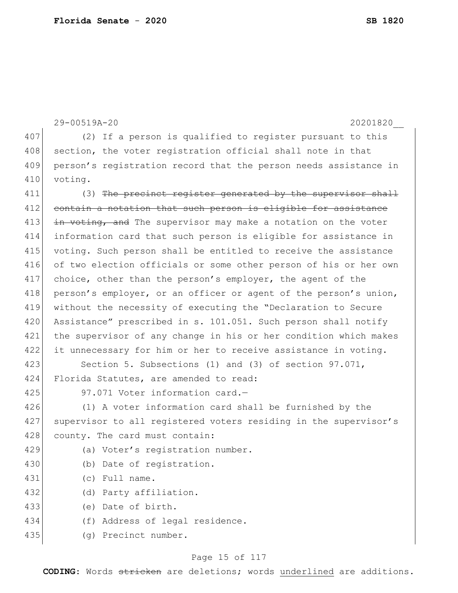|     | 29-00519A-20<br>20201820                                         |
|-----|------------------------------------------------------------------|
| 407 | (2) If a person is qualified to register pursuant to this        |
| 408 | section, the voter registration official shall note in that      |
| 409 | person's registration record that the person needs assistance in |
| 410 | voting.                                                          |
| 411 | (3) The precinct register generated by the supervisor shall      |
| 412 | contain a notation that such person is eligible for assistance   |
| 413 | in voting, and The supervisor may make a notation on the voter   |
| 414 | information card that such person is eligible for assistance in  |
| 415 | voting. Such person shall be entitled to receive the assistance  |
| 416 | of two election officials or some other person of his or her own |
| 417 | choice, other than the person's employer, the agent of the       |
| 418 | person's employer, or an officer or agent of the person's union, |
| 419 | without the necessity of executing the "Declaration to Secure    |
| 420 | Assistance" prescribed in s. 101.051. Such person shall notify   |
| 421 | the supervisor of any change in his or her condition which makes |
| 422 | it unnecessary for him or her to receive assistance in voting.   |
| 423 | Section 5. Subsections (1) and (3) of section 97.071,            |
| 424 | Florida Statutes, are amended to read:                           |
| 425 | 97.071 Voter information card.-                                  |
| 426 | (1) A voter information card shall be furnished by the           |
| 427 | supervisor to all registered voters residing in the supervisor's |
| 428 | county. The card must contain:                                   |
| 429 | (a) Voter's registration number.                                 |
| 430 | (b) Date of registration.                                        |
| 431 | (c) Full name.                                                   |
| 432 | (d) Party affiliation.                                           |
| 433 | (e) Date of birth.                                               |
| 434 | (f) Address of legal residence.                                  |
| 435 | (q) Precinct number.                                             |

# Page 15 of 117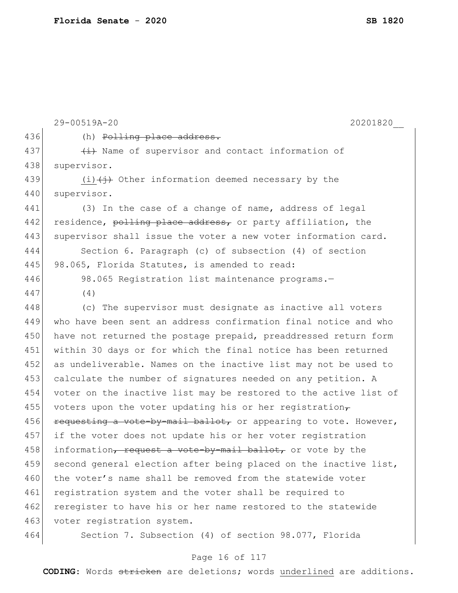```
29-00519A-20 20201820__
436 (h) Polling place address.
437 \leftarrow + \leftarrow Name of supervisor and contact information of
438 supervisor.
439 (i) (i) Other information deemed necessary by the
440 supervisor.
441 (3) In the case of a change of name, address of legal 
442 residence, polling place address, or party affiliation, the
443 supervisor shall issue the voter a new voter information card.
444 Section 6. Paragraph (c) of subsection (4) of section 
445 98.065, Florida Statutes, is amended to read:
446 98.065 Registration list maintenance programs.-
447 (4)
448 (c) The supervisor must designate as inactive all voters 
449 who have been sent an address confirmation final notice and who 
450 have not returned the postage prepaid, preaddressed return form
451 within 30 days or for which the final notice has been returned 
452 as undeliverable. Names on the inactive list may not be used to 
453 calculate the number of signatures needed on any petition. A
454 voter on the inactive list may be restored to the active list of 
455 voters upon the voter updating his or her registration_{\tau}456 requesting a vote-by-mail ballot, or appearing to vote. However,
457 if the voter does not update his or her voter registration 
458 information, request a vote-by-mail ballot, or vote by the
459 second general election after being placed on the inactive list,
460 the voter's name shall be removed from the statewide voter
461 registration system and the voter shall be required to
462 reregister to have his or her name restored to the statewide
463 voter registration system.
464 Section 7. Subsection (4) of section 98.077, Florida
```
## Page 16 of 117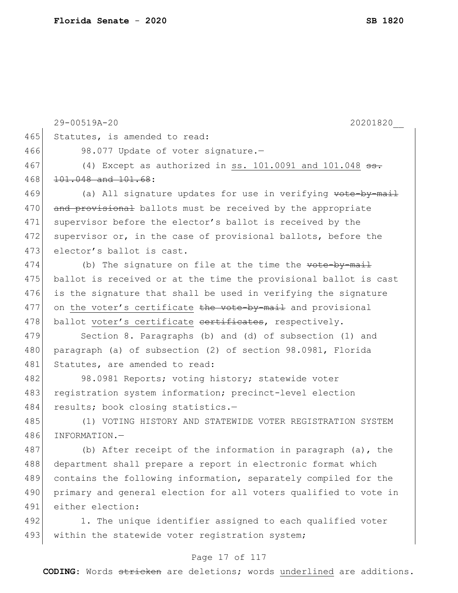|     | 29-00519A-20<br>20201820                                         |
|-----|------------------------------------------------------------------|
| 465 | Statutes, is amended to read:                                    |
| 466 | 98.077 Update of voter signature.-                               |
| 467 | (4) Except as authorized in ss. $101.0091$ and $101.048$ ss.     |
| 468 | 101.048 and 101.68:                                              |
| 469 | (a) All signature updates for use in verifying vote-by-mail      |
| 470 | and provisional ballots must be received by the appropriate      |
| 471 | supervisor before the elector's ballot is received by the        |
| 472 | supervisor or, in the case of provisional ballots, before the    |
| 473 | elector's ballot is cast.                                        |
| 474 | (b) The signature on file at the time the vote-by-mail           |
| 475 | ballot is received or at the time the provisional ballot is cast |
| 476 | is the signature that shall be used in verifying the signature   |
| 477 | on the voter's certificate the vote-by-mail and provisional      |
| 478 | ballot voter's certificate certificates, respectively.           |
| 479 | Section 8. Paragraphs (b) and (d) of subsection (1) and          |
| 480 | paragraph (a) of subsection (2) of section 98.0981, Florida      |
| 481 | Statutes, are amended to read:                                   |
| 482 | 98.0981 Reports; voting history; statewide voter                 |
| 483 | registration system information; precinct-level election         |
| 484 | results; book closing statistics.-                               |
| 485 | (1) VOTING HISTORY AND STATEWIDE VOTER REGISTRATION SYSTEM       |
| 486 | INFORMATION.-                                                    |
| 487 | (b) After receipt of the information in paragraph (a), the       |
| 488 | department shall prepare a report in electronic format which     |
| 489 | contains the following information, separately compiled for the  |
| 490 | primary and general election for all voters qualified to vote in |
| 491 | either election:                                                 |
| 492 | 1. The unique identifier assigned to each qualified voter        |
| 493 | within the statewide voter registration system;                  |
|     |                                                                  |

# Page 17 of 117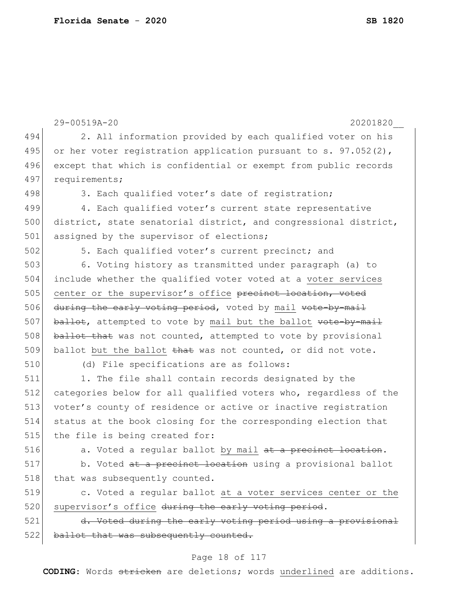```
29-00519A-20 20201820__
                             Page 18 of 117
494 2. All information provided by each qualified voter on his 
495 or her voter registration application pursuant to s. 97.052(2),
496 except that which is confidential or exempt from public records
497 requirements;
498 3. Each qualified voter's date of registration;
499 4. Each qualified voter's current state representative
500 district, state senatorial district, and congressional district,
501 assigned by the supervisor of elections;
502 5. Each qualified voter's current precinct; and
503 6. Voting history as transmitted under paragraph (a) to 
504 include whether the qualified voter voted at a voter services 
505 center or the supervisor's office precinct location, voted
506 during the early voting period, voted by mail vote-by-mail
507 ballot, attempted to vote by mail but the ballot \text{vote-by-mail}508 ballot that was not counted, attempted to vote by provisional
509 ballot but the ballot \frac{1}{2} was not counted, or did not vote.
510 (d) File specifications are as follows:
511 1. The file shall contain records designated by the
512 categories below for all qualified voters who, regardless of the 
513 voter's county of residence or active or inactive registration 
514 status at the book closing for the corresponding election that 
515 the file is being created for:
516 \vert a. Voted a regular ballot by mail at a precinct location.
517 b. Voted at a precinct location using a provisional ballot
518 | that was subsequently counted.
519 c. Voted a regular ballot at a voter services center or the 
520 supervisor's office during the early voting period.
521 d. Voted during the early voting period using a provisional
522 ballot that was subsequently counted.
```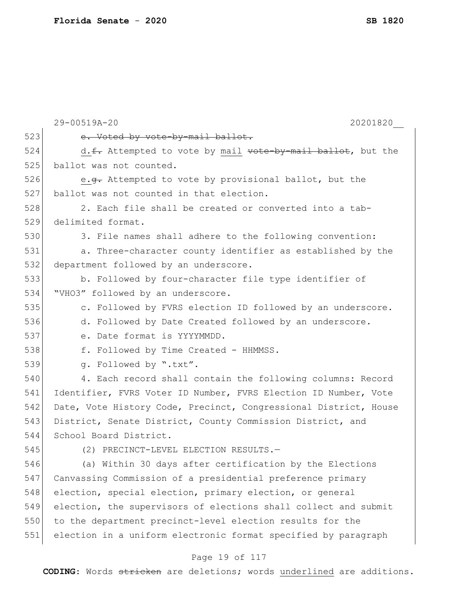|     | 29-00519A-20<br>20201820                                         |
|-----|------------------------------------------------------------------|
| 523 | e. Voted by vote-by-mail ballot.                                 |
| 524 | d. f. Attempted to vote by mail vote-by-mail ballot, but the     |
| 525 | ballot was not counted.                                          |
| 526 | e.g. Attempted to vote by provisional ballot, but the            |
| 527 | ballot was not counted in that election.                         |
| 528 | 2. Each file shall be created or converted into a tab-           |
| 529 | delimited format.                                                |
| 530 | 3. File names shall adhere to the following convention:          |
| 531 | a. Three-character county identifier as established by the       |
| 532 | department followed by an underscore.                            |
| 533 | b. Followed by four-character file type identifier of            |
| 534 | "VHO3" followed by an underscore.                                |
| 535 | c. Followed by FVRS election ID followed by an underscore.       |
| 536 | d. Followed by Date Created followed by an underscore.           |
| 537 | e. Date format is YYYYMMDD.                                      |
| 538 | f. Followed by Time Created - HHMMSS.                            |
| 539 | q. Followed by ".txt".                                           |
| 540 | 4. Each record shall contain the following columns: Record       |
| 541 | Identifier, FVRS Voter ID Number, FVRS Election ID Number, Vote  |
| 542 | Date, Vote History Code, Precinct, Congressional District, House |
| 543 | District, Senate District, County Commission District, and       |
| 544 | School Board District.                                           |
| 545 | (2) PRECINCT-LEVEL ELECTION RESULTS.-                            |
| 546 | (a) Within 30 days after certification by the Elections          |
| 547 | Canvassing Commission of a presidential preference primary       |
| 548 | election, special election, primary election, or general         |
| 549 | election, the supervisors of elections shall collect and submit  |
| 550 | to the department precinct-level election results for the        |
| 551 | election in a uniform electronic format specified by paragraph   |
|     | Page 19 of 117                                                   |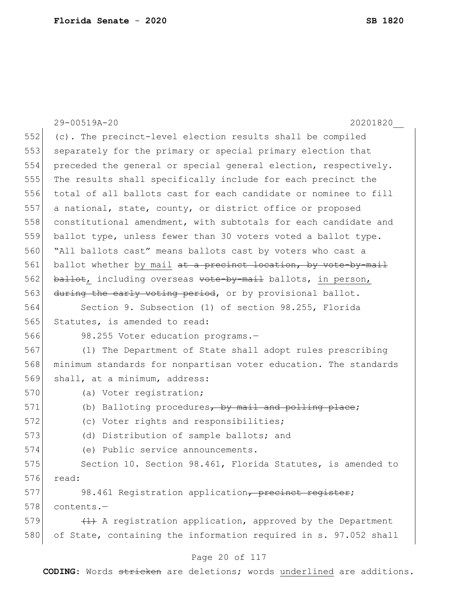| 29-00519A-20<br>20201820                                         |
|------------------------------------------------------------------|
| (c). The precinct-level election results shall be compiled       |
| separately for the primary or special primary election that      |
|                                                                  |
| preceded the general or special general election, respectively.  |
| The results shall specifically include for each precinct the     |
| total of all ballots cast for each candidate or nominee to fill  |
| a national, state, county, or district office or proposed        |
| constitutional amendment, with subtotals for each candidate and  |
| ballot type, unless fewer than 30 voters voted a ballot type.    |
| "All ballots cast" means ballots cast by voters who cast a       |
| ballot whether by mail at a precinct location, by vote-by-mail   |
| ballot, including overseas vote-by-mail ballots, in person,      |
| during the early voting period, or by provisional ballot.        |
| Section 9. Subsection (1) of section 98.255, Florida             |
| Statutes, is amended to read:                                    |
| 98.255 Voter education programs.-                                |
| (1) The Department of State shall adopt rules prescribing        |
| minimum standards for nonpartisan voter education. The standards |
| shall, at a minimum, address:                                    |
| (a) Voter registration;                                          |
| (b) Balloting procedures, by mail and polling place;             |
| (c) Voter rights and responsibilities;                           |
| (d) Distribution of sample ballots; and                          |
| (e) Public service announcements.                                |
| Section 10. Section 98.461, Florida Statutes, is amended to      |
| read:                                                            |
| 98.461 Registration application, precinct register;              |
| contents.-                                                       |
| $(1)$ A registration application, approved by the Department     |
| of State, containing the information required in s. 97.052 shall |
|                                                                  |
|                                                                  |

## Page 20 of 117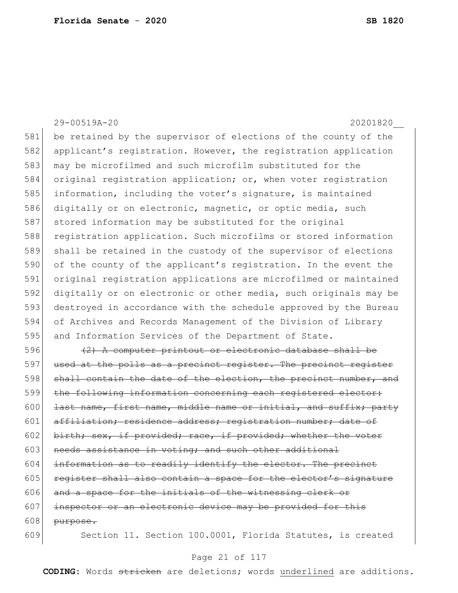29-00519A-20 20201820\_\_ 581 be retained by the supervisor of elections of the county of the 582 applicant's registration. However, the registration application 583 may be microfilmed and such microfilm substituted for the 584 original registration application; or, when voter registration 585 information, including the voter's signature, is maintained 586 digitally or on electronic, magnetic, or optic media, such 587 stored information may be substituted for the original 588 registration application. Such microfilms or stored information 589 shall be retained in the custody of the supervisor of elections 590 of the county of the applicant's registration. In the event the 591 original registration applications are microfilmed or maintained 592 digitally or on electronic or other media, such originals may be 593 destroyed in accordance with the schedule approved by the Bureau 594 of Archives and Records Management of the Division of Library 595 and Information Services of the Department of State. 596  $(2)$  A computer printout or electronic database shall be 597 used at the polls as a precinct register. The precinct register 598 shall contain the date of the election, the precinct number, and 599 the following information concerning each registered elector: 600 **last name, first name, middle name or initial, and suffix; party** 601 affiliation; residence address; registration number; date of 602 birth; sex, if provided; race, if provided; whether the voter 603 needs assistance in voting; and such other additional 604 information as to readily identify the elector. The precinct  $605$  register shall also contain a space for the elector's signature  $606$  and a space for the initials of the witnessing clerk or 607 inspector or an electronic device may be provided for this  $608$  purpose.

609 Section 11. Section 100.0001, Florida Statutes, is created

## Page 21 of 117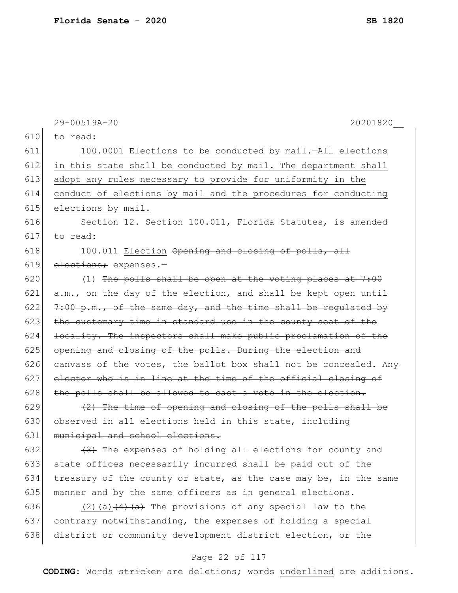|     | 29-00519A-20<br>20201820                                                           |
|-----|------------------------------------------------------------------------------------|
| 610 | to read:                                                                           |
| 611 | 100.0001 Elections to be conducted by mail.-All elections                          |
| 612 | in this state shall be conducted by mail. The department shall                     |
| 613 | adopt any rules necessary to provide for uniformity in the                         |
| 614 | conduct of elections by mail and the procedures for conducting                     |
| 615 | elections by mail.                                                                 |
| 616 | Section 12. Section 100.011, Florida Statutes, is amended                          |
| 617 | to read:                                                                           |
| 618 | 100.011 Election Opening and closing of polls, all                                 |
| 619 | elections; expenses.-                                                              |
| 620 | (1) The polls shall be open at the voting places at $7:00$                         |
| 621 | a.m., on the day of the election, and shall be kept open until                     |
| 622 | $7:00$ p.m., of the same day, and the time shall be regulated by                   |
| 623 | the customary time in standard use in the county seat of the                       |
| 624 | locality. The inspectors shall make public proclamation of the                     |
| 625 | opening and closing of the polls. During the election and                          |
| 626 | eanvass of the votes, the ballot box shall not be concealed. Any                   |
| 627 | elector who is in line at the time of the official closing of                      |
| 628 | the polls shall be allowed to cast a vote in the election.                         |
| 629 | (2) The time of opening and closing of the polls shall be                          |
| 630 | observed in all elections held in this state, including                            |
| 631 | municipal and school elections.                                                    |
| 632 | (3) The expenses of holding all elections for county and                           |
| 633 | state offices necessarily incurred shall be paid out of the                        |
| 634 | treasury of the county or state, as the case may be, in the same                   |
| 635 | manner and by the same officers as in general elections.                           |
| 636 | (2) (a) $\left(4\right)$ $\left(4\right)$ The provisions of any special law to the |
| 637 | contrary notwithstanding, the expenses of holding a special                        |
| 638 | district or community development district election, or the                        |

# Page 22 of 117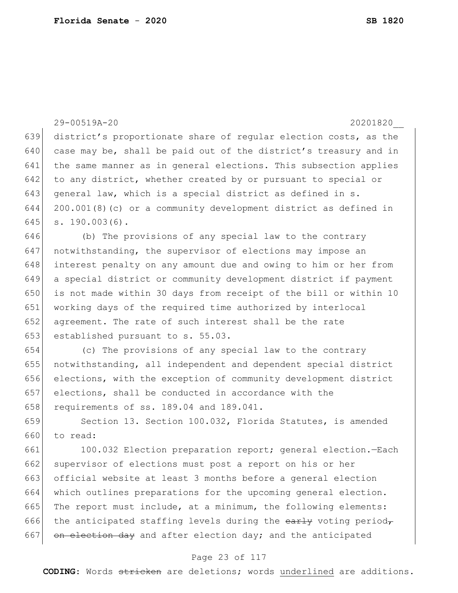|     | 29-00519A-20<br>20201820                                         |
|-----|------------------------------------------------------------------|
| 639 | district's proportionate share of regular election costs, as the |
| 640 | case may be, shall be paid out of the district's treasury and in |
| 641 | the same manner as in general elections. This subsection applies |
| 642 | to any district, whether created by or pursuant to special or    |
| 643 | general law, which is a special district as defined in s.        |
| 644 | 200.001(8)(c) or a community development district as defined in  |
| 645 | $s. 190.003(6)$ .                                                |
| 646 | (b) The provisions of any special law to the contrary            |
| 647 | notwithstanding, the supervisor of elections may impose an       |
| 648 | interest penalty on any amount due and owing to him or her from  |
| 649 | a special district or community development district if payment  |
| 650 | is not made within 30 days from receipt of the bill or within 10 |
| 651 | working days of the required time authorized by interlocal       |
| 652 | agreement. The rate of such interest shall be the rate           |
| 653 | established pursuant to s. 55.03.                                |
| 654 | (c) The provisions of any special law to the contrary            |
| 655 | notwithstanding, all independent and dependent special district  |
| 656 | elections, with the exception of community development district  |
| 657 | elections, shall be conducted in accordance with the             |
| 658 | requirements of ss. 189.04 and 189.041.                          |
| 659 | Section 13. Section 100.032, Florida Statutes, is amended        |
| 660 | to read:                                                         |
| 661 | 100.032 Election preparation report; general election. -Each     |
| 662 | supervisor of elections must post a report on his or her         |
| 663 | official website at least 3 months before a general election     |
| 664 | which outlines preparations for the upcoming general election.   |
| 665 | The report must include, at a minimum, the following elements:   |
| 666 | the anticipated staffing levels during the early voting period,  |
| 667 | on election day and after election day; and the anticipated      |
|     | Page 23 of 117                                                   |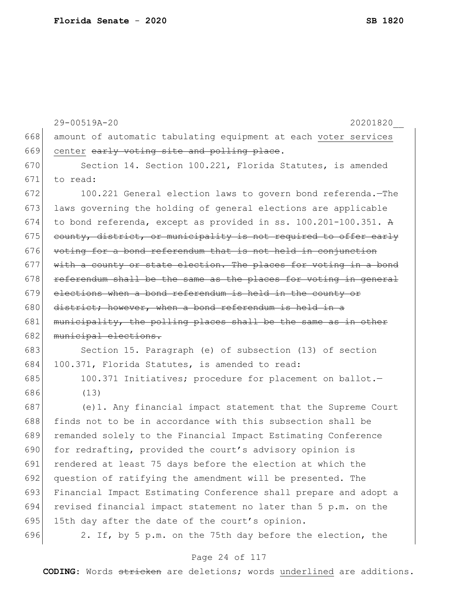|     | 29-00519A-20<br>20201820                                         |
|-----|------------------------------------------------------------------|
| 668 | amount of automatic tabulating equipment at each voter services  |
| 669 | center early voting site and polling place.                      |
| 670 | Section 14. Section 100.221, Florida Statutes, is amended        |
| 671 | to read:                                                         |
| 672 | 100.221 General election laws to govern bond referenda.-The      |
| 673 | laws governing the holding of general elections are applicable   |
| 674 | to bond referenda, except as provided in ss. 100.201-100.351. A  |
| 675 | county, district, or municipality is not required to offer early |
| 676 | voting for a bond referendum that is not held in conjunction     |
| 677 | with a county or state election. The places for voting in a bond |
| 678 | referendum shall be the same as the places for voting in general |
| 679 | elections when a bond referendum is held in the county or        |
| 680 | district; however, when a bond referendum is held in a           |
| 681 | municipality, the polling places shall be the same as in other   |
| 682 | municipal elections.                                             |
| 683 | Section 15. Paragraph (e) of subsection (13) of section          |
| 684 | 100.371, Florida Statutes, is amended to read:                   |
| 685 | 100.371 Initiatives; procedure for placement on ballot.-         |
| 686 | (13)                                                             |
| 687 | (e)1. Any financial impact statement that the Supreme Court      |
| 688 | finds not to be in accordance with this subsection shall be      |
| 689 | remanded solely to the Financial Impact Estimating Conference    |
| 690 | for redrafting, provided the court's advisory opinion is         |
| 691 | rendered at least 75 days before the election at which the       |
| 692 | question of ratifying the amendment will be presented. The       |
| 693 | Financial Impact Estimating Conference shall prepare and adopt a |
| 694 | revised financial impact statement no later than 5 p.m. on the   |
| 695 | 15th day after the date of the court's opinion.                  |
| 696 | 2. If, by 5 p.m. on the 75th day before the election, the        |
|     |                                                                  |

Page 24 of 117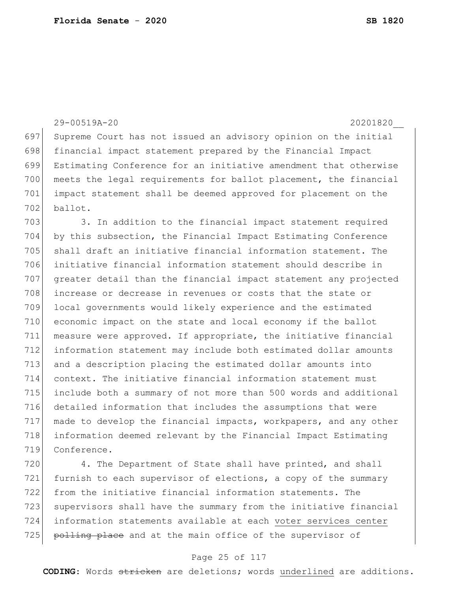29-00519A-20 20201820\_\_ Supreme Court has not issued an advisory opinion on the initial financial impact statement prepared by the Financial Impact Estimating Conference for an initiative amendment that otherwise 700 meets the legal requirements for ballot placement, the financial impact statement shall be deemed approved for placement on the ballot. 703 3. In addition to the financial impact statement required by this subsection, the Financial Impact Estimating Conference shall draft an initiative financial information statement. The initiative financial information statement should describe in greater detail than the financial impact statement any projected 708 increase or decrease in revenues or costs that the state or local governments would likely experience and the estimated economic impact on the state and local economy if the ballot measure were approved. If appropriate, the initiative financial information statement may include both estimated dollar amounts and a description placing the estimated dollar amounts into context. The initiative financial information statement must include both a summary of not more than 500 words and additional detailed information that includes the assumptions that were made to develop the financial impacts, workpapers, and any other information deemed relevant by the Financial Impact Estimating Conference.

720 4. The Department of State shall have printed, and shall furnish to each supervisor of elections, a copy of the summary from the initiative financial information statements. The supervisors shall have the summary from the initiative financial information statements available at each voter services center 725 polling place and at the main office of the supervisor of

## Page 25 of 117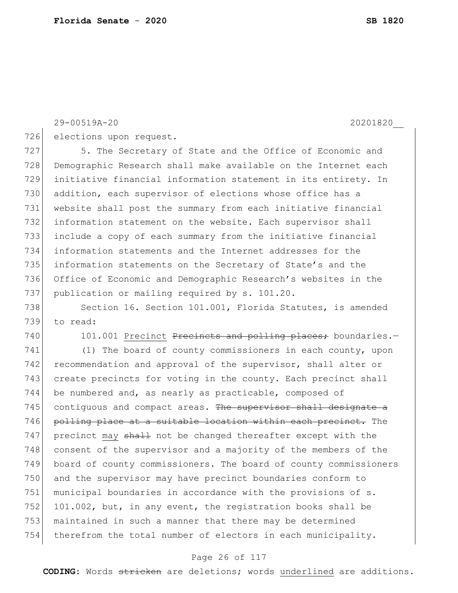29-00519A-20 20201820\_\_

726 elections upon request.

727 5. The Secretary of State and the Office of Economic and Demographic Research shall make available on the Internet each initiative financial information statement in its entirety. In 730 addition, each supervisor of elections whose office has a website shall post the summary from each initiative financial 732 information statement on the website. Each supervisor shall include a copy of each summary from the initiative financial information statements and the Internet addresses for the information statements on the Secretary of State's and the Office of Economic and Demographic Research's websites in the 737 publication or mailing required by s. 101.20.

738 Section 16. Section 101.001, Florida Statutes, is amended 739 to read:

740 101.001 Precinct Precincts and polling places; boundaries.-

741 (1) The board of county commissioners in each county, upon 742 recommendation and approval of the supervisor, shall alter or 743 create precincts for voting in the county. Each precinct shall 744 be numbered and, as nearly as practicable, composed of 745 contiguous and compact areas. The supervisor shall designate a 746 polling place at a suitable location within each precinct. The 747 precinct may shall not be changed thereafter except with the 748 consent of the supervisor and a majority of the members of the 749 board of county commissioners. The board of county commissioners 750 and the supervisor may have precinct boundaries conform to 751 municipal boundaries in accordance with the provisions of s. 752 101.002, but, in any event, the registration books shall be 753 maintained in such a manner that there may be determined 754 therefrom the total number of electors in each municipality.

## Page 26 of 117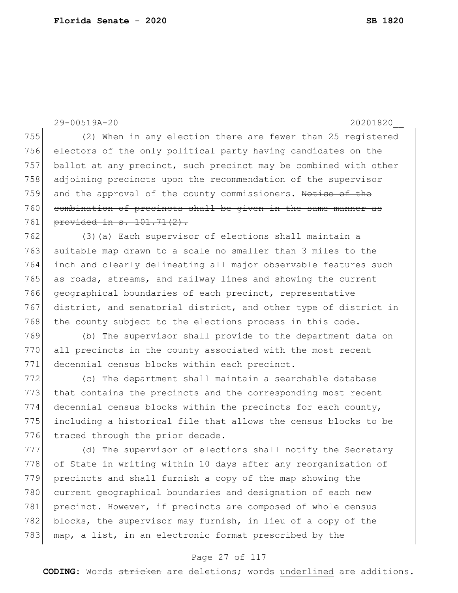29-00519A-20 20201820\_\_ 755 (2) When in any election there are fewer than 25 registered 756 electors of the only political party having candidates on the 757 ballot at any precinct, such precinct may be combined with other 758 adjoining precincts upon the recommendation of the supervisor 759 and the approval of the county commissioners. Notice of the 760 combination of precincts shall be given in the same manner as 761 provided in s. 101.71(2). 762 (3)(a) Each supervisor of elections shall maintain a 763 suitable map drawn to a scale no smaller than 3 miles to the 764 inch and clearly delineating all major observable features such 765 as roads, streams, and railway lines and showing the current 766 geographical boundaries of each precinct, representative 767 district, and senatorial district, and other type of district in  $768$  the county subject to the elections process in this code. 769 (b) The supervisor shall provide to the department data on 770 all precincts in the county associated with the most recent 771 decennial census blocks within each precinct. 772 (c) The department shall maintain a searchable database 773 that contains the precincts and the corresponding most recent 774 decennial census blocks within the precincts for each county, 775 including a historical file that allows the census blocks to be 776 traced through the prior decade. 777 (d) The supervisor of elections shall notify the Secretary 778 of State in writing within 10 days after any reorganization of 779 precincts and shall furnish a copy of the map showing the 780 current geographical boundaries and designation of each new 781 precinct. However, if precincts are composed of whole census 782 blocks, the supervisor may furnish, in lieu of a copy of the 783 map, a list, in an electronic format prescribed by the

## Page 27 of 117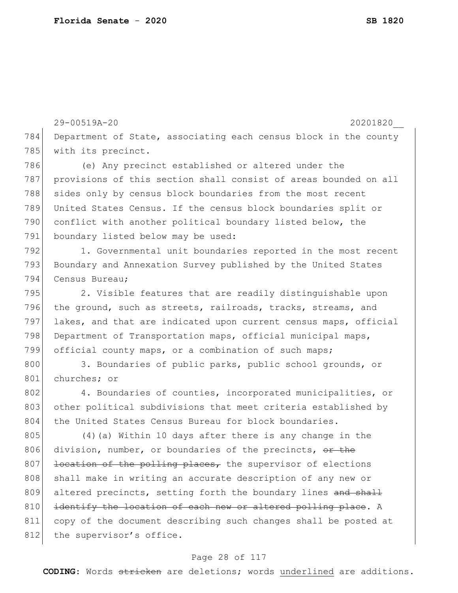29-00519A-20 20201820\_\_ 784 Department of State, associating each census block in the county 785 with its precinct. 786 (e) Any precinct established or altered under the 787 provisions of this section shall consist of areas bounded on all 788 sides only by census block boundaries from the most recent 789 United States Census. If the census block boundaries split or 790 conflict with another political boundary listed below, the 791 boundary listed below may be used: 792 1. Governmental unit boundaries reported in the most recent 793 Boundary and Annexation Survey published by the United States 794 Census Bureau; 795 2. Visible features that are readily distinguishable upon 796 the ground, such as streets, railroads, tracks, streams, and 797 lakes, and that are indicated upon current census maps, official 798 Department of Transportation maps, official municipal maps, 799 official county maps, or a combination of such maps; 800 3. Boundaries of public parks, public school grounds, or 801 churches; or 802 4. Boundaries of counties, incorporated municipalities, or 803 other political subdivisions that meet criteria established by 804 the United States Census Bureau for block boundaries. 805 (4) (a) Within 10 days after there is any change in the 806 division, number, or boundaries of the precincts, or the  $807$  location of the polling places, the supervisor of elections 808 shall make in writing an accurate description of any new or 809 altered precincts, setting forth the boundary lines and shall 810 identify the location of each new or altered polling place. A 811 copy of the document describing such changes shall be posted at 812 the supervisor's office.

## Page 28 of 117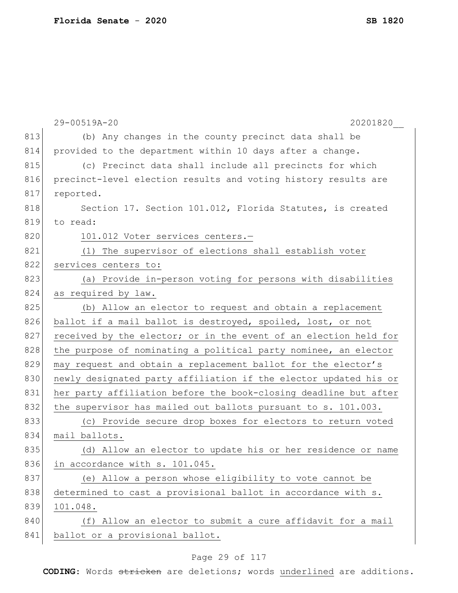|     | 29-00519A-20<br>20201820                                         |
|-----|------------------------------------------------------------------|
| 813 | (b) Any changes in the county precinct data shall be             |
| 814 | provided to the department within 10 days after a change.        |
| 815 | (c) Precinct data shall include all precincts for which          |
| 816 | precinct-level election results and voting history results are   |
| 817 | reported.                                                        |
| 818 | Section 17. Section 101.012, Florida Statutes, is created        |
| 819 | to read:                                                         |
| 820 | 101.012 Voter services centers.-                                 |
| 821 | The supervisor of elections shall establish voter<br>(1)         |
| 822 | services centers to:                                             |
| 823 | (a) Provide in-person voting for persons with disabilities       |
| 824 | as required by law.                                              |
| 825 | (b) Allow an elector to request and obtain a replacement         |
| 826 | ballot if a mail ballot is destroyed, spoiled, lost, or not      |
| 827 | received by the elector; or in the event of an election held for |
| 828 | the purpose of nominating a political party nominee, an elector  |
| 829 | may request and obtain a replacement ballot for the elector's    |
| 830 | newly designated party affiliation if the elector updated his or |
| 831 | her party affiliation before the book-closing deadline but after |
| 832 | the supervisor has mailed out ballots pursuant to s. 101.003.    |
| 833 | (c) Provide secure drop boxes for electors to return voted       |
| 834 | mail ballots.                                                    |
| 835 | (d) Allow an elector to update his or her residence or name      |
| 836 | in accordance with s. 101.045.                                   |
| 837 | (e) Allow a person whose eligibility to vote cannot be           |
| 838 | determined to cast a provisional ballot in accordance with s.    |
| 839 | 101.048.                                                         |
| 840 | Allow an elector to submit a cure affidavit for a mail<br>(f)    |
| 841 | ballot or a provisional ballot.                                  |
|     |                                                                  |

# Page 29 of 117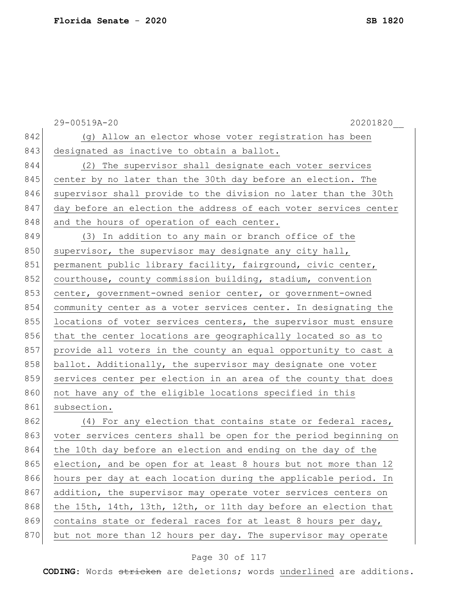|     | 29-00519A-20<br>20201820                                         |
|-----|------------------------------------------------------------------|
| 842 | (g) Allow an elector whose voter registration has been           |
| 843 | designated as inactive to obtain a ballot.                       |
| 844 | (2) The supervisor shall designate each voter services           |
| 845 | center by no later than the 30th day before an election. The     |
| 846 | supervisor shall provide to the division no later than the 30th  |
| 847 | day before an election the address of each voter services center |
| 848 | and the hours of operation of each center.                       |
| 849 | (3) In addition to any main or branch office of the              |
| 850 | supervisor, the supervisor may designate any city hall,          |
| 851 | permanent public library facility, fairground, civic center,     |
| 852 | courthouse, county commission building, stadium, convention      |
| 853 | center, government-owned senior center, or government-owned      |
| 854 | community center as a voter services center. In designating the  |
| 855 | locations of voter services centers, the supervisor must ensure  |
| 856 | that the center locations are geographically located so as to    |
| 857 | provide all voters in the county an equal opportunity to cast a  |
| 858 | ballot. Additionally, the supervisor may designate one voter     |
| 859 | services center per election in an area of the county that does  |
| 860 | not have any of the eligible locations specified in this         |
| 861 | subsection.                                                      |
| 862 | (4) For any election that contains state or federal races,       |
| 863 | voter services centers shall be open for the period beginning on |
| 864 | the 10th day before an election and ending on the day of the     |
| 865 | election, and be open for at least 8 hours but not more than 12  |
| 866 | hours per day at each location during the applicable period. In  |
| 867 | addition, the supervisor may operate voter services centers on   |
| 868 | the 15th, 14th, 13th, 12th, or 11th day before an election that  |
| 869 | contains state or federal races for at least 8 hours per day,    |
| 870 | but not more than 12 hours per day. The supervisor may operate   |

# Page 30 of 117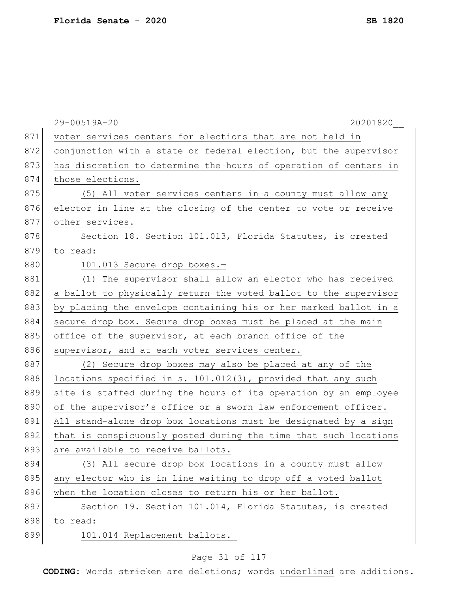|     | 29-00519A-20<br>20201820                                         |
|-----|------------------------------------------------------------------|
| 871 | voter services centers for elections that are not held in        |
| 872 | conjunction with a state or federal election, but the supervisor |
| 873 | has discretion to determine the hours of operation of centers in |
| 874 | those elections.                                                 |
| 875 | (5) All voter services centers in a county must allow any        |
| 876 | elector in line at the closing of the center to vote or receive  |
| 877 | other services.                                                  |
| 878 | Section 18. Section 101.013, Florida Statutes, is created        |
| 879 | to read:                                                         |
| 880 | 101.013 Secure drop boxes.-                                      |
| 881 | (1) The supervisor shall allow an elector who has received       |
| 882 | a ballot to physically return the voted ballot to the supervisor |
| 883 | by placing the envelope containing his or her marked ballot in a |
| 884 | secure drop box. Secure drop boxes must be placed at the main    |
| 885 | office of the supervisor, at each branch office of the           |
| 886 | supervisor, and at each voter services center.                   |
| 887 | (2) Secure drop boxes may also be placed at any of the           |
| 888 | locations specified in s. 101.012(3), provided that any such     |
| 889 | site is staffed during the hours of its operation by an employee |
| 890 | of the supervisor's office or a sworn law enforcement officer.   |
| 891 | All stand-alone drop box locations must be designated by a sign  |
| 892 | that is conspicuously posted during the time that such locations |
| 893 | are available to receive ballots.                                |
| 894 | (3) All secure drop box locations in a county must allow         |
| 895 | any elector who is in line waiting to drop off a voted ballot    |
| 896 | when the location closes to return his or her ballot.            |
| 897 | Section 19. Section 101.014, Florida Statutes, is created        |
| 898 | to read:                                                         |
| 899 | 101.014 Replacement ballots.-                                    |

# Page 31 of 117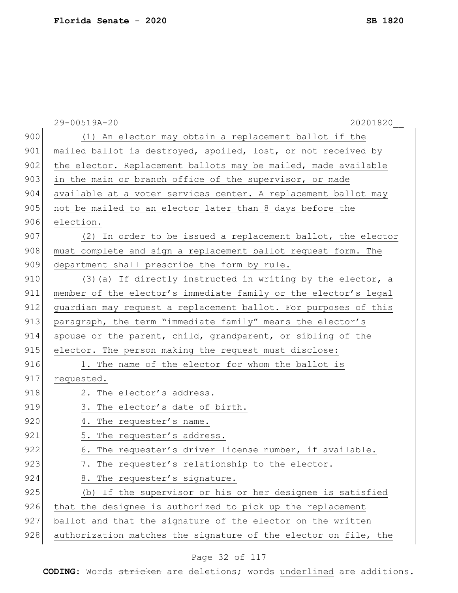|     | 29-00519A-20<br>20201820                                        |
|-----|-----------------------------------------------------------------|
| 900 | (1) An elector may obtain a replacement ballot if the           |
| 901 | mailed ballot is destroyed, spoiled, lost, or not received by   |
| 902 | the elector. Replacement ballots may be mailed, made available  |
| 903 | in the main or branch office of the supervisor, or made         |
| 904 | available at a voter services center. A replacement ballot may  |
| 905 | not be mailed to an elector later than 8 days before the        |
| 906 | election.                                                       |
| 907 | (2) In order to be issued a replacement ballot, the elector     |
| 908 | must complete and sign a replacement ballot request form. The   |
| 909 | department shall prescribe the form by rule.                    |
| 910 | (3) (a) If directly instructed in writing by the elector, a     |
| 911 | member of the elector's immediate family or the elector's legal |
| 912 | guardian may request a replacement ballot. For purposes of this |
| 913 | paragraph, the term "immediate family" means the elector's      |
| 914 | spouse or the parent, child, grandparent, or sibling of the     |
| 915 | elector. The person making the request must disclose:           |
| 916 | 1. The name of the elector for whom the ballot is               |
| 917 | requested.                                                      |
| 918 | 2. The elector's address.                                       |
| 919 | 3. The elector's date of birth.                                 |
| 920 | 4. The requester's name.                                        |
| 921 | 5. The requester's address.                                     |
| 922 | The requester's driver license number, if available.<br>6.      |
| 923 | The requester's relationship to the elector.<br>7.              |
| 924 | 8. The requester's signature.                                   |
| 925 | (b) If the supervisor or his or her designee is satisfied       |
| 926 | that the designee is authorized to pick up the replacement      |
| 927 | ballot and that the signature of the elector on the written     |
| 928 | authorization matches the signature of the elector on file, the |

# Page 32 of 117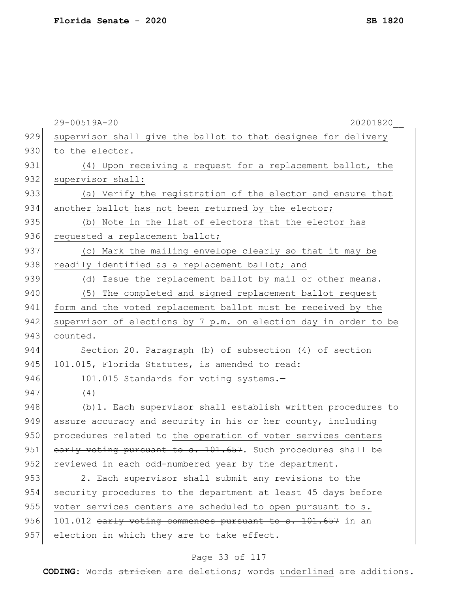|     | 29-00519A-20<br>20201820                                         |
|-----|------------------------------------------------------------------|
| 929 | supervisor shall give the ballot to that designee for delivery   |
| 930 | to the elector.                                                  |
| 931 | (4) Upon receiving a request for a replacement ballot, the       |
| 932 | supervisor shall:                                                |
| 933 | (a) Verify the registration of the elector and ensure that       |
| 934 | another ballot has not been returned by the elector;             |
| 935 | (b) Note in the list of electors that the elector has            |
| 936 | requested a replacement ballot;                                  |
| 937 | (c) Mark the mailing envelope clearly so that it may be          |
| 938 | readily identified as a replacement ballot; and                  |
| 939 | (d) Issue the replacement ballot by mail or other means.         |
| 940 | The completed and signed replacement ballot request<br>(5)       |
| 941 | form and the voted replacement ballot must be received by the    |
| 942 | supervisor of elections by 7 p.m. on election day in order to be |
| 943 | counted.                                                         |
| 944 | Section 20. Paragraph (b) of subsection (4) of section           |
| 945 | 101.015, Florida Statutes, is amended to read:                   |
| 946 | 101.015 Standards for voting systems.-                           |
| 947 | (4)                                                              |
| 948 | (b) 1. Each supervisor shall establish written procedures to     |
| 949 | assure accuracy and security in his or her county, including     |
| 950 | procedures related to the operation of voter services centers    |
| 951 | early voting pursuant to s. 101.657. Such procedures shall be    |
| 952 | reviewed in each odd-numbered year by the department.            |
| 953 | 2. Each supervisor shall submit any revisions to the             |
| 954 | security procedures to the department at least 45 days before    |
| 955 | voter services centers are scheduled to open pursuant to s.      |
| 956 | 101.012 early voting commences pursuant to s. 101.657 in an      |
| 957 | election in which they are to take effect.                       |

# Page 33 of 117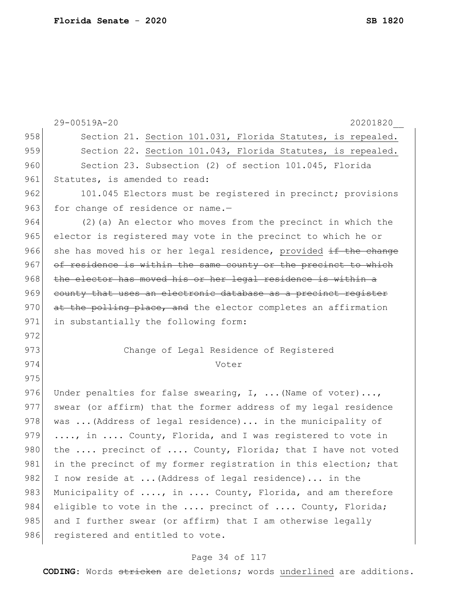29-00519A-20 20201820\_\_ 958 Section 21. Section 101.031, Florida Statutes, is repealed. 959 Section 22. Section 101.043, Florida Statutes, is repealed. 960 Section 23. Subsection (2) of section 101.045, Florida 961 Statutes, is amended to read: 962 101.045 Electors must be registered in precinct; provisions 963 for change of residence or name.-964 (2) (a) An elector who moves from the precinct in which the 965 elector is registered may vote in the precinct to which he or 966 she has moved his or her legal residence, provided  $\pm f$  the change 967 of residence is within the same county or the precinct to which 968 the elector has moved his or her legal residence is within a 969 county that uses an electronic database as a precinct register 970 at the polling place, and the elector completes an affirmation 971 in substantially the following form: 972 973 Change of Legal Residence of Registered 974 Voter 975 976 Under penalties for false swearing, I, ... (Name of voter)..., 977 swear (or affirm) that the former address of my legal residence 978 was  $\ldots$  (Address of legal residence)... in the municipality of 979  $\ldots$ , in  $\ldots$  County, Florida, and I was registered to vote in 980 the  $\ldots$  precinct of  $\ldots$ . County, Florida; that I have not voted 981 in the precinct of my former registration in this election; that 982 I now reside at ... (Address of legal residence)... in the 983 Municipality of ...., in .... County, Florida, and am therefore 984 eligible to vote in the .... precinct of .... County, Florida; 985 and I further swear (or affirm) that I am otherwise legally 986 registered and entitled to vote.

## Page 34 of 117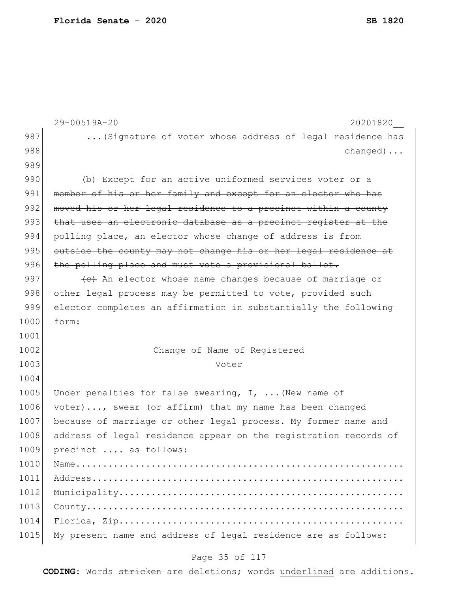|      | 29-00519A-20<br>20201820                                         |
|------|------------------------------------------------------------------|
| 987  | (Signature of voter whose address of legal residence has         |
| 988  | $channel$                                                        |
| 989  |                                                                  |
| 990  | (b) Except for an active uniformed services voter or a           |
| 991  | member of his or her family and except for an elector who has    |
| 992  | moved his or her legal residence to a precinct within a county   |
| 993  | that uses an electronic database as a precinct register at the   |
| 994  | polling place, an elector whose change of address is from        |
| 995  | outside the county may not change his or her legal residence at  |
| 996  | the polling place and must vote a provisional ballot.            |
| 997  | (e) An elector whose name changes because of marriage or         |
| 998  | other legal process may be permitted to vote, provided such      |
| 999  | elector completes an affirmation in substantially the following  |
| 1000 | form:                                                            |
| 1001 |                                                                  |
| 1002 | Change of Name of Registered                                     |
| 1003 | Voter                                                            |
| 1004 |                                                                  |
| 1005 | Under penalties for false swearing, $I$ ,  (New name of          |
| 1006 | voter), swear (or affirm) that my name has been changed          |
| 1007 | because of marriage or other legal process. My former name and   |
| 1008 | address of legal residence appear on the registration records of |
| 1009 | precinct  as follows:                                            |
| 1010 |                                                                  |
| 1011 |                                                                  |
| 1012 |                                                                  |
| 1013 |                                                                  |
| 1014 |                                                                  |
| 1015 | My present name and address of legal residence are as follows:   |

# Page 35 of 117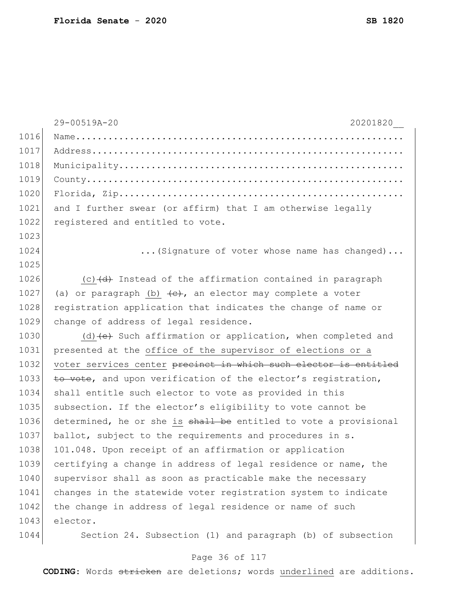|      | 29-00519A-20<br>20201820                                            |
|------|---------------------------------------------------------------------|
| 1016 |                                                                     |
| 1017 |                                                                     |
| 1018 |                                                                     |
| 1019 |                                                                     |
| 1020 |                                                                     |
| 1021 | and I further swear (or affirm) that I am otherwise legally         |
| 1022 | registered and entitled to vote.                                    |
| 1023 |                                                                     |
| 1024 | (Signature of voter whose name has changed)                         |
| 1025 |                                                                     |
| 1026 | $(c)$ $(d)$ Instead of the affirmation contained in paragraph       |
| 1027 | (a) or paragraph (b) $\leftarrow$ , an elector may complete a voter |
| 1028 | registration application that indicates the change of name or       |
| 1029 | change of address of legal residence.                               |
| 1030 | (d) (e) Such affirmation or application, when completed and         |
| 1031 | presented at the office of the supervisor of elections or a         |
| 1032 | voter services center precinct in which such elector is entitled    |
| 1033 | to vote, and upon verification of the elector's registration,       |
| 1034 | shall entitle such elector to vote as provided in this              |
| 1035 | subsection. If the elector's eligibility to vote cannot be          |
| 1036 | determined, he or she is shall be entitled to vote a provisional    |
| 1037 | ballot, subject to the requirements and procedures in s.            |
| 1038 | 101.048. Upon receipt of an affirmation or application              |
| 1039 | certifying a change in address of legal residence or name, the      |
| 1040 | supervisor shall as soon as practicable make the necessary          |
| 1041 | changes in the statewide voter registration system to indicate      |
| 1042 | the change in address of legal residence or name of such            |
| 1043 | elector.                                                            |
| 1044 | Section 24. Subsection (1) and paragraph (b) of subsection          |

# Page 36 of 117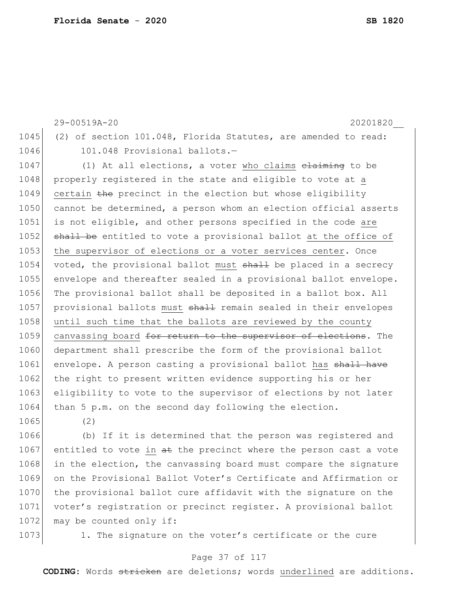29-00519A-20 20201820\_\_ 1045 (2) of section 101.048, Florida Statutes, are amended to read: 1046 101.048 Provisional ballots.-1047 (1) At all elections, a voter who claims elaiming to be 1048 properly registered in the state and eligible to vote at a  $1049$  certain the precinct in the election but whose eligibility 1050 cannot be determined, a person whom an election official asserts 1051 is not eligible, and other persons specified in the code are 1052 shall be entitled to vote a provisional ballot at the office of 1053 the supervisor of elections or a voter services center. Once 1054 voted, the provisional ballot must shall be placed in a secrecy 1055 envelope and thereafter sealed in a provisional ballot envelope. 1056 The provisional ballot shall be deposited in a ballot box. All 1057 | provisional ballots must shall remain sealed in their envelopes 1058 until such time that the ballots are reviewed by the county 1059 canvassing board for return to the supervisor of elections. The 1060 department shall prescribe the form of the provisional ballot

1061 envelope. A person casting a provisional ballot has shall have 1062 the right to present written evidence supporting his or her 1063 eligibility to vote to the supervisor of elections by not later 1064 than 5 p.m. on the second day following the election. 1065 (2)

1066 (b) If it is determined that the person was registered and 1067 entitled to vote in  $a\text{t}$  the precinct where the person cast a vote 1068 in the election, the canvassing board must compare the signature 1069 on the Provisional Ballot Voter's Certificate and Affirmation or 1070 the provisional ballot cure affidavit with the signature on the 1071 voter's registration or precinct register. A provisional ballot 1072 may be counted only if:

1073 1. The signature on the voter's certificate or the cure

### Page 37 of 117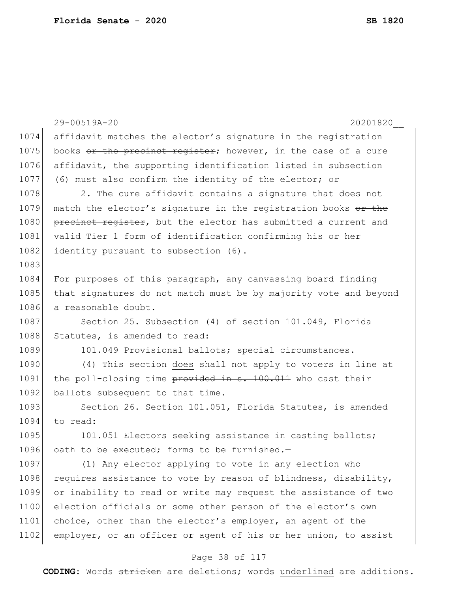|      | 29-00519A-20<br>20201820                                         |
|------|------------------------------------------------------------------|
| 1074 | affidavit matches the elector's signature in the registration    |
| 1075 | books or the precinct register; however, in the case of a cure   |
| 1076 | affidavit, the supporting identification listed in subsection    |
| 1077 | (6) must also confirm the identity of the elector; or            |
| 1078 | 2. The cure affidavit contains a signature that does not         |
| 1079 | match the elector's signature in the registration books or the   |
| 1080 | precinct register, but the elector has submitted a current and   |
| 1081 | valid Tier 1 form of identification confirming his or her        |
| 1082 | identity pursuant to subsection (6).                             |
| 1083 |                                                                  |
| 1084 | For purposes of this paragraph, any canvassing board finding     |
| 1085 | that signatures do not match must be by majority vote and beyond |
| 1086 | a reasonable doubt.                                              |
| 1087 | Section 25. Subsection (4) of section 101.049, Florida           |
| 1088 | Statutes, is amended to read:                                    |
| 1089 | 101.049 Provisional ballots; special circumstances.-             |
| 1090 | (4) This section does shall not apply to voters in line at       |
| 1091 | the poll-closing time provided in s. 100.011 who cast their      |
| 1092 | ballots subsequent to that time.                                 |
| 1093 | Section 26. Section 101.051, Florida Statutes, is amended        |
| 1094 | to read:                                                         |
| 1095 | 101.051 Electors seeking assistance in casting ballots;          |
| 1096 | oath to be executed; forms to be furnished.-                     |
| 1097 | (1) Any elector applying to vote in any election who             |
| 1098 | requires assistance to vote by reason of blindness, disability,  |
| 1099 | or inability to read or write may request the assistance of two  |
| 1100 | election officials or some other person of the elector's own     |
| 1101 | choice, other than the elector's employer, an agent of the       |
| 1102 | employer, or an officer or agent of his or her union, to assist  |

# Page 38 of 117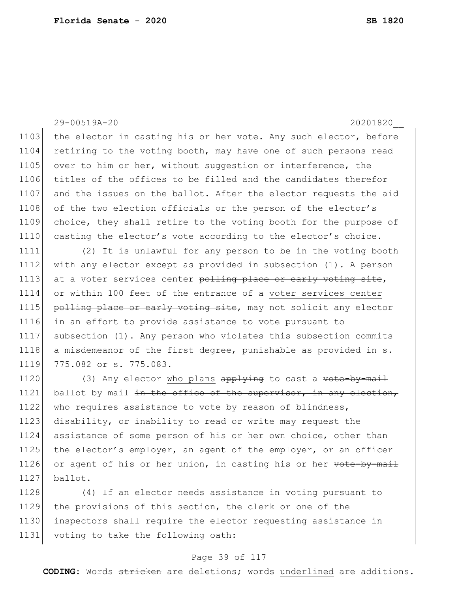29-00519A-20 20201820\_\_ 1103 the elector in casting his or her vote. Any such elector, before 1104 retiring to the voting booth, may have one of such persons read 1105 over to him or her, without suggestion or interference, the 1106 titles of the offices to be filled and the candidates therefor 1107 and the issues on the ballot. After the elector requests the aid 1108 of the two election officials or the person of the elector's 1109 choice, they shall retire to the voting booth for the purpose of 1110 casting the elector's vote according to the elector's choice. 1111 (2) It is unlawful for any person to be in the voting booth 1112 with any elector except as provided in subsection (1). A person 1113 at a voter services center polling place or early voting site, 1114 or within 100 feet of the entrance of a voter services center 1115 polling place or early voting site, may not solicit any elector 1116 in an effort to provide assistance to vote pursuant to 1117 subsection (1). Any person who violates this subsection commits 1118 a misdemeanor of the first degree, punishable as provided in s. 1119 775.082 or s. 775.083. 1120 (3) Any elector who plans  $\frac{1120}{100}$  to cast a vote-by-mail 1121 ballot by mail in the office of the supervisor, in any election, 1122 who requires assistance to vote by reason of blindness, 1123 disability, or inability to read or write may request the 1124 assistance of some person of his or her own choice, other than 1125 the elector's employer, an agent of the employer, or an officer 1126 or agent of his or her union, in casting his or her vote-by-mail 1127 ballot.

 (4) If an elector needs assistance in voting pursuant to 1129 the provisions of this section, the clerk or one of the inspectors shall require the elector requesting assistance in voting to take the following oath:

### Page 39 of 117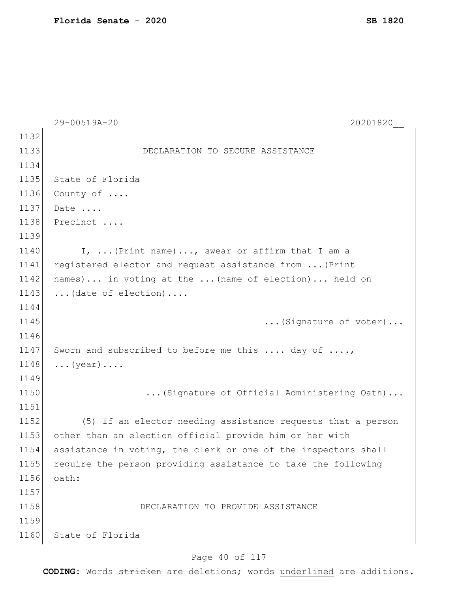|      | 29-00519A-20<br>20201820                                       |
|------|----------------------------------------------------------------|
| 1132 |                                                                |
| 1133 | DECLARATION TO SECURE ASSISTANCE                               |
| 1134 |                                                                |
| 1135 | State of Florida                                               |
| 1136 | County of                                                      |
| 1137 | Date                                                           |
| 1138 | Precinct                                                       |
| 1139 |                                                                |
| 1140 | I,  (Print name), swear or affirm that I am a                  |
| 1141 | registered elector and request assistance from  (Print         |
| 1142 | names) in voting at the  (name of election) held on            |
| 1143 | $\ldots$ (date of election)                                    |
| 1144 |                                                                |
| 1145 | (Signature of voter)                                           |
| 1146 |                                                                |
| 1147 | Sworn and subscribed to before me this  day of ,               |
| 1148 | $\ldots$ (year) $\ldots$ .                                     |
| 1149 |                                                                |
| 1150 | (Signature of Official Administering Oath)                     |
| 1151 |                                                                |
| 1152 | (5) If an elector needing assistance requests that a person    |
| 1153 | other than an election official provide him or her with        |
| 1154 | assistance in voting, the clerk or one of the inspectors shall |
| 1155 | require the person providing assistance to take the following  |
| 1156 | oath:                                                          |
| 1157 |                                                                |
| 1158 | DECLARATION TO PROVIDE ASSISTANCE                              |
| 1159 |                                                                |
| 1160 | State of Florida                                               |
|      |                                                                |

# Page 40 of 117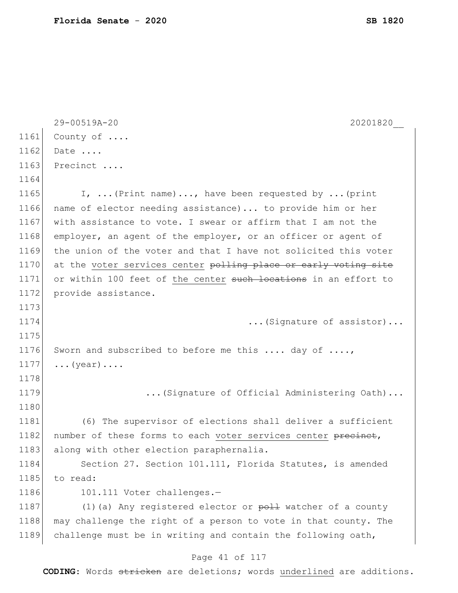|      | 29-00519A-20<br>20201820                                        |
|------|-----------------------------------------------------------------|
| 1161 | County of                                                       |
| 1162 | Date                                                            |
| 1163 | Precinct                                                        |
| 1164 |                                                                 |
| 1165 | I,  (Print name) , have been requested by  (print               |
| 1166 | name of elector needing assistance)  to provide him or her      |
| 1167 | with assistance to vote. I swear or affirm that I am not the    |
| 1168 | employer, an agent of the employer, or an officer or agent of   |
| 1169 | the union of the voter and that I have not solicited this voter |
| 1170 | at the voter services center polling place or early voting site |
| 1171 | or within 100 feet of the center such locations in an effort to |
| 1172 | provide assistance.                                             |
| 1173 |                                                                 |
| 1174 | (Signature of assistor)                                         |
| 1175 |                                                                 |
| 1176 | Sworn and subscribed to before me this  day of ,                |
| 1177 | $\ldots$ (year) $\ldots$ .                                      |
| 1178 |                                                                 |
| 1179 | (Signature of Official Administering Oath)                      |
| 1180 |                                                                 |
| 1181 | (6) The supervisor of elections shall deliver a sufficient      |
| 1182 | number of these forms to each voter services center precinet,   |
| 1183 | along with other election paraphernalia.                        |
| 1184 | Section 27. Section 101.111, Florida Statutes, is amended       |
| 1185 | to read:                                                        |
| 1186 | 101.111 Voter challenges.-                                      |
| 1187 | $(1)$ (a) Any registered elector or $p$ oll watcher of a county |
| 1188 | may challenge the right of a person to vote in that county. The |
| 1189 | challenge must be in writing and contain the following oath,    |
|      |                                                                 |

### Page 41 of 117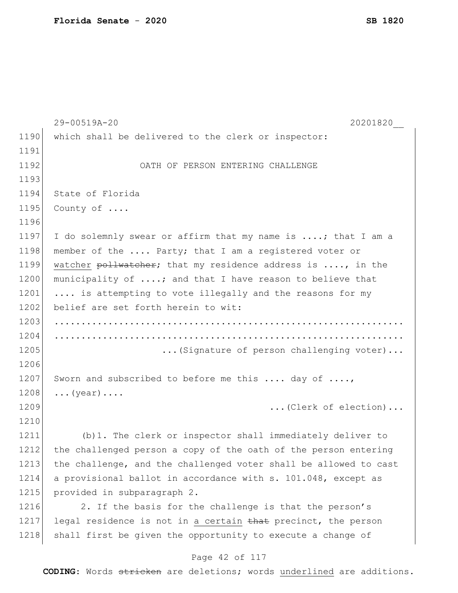|      | 29-00519A-20<br>20201820                                         |
|------|------------------------------------------------------------------|
| 1190 | which shall be delivered to the clerk or inspector:              |
| 1191 |                                                                  |
| 1192 | OATH OF PERSON ENTERING CHALLENGE                                |
| 1193 |                                                                  |
| 1194 | State of Florida                                                 |
| 1195 | County of                                                        |
| 1196 |                                                                  |
| 1197 | I do solemnly swear or affirm that my name is ; that I am a      |
| 1198 | member of the  Party; that I am a registered voter or            |
| 1199 | watcher pollwatcher; that my residence address is , in the       |
| 1200 | municipality of ; and that I have reason to believe that         |
| 1201 | is attempting to vote illegally and the reasons for my           |
| 1202 | belief are set forth herein to wit:                              |
| 1203 |                                                                  |
| 1204 |                                                                  |
| 1205 | (Signature of person challenging voter)                          |
| 1206 |                                                                  |
| 1207 | Sworn and subscribed to before me this  day of ,                 |
| 1208 | $\ldots$ (year) $\ldots$ .                                       |
| 1209 | (Clerk of election)                                              |
| 1210 |                                                                  |
| 1211 | (b) 1. The clerk or inspector shall immediately deliver to       |
| 1212 | the challenged person a copy of the oath of the person entering  |
| 1213 | the challenge, and the challenged voter shall be allowed to cast |
| 1214 | a provisional ballot in accordance with s. 101.048, except as    |
| 1215 | provided in subparagraph 2.                                      |
| 1216 | 2. If the basis for the challenge is that the person's           |
| 1217 | legal residence is not in a certain that precinct, the person    |
| 1218 | shall first be given the opportunity to execute a change of      |

# Page 42 of 117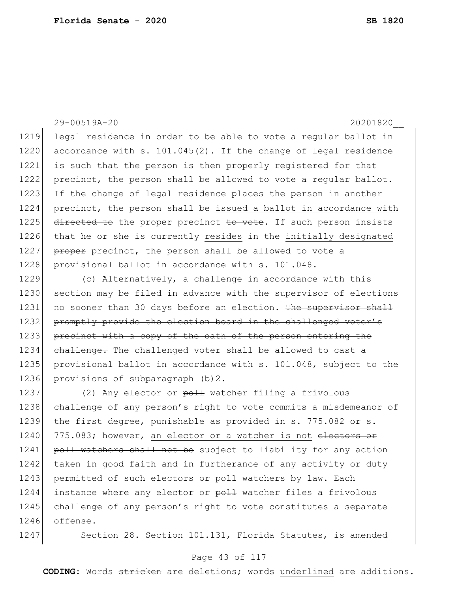1219 legal residence in order to be able to vote a regular ballot in 1220 accordance with s. 101.045(2). If the change of legal residence 1221 is such that the person is then properly registered for that 1222 precinct, the person shall be allowed to vote a regular ballot. 1223 If the change of legal residence places the person in another 1224 precinct, the person shall be issued a ballot in accordance with 1225 directed to the proper precinct to vote. If such person insists 1226 that he or she  $\pm$ s currently resides in the initially designated 1227 proper precinct, the person shall be allowed to vote a 1228 provisional ballot in accordance with s. 101.048. 1229 (c) Alternatively, a challenge in accordance with this 1230 section may be filed in advance with the supervisor of elections 1231 no sooner than 30 days before an election. The supervisor shall 1232 promptly provide the election board in the challenged voter's 1233 precinct with a copy of the oath of the person entering the 1234 challenge. The challenged voter shall be allowed to cast a 1235 provisional ballot in accordance with s. 101.048, subject to the 1236 provisions of subparagraph (b) 2. 1237 (2) Any elector or poll watcher filing a frivolous 1238 challenge of any person's right to vote commits a misdemeanor of 1239 the first degree, punishable as provided in s. 775.082 or s. 1240 775.083; however, an elector or a watcher is not electors or

1241 poll watchers shall not be subject to liability for any action 1242 taken in good faith and in furtherance of any activity or duty 1243 permitted of such electors or  $p$ oll watchers by law. Each 1244 instance where any elector or poll watcher files a frivolous 1245 challenge of any person's right to vote constitutes a separate 1246 offense.

1247 Section 28. Section 101.131, Florida Statutes, is amended

29-00519A-20 20201820\_\_

### Page 43 of 117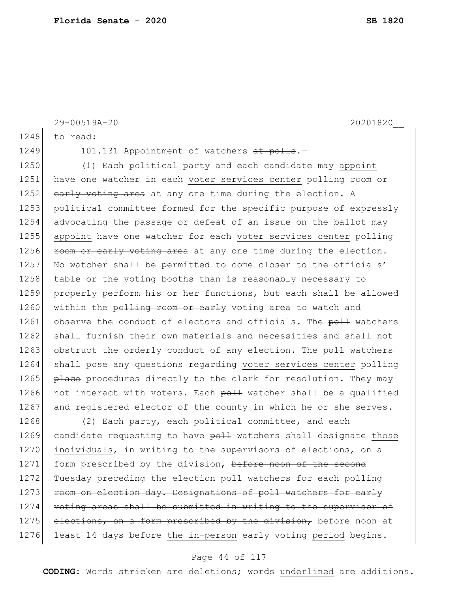```
29-00519A-20 20201820__
1248 to read:
1249 101.131 Appointment of watchers at polls.
1250 (1) Each political party and each candidate may appoint
1251 have one watcher in each voter services center polling room or
1252 early voting area at any one time during the election. A
1253 political committee formed for the specific purpose of expressly 
1254 advocating the passage or defeat of an issue on the ballot may 
1255 appoint have one watcher for each voter services center polling
1256 room or early voting area at any one time during the election.
1257 No watcher shall be permitted to come closer to the officials'
1258 table or the voting booths than is reasonably necessary to
1259 properly perform his or her functions, but each shall be allowed 
1260 within the polling room or early voting area to watch and
1261 observe the conduct of electors and officials. The poll watchers
1262 shall furnish their own materials and necessities and shall not
1263 obstruct the orderly conduct of any election. The poll watchers
1264 shall pose any questions regarding voter services center polling
1265 place procedures directly to the clerk for resolution. They may
1266 not interact with voters. Each p_0 + p_1 watcher shall be a qualified
1267 and registered elector of the county in which he or she serves.
1268 (2) Each party, each political committee, and each
1269 candidate requesting to have poll watchers shall designate those
1270 individuals, in writing to the supervisors of elections, on a
1271 form prescribed by the division, before noon of the second
1272 Tuesday preceding the election poll watchers for each polling
1273 room on election day. Designations of poll watchers for early
1274 voting areas shall be submitted in writing to the supervisor of
```
1275 elections, on a form prescribed by the division, before noon at 1276 least 14 days before the in-person  $\frac{1276}{ }$  voting period begins.

#### Page 44 of 117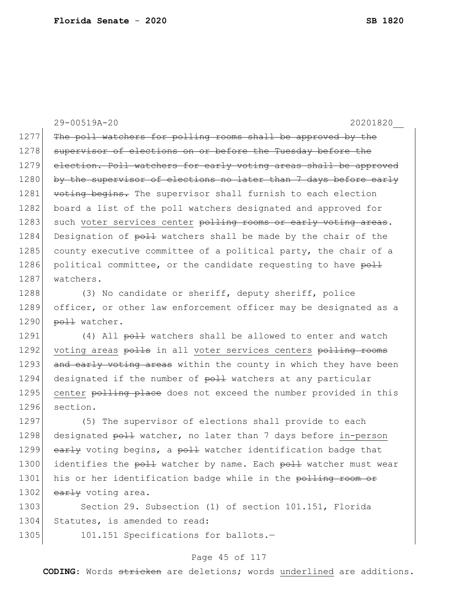29-00519A-20 20201820\_\_ 1277 The poll watchers for polling rooms shall be approved by the 1278 supervisor of elections on or before the Tuesday before the 1279 election. Poll watchers for early voting areas shall be approved 1280 by the supervisor of elections no later than 7 days before early 1281 voting begins. The supervisor shall furnish to each election 1282 board a list of the poll watchers designated and approved for 1283 such voter services center polling rooms or early voting areas. 1284 Designation of  $p$ <sup>1</sup> watchers shall be made by the chair of the 1285 county executive committee of a political party, the chair of a 1286 political committee, or the candidate requesting to have poll 1287 watchers. 1288 (3) No candidate or sheriff, deputy sheriff, police

1289 officer, or other law enforcement officer may be designated as a 1290  $p$ oll watcher.

1291 (4) All  $p$ <sup>1</sup> watchers shall be allowed to enter and watch 1292 voting areas polls in all voter services centers polling rooms 1293 and early voting areas within the county in which they have been 1294 designated if the number of poll watchers at any particular 1295 center polling place does not exceed the number provided in this 1296 section.

1297 (5) The supervisor of elections shall provide to each 1298 designated poll watcher, no later than 7 days before in-person 1299 early voting begins, a poll watcher identification badge that 1300 identifies the poll watcher by name. Each poll watcher must wear 1301 his or her identification badge while in the polling room or 1302  $early$  voting area.

1303 Section 29. Subsection (1) of section 101.151, Florida 1304 Statutes, is amended to read:

1305 101.151 Specifications for ballots.-

### Page 45 of 117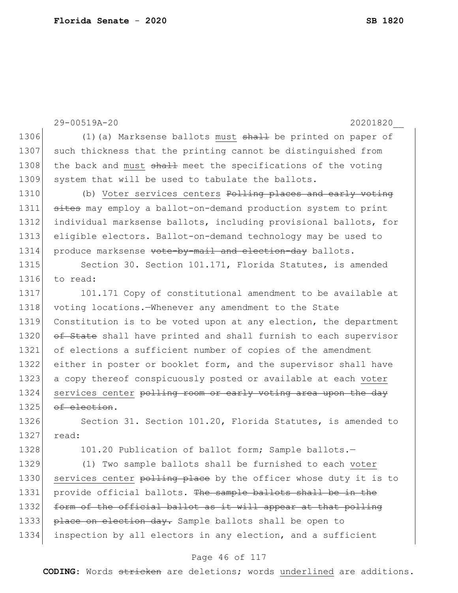|      | 29-00519A-20<br>20201820                                              |
|------|-----------------------------------------------------------------------|
| 1306 | $(1)$ (a) Marksense ballots must $\frac{1}{2}$ be printed on paper of |
| 1307 | such thickness that the printing cannot be distinguished from         |
| 1308 | the back and must shall meet the specifications of the voting         |
| 1309 | system that will be used to tabulate the ballots.                     |
| 1310 | (b) Voter services centers Polling places and early voting            |
| 1311 | sites may employ a ballot-on-demand production system to print        |
| 1312 | individual marksense ballots, including provisional ballots, for      |
| 1313 | eligible electors. Ballot-on-demand technology may be used to         |
| 1314 | produce marksense vote-by-mail and election-day ballots.              |
| 1315 | Section 30. Section 101.171, Florida Statutes, is amended             |
| 1316 | to read:                                                              |
| 1317 | 101.171 Copy of constitutional amendment to be available at           |
| 1318 | voting locations. Whenever any amendment to the State                 |
| 1319 | Constitution is to be voted upon at any election, the department      |
| 1320 | of State shall have printed and shall furnish to each supervisor      |
| 1321 | of elections a sufficient number of copies of the amendment           |
| 1322 | either in poster or booklet form, and the supervisor shall have       |
| 1323 | a copy thereof conspicuously posted or available at each voter        |
| 1324 | services center polling room or early voting area upon the day        |
| 1325 | of election.                                                          |
| 1326 | Section 31. Section 101.20, Florida Statutes, is amended to           |
| 1327 | read:                                                                 |
| 1328 | 101.20 Publication of ballot form; Sample ballots.-                   |
| 1329 | (1) Two sample ballots shall be furnished to each voter               |
| 1330 | services center polling place by the officer whose duty it is to      |
| 1331 | provide official ballots. The sample ballots shall be in the          |
| 1332 | form of the official ballot as it will appear at that polling         |
| 1333 | place on election day. Sample ballots shall be open to                |
| 1334 | inspection by all electors in any election, and a sufficient          |

# Page 46 of 117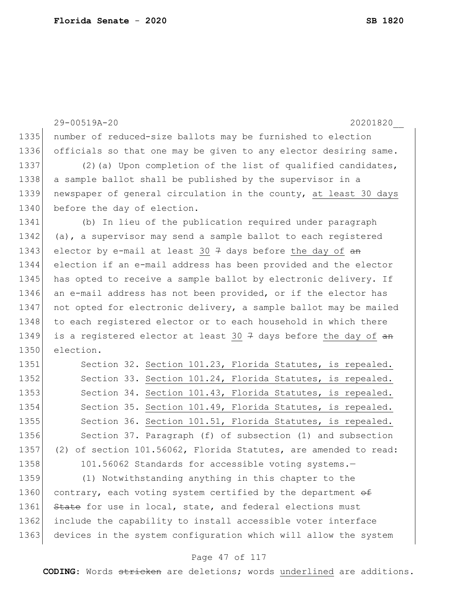|      | 20201820<br>29-00519A-20                                                               |
|------|----------------------------------------------------------------------------------------|
| 1335 | number of reduced-size ballots may be furnished to election                            |
| 1336 | officials so that one may be given to any elector desiring same.                       |
| 1337 | (2) (a) Upon completion of the list of qualified candidates,                           |
| 1338 | a sample ballot shall be published by the supervisor in a                              |
| 1339 | newspaper of general circulation in the county, at least 30 days                       |
| 1340 | before the day of election.                                                            |
| 1341 | (b) In lieu of the publication required under paragraph                                |
| 1342 | (a), a supervisor may send a sample ballot to each registered                          |
| 1343 | elector by e-mail at least 30 $\frac{1}{7}$ days before the day of an                  |
| 1344 | election if an e-mail address has been provided and the elector                        |
| 1345 | has opted to receive a sample ballot by electronic delivery. If                        |
| 1346 | an e-mail address has not been provided, or if the elector has                         |
| 1347 | not opted for electronic delivery, a sample ballot may be mailed                       |
| 1348 | to each registered elector or to each household in which there                         |
| 1349 | is a registered elector at least 30 $\frac{1}{7}$ days before the day of $\frac{1}{4}$ |
| 1350 | election.                                                                              |
| 1351 | Section 32. Section 101.23, Florida Statutes, is repealed.                             |
| 1352 | Section 33. Section 101.24, Florida Statutes, is repealed.                             |
| 1353 | Section 34. Section 101.43, Florida Statutes, is repealed.                             |
| 1354 | Section 35. Section 101.49, Florida Statutes, is repealed.                             |
| 1355 | Section 36. Section 101.51, Florida Statutes, is repealed.                             |
| 1356 | Section 37. Paragraph (f) of subsection (1) and subsection                             |
| 1357 | (2) of section 101.56062, Florida Statutes, are amended to read:                       |
| 1358 | 101.56062 Standards for accessible voting systems.-                                    |
| 1359 | (1) Notwithstanding anything in this chapter to the                                    |
| 1360 | contrary, each voting system certified by the department of                            |
| 1361 | State for use in local, state, and federal elections must                              |
| 1362 | include the capability to install accessible voter interface                           |
| 1363 | devices in the system configuration which will allow the system                        |

# Page 47 of 117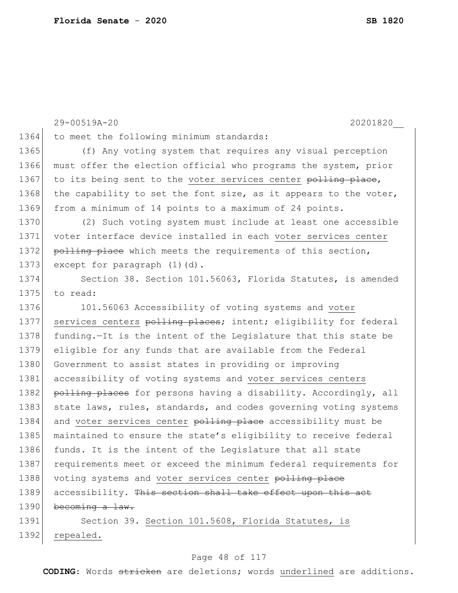29-00519A-20 20201820\_\_ 1364 to meet the following minimum standards: 1365 (f) Any voting system that requires any visual perception 1366 must offer the election official who programs the system, prior 1367 to its being sent to the voter services center polling place, 1368 the capability to set the font size, as it appears to the voter, 1369 from a minimum of 14 points to a maximum of 24 points. 1370 (2) Such voting system must include at least one accessible 1371 voter interface device installed in each voter services center 1372 polling place which meets the requirements of this section, 1373 except for paragraph (1)(d). 1374 Section 38. Section 101.56063, Florida Statutes, is amended 1375 to read: 1376 101.56063 Accessibility of voting systems and voter 1377 services centers polling places; intent; eligibility for federal 1378 funding.—It is the intent of the Legislature that this state be 1379 eligible for any funds that are available from the Federal 1380 Government to assist states in providing or improving 1381 accessibility of voting systems and voter services centers 1382 polling places for persons having a disability. Accordingly, all 1383 state laws, rules, standards, and codes governing voting systems 1384 and voter services center polling place accessibility must be 1385 maintained to ensure the state's eligibility to receive federal 1386 funds. It is the intent of the Legislature that all state 1387 requirements meet or exceed the minimum federal requirements for 1388 voting systems and voter services center polling place 1389 accessibility. This section shall take effect upon this act 1390 becoming a law. 1391 Section 39. Section 101.5608, Florida Statutes, is 1392 repealed.

### Page 48 of 117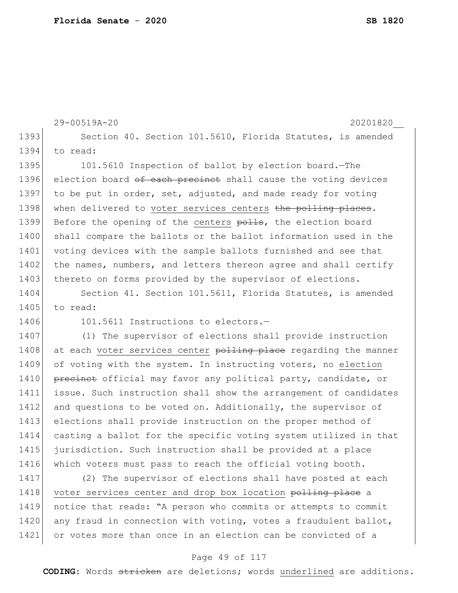```
29-00519A-20 20201820__
1393 Section 40. Section 101.5610, Florida Statutes, is amended
1394 to read:
1395 101.5610 Inspection of ballot by election board.—The
1396 election board of each precinct shall cause the voting devices
1397 to be put in order, set, adjusted, and made ready for voting
1398 when delivered to voter services centers the polling places.
1399 Before the opening of the centers polls, the election board
1400 shall compare the ballots or the ballot information used in the
1401 voting devices with the sample ballots furnished and see that
1402 the names, numbers, and letters thereon agree and shall certify
1403 thereto on forms provided by the supervisor of elections.
1404 Section 41. Section 101.5611, Florida Statutes, is amended
1405 to read:
1406 101.5611 Instructions to electors.-
1407 (1) The supervisor of elections shall provide instruction 
1408 at each voter services center polling place regarding the manner
1409 of voting with the system. In instructing voters, no election
1410 precinct official may favor any political party, candidate, or
1411 issue. Such instruction shall show the arrangement of candidates 
1412 and questions to be voted on. Additionally, the supervisor of
1413 elections shall provide instruction on the proper method of 
1414 casting a ballot for the specific voting system utilized in that 
1415 jurisdiction. Such instruction shall be provided at a place 
1416 which voters must pass to reach the official voting booth.
1417 (2) The supervisor of elections shall have posted at each 
1418 voter services center and drop box location polling place a
```
1419 notice that reads: "A person who commits or attempts to commit 1420 any fraud in connection with voting, votes a fraudulent ballot, 1421 or votes more than once in an election can be convicted of a

### Page 49 of 117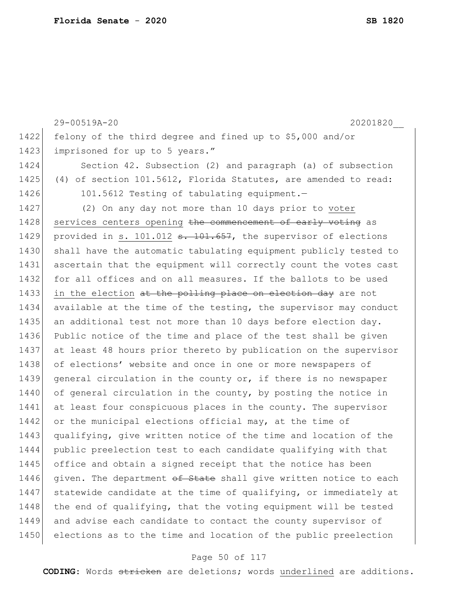```
29-00519A-20 20201820__
1422 felony of the third degree and fined up to $5,000 and/or 
1423 imprisoned for up to 5 years."
1424 Section 42. Subsection (2) and paragraph (a) of subsection 
1425 (4) of section 101.5612, Florida Statutes, are amended to read:
1426 101.5612 Testing of tabulating equipment.
1427 (2) On any day not more than 10 days prior to voter 
1428 services centers opening the commencement of early voting as
1429 provided in s. 101.012 s. 101.657, the supervisor of elections
1430 shall have the automatic tabulating equipment publicly tested to 
1431 ascertain that the equipment will correctly count the votes cast 
1432 for all offices and on all measures. If the ballots to be used
1433 in the election at the polling place on election day are not
1434 available at the time of the testing, the supervisor may conduct 
1435 an additional test not more than 10 days before election day.
1436 Public notice of the time and place of the test shall be given 
1437 at least 48 hours prior thereto by publication on the supervisor 
1438 of elections' website and once in one or more newspapers of
1439 general circulation in the county or, if there is no newspaper
1440 of general circulation in the county, by posting the notice in
1441 at least four conspicuous places in the county. The supervisor
1442 or the municipal elections official may, at the time of
1443 qualifying, give written notice of the time and location of the 
1444 public preelection test to each candidate qualifying with that 
1445 office and obtain a signed receipt that the notice has been
1446 given. The department \theta state shall give written notice to each
1447 statewide candidate at the time of qualifying, or immediately at
1448 the end of qualifying, that the voting equipment will be tested
1449 and advise each candidate to contact the county supervisor of
1450 elections as to the time and location of the public preelection
```
### Page 50 of 117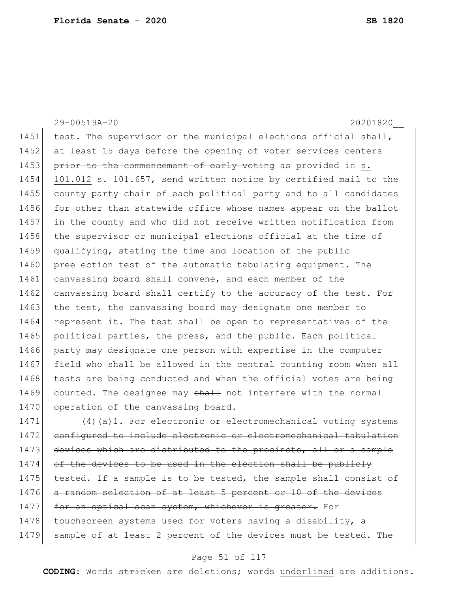29-00519A-20 20201820\_\_ 1451 test. The supervisor or the municipal elections official shall, 1452 at least 15 days before the opening of voter services centers 1453 prior to the commencement of early voting as provided in s. 1454 101.012 <del>s. 101.657</del>, send written notice by certified mail to the 1455 county party chair of each political party and to all candidates 1456 for other than statewide office whose names appear on the ballot 1457 in the county and who did not receive written notification from 1458 the supervisor or municipal elections official at the time of 1459 qualifying, stating the time and location of the public 1460 preelection test of the automatic tabulating equipment. The 1461 canvassing board shall convene, and each member of the 1462 canvassing board shall certify to the accuracy of the test. For 1463 the test, the canvassing board may designate one member to 1464 represent it. The test shall be open to representatives of the 1465 political parties, the press, and the public. Each political 1466 party may designate one person with expertise in the computer 1467 field who shall be allowed in the central counting room when all 1468 tests are being conducted and when the official votes are being 1469 counted. The designee may shall not interfere with the normal 1470 operation of the canvassing board.  $1471$  (4)(a)1. For electronic or electromechanical voting systems

1472 configured to include electronic or electromechanical tabulation 1473 devices which are distributed to the precincts, all or a sample  $1474$  of the devices to be used in the election shall be publicly 1475 tested. If a sample is to be tested, the sample shall consist of 1476 a random selection of at least 5 percent or 10 of the devices 1477 for an optical scan system, whichever is greater. For 1478 touchscreen systems used for voters having a disability, a 1479 sample of at least 2 percent of the devices must be tested. The

### Page 51 of 117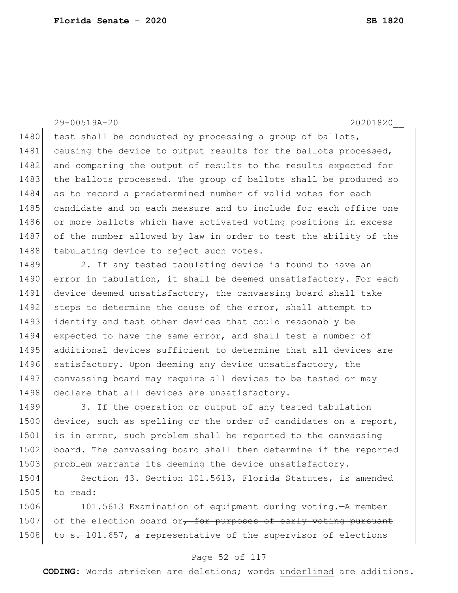### 29-00519A-20 20201820\_\_

1480 test shall be conducted by processing a group of ballots, 1481 causing the device to output results for the ballots processed, 1482 and comparing the output of results to the results expected for 1483 the ballots processed. The group of ballots shall be produced so 1484 as to record a predetermined number of valid votes for each 1485 candidate and on each measure and to include for each office one 1486 or more ballots which have activated voting positions in excess 1487 of the number allowed by law in order to test the ability of the 1488 tabulating device to reject such votes.

1489 2. If any tested tabulating device is found to have an 1490 error in tabulation, it shall be deemed unsatisfactory. For each 1491 device deemed unsatisfactory, the canvassing board shall take 1492 steps to determine the cause of the error, shall attempt to 1493 identify and test other devices that could reasonably be 1494 expected to have the same error, and shall test a number of 1495 additional devices sufficient to determine that all devices are 1496 satisfactory. Upon deeming any device unsatisfactory, the 1497 canvassing board may require all devices to be tested or may 1498 declare that all devices are unsatisfactory.

1499 3. If the operation or output of any tested tabulation 1500 device, such as spelling or the order of candidates on a report, 1501 is in error, such problem shall be reported to the canvassing 1502 board. The canvassing board shall then determine if the reported 1503 problem warrants its deeming the device unsatisfactory.

1504 Section 43. Section 101.5613, Florida Statutes, is amended 1505 to read:

1506 101.5613 Examination of equipment during voting.—A member 1507 of the election board or, for purposes of early voting pursuant 1508  $\pm$ o s. 101.657, a representative of the supervisor of elections

### Page 52 of 117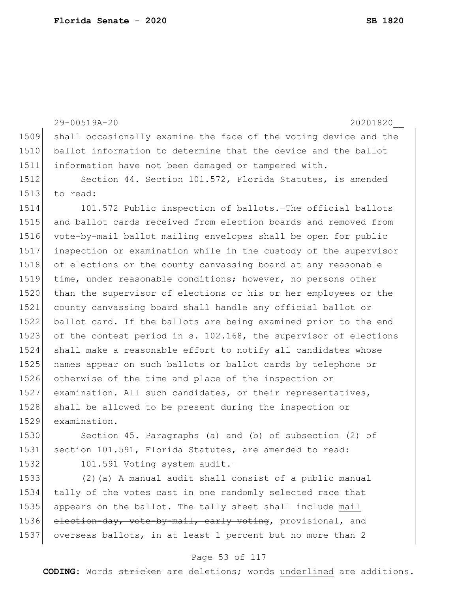|      | 29-00519A-20<br>20201820                                         |
|------|------------------------------------------------------------------|
| 1509 | shall occasionally examine the face of the voting device and the |
| 1510 | ballot information to determine that the device and the ballot   |
| 1511 | information have not been damaged or tampered with.              |
| 1512 | Section 44. Section 101.572, Florida Statutes, is amended        |
| 1513 | to read:                                                         |
| 1514 | 101.572 Public inspection of ballots. The official ballots       |
| 1515 | and ballot cards received from election boards and removed from  |
| 1516 | vote-by-mail ballot mailing envelopes shall be open for public   |
| 1517 | inspection or examination while in the custody of the supervisor |
| 1518 | of elections or the county canvassing board at any reasonable    |
| 1519 | time, under reasonable conditions; however, no persons other     |
| 1520 | than the supervisor of elections or his or her employees or the  |
| 1521 | county canvassing board shall handle any official ballot or      |
| 1522 | ballot card. If the ballots are being examined prior to the end  |
| 1523 | of the contest period in s. 102.168, the supervisor of elections |
| 1524 | shall make a reasonable effort to notify all candidates whose    |
| 1525 | names appear on such ballots or ballot cards by telephone or     |
| 1526 | otherwise of the time and place of the inspection or             |
| 1527 | examination. All such candidates, or their representatives,      |
| 1528 | shall be allowed to be present during the inspection or          |
| 1529 | examination.                                                     |
| 1530 | Section 45. Paragraphs (a) and (b) of subsection (2) of          |
| 1531 | section 101.591, Florida Statutes, are amended to read:          |
| 1532 | 101.591 Voting system audit.-                                    |

1533 (2)(a) A manual audit shall consist of a public manual 1534 tally of the votes cast in one randomly selected race that 1535 appears on the ballot. The tally sheet shall include mail 1536 election-day, vote-by-mail, early voting, provisional, and 1537 overseas ballots<sub>7</sub> in at least 1 percent but no more than 2

### Page 53 of 117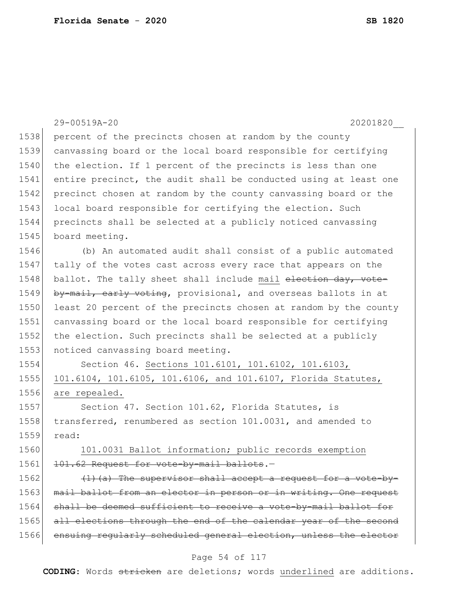|      | 29-00519A-20<br>20201820                                         |
|------|------------------------------------------------------------------|
| 1538 | percent of the precincts chosen at random by the county          |
| 1539 | canvassing board or the local board responsible for certifying   |
| 1540 | the election. If 1 percent of the precincts is less than one     |
| 1541 | entire precinct, the audit shall be conducted using at least one |
| 1542 | precinct chosen at random by the county canvassing board or the  |
| 1543 | local board responsible for certifying the election. Such        |
| 1544 | precincts shall be selected at a publicly noticed canvassing     |
| 1545 | board meeting.                                                   |
| 1546 | (b) An automated audit shall consist of a public automated       |
| 1547 | tally of the votes cast across every race that appears on the    |
| 1548 | ballot. The tally sheet shall include mail election day, vote-   |
| 1549 | by-mail, early voting, provisional, and overseas ballots in at   |
| 1550 | least 20 percent of the precincts chosen at random by the county |
| 1551 | canvassing board or the local board responsible for certifying   |
| 1552 | the election. Such precincts shall be selected at a publicly     |
| 1553 | noticed canvassing board meeting.                                |
| 1554 | Section 46. Sections 101.6101, 101.6102, 101.6103,               |
| 1555 | 101.6104, 101.6105, 101.6106, and 101.6107, Florida Statutes,    |
| 1556 | are repealed.                                                    |
| 1557 | Section 47. Section 101.62, Florida Statutes, is                 |
| 1558 | transferred, renumbered as section 101.0031, and amended to      |
| 1559 | read:                                                            |
| 1560 | 101.0031 Ballot information; public records exemption            |
| 1561 | 101.62 Request for vote-by-mail ballots.-                        |
| 1562 | $(1)$ (a) The supervisor shall accept a request for a vote-by-   |
| 1563 | mail ballot from an elector in person or in writing. One request |
| 1564 | shall be deemed sufficient to receive a vote-by-mail ballot for  |
| 1565 | all elections through the end of the calendar year of the second |
| 1566 | ensuing regularly scheduled general election, unless the elector |

# Page 54 of 117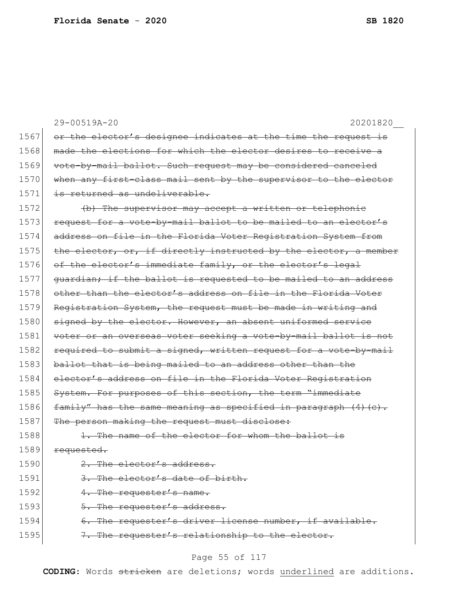|      | 29-00519A-20<br>20201820                                          |
|------|-------------------------------------------------------------------|
| 1567 | or the elector's designee indicates at the time the request is    |
| 1568 | made the elections for which the elector desires to receive a     |
| 1569 | vote-by-mail ballot. Such request may be considered canceled      |
| 1570 | when any first-class mail sent by the supervisor to the elector   |
| 1571 | is returned as undeliverable.                                     |
| 1572 | (b) The supervisor may accept a written or telephonic             |
| 1573 | request for a vote-by-mail ballot to be mailed to an elector's    |
| 1574 | address on file in the Florida Voter Registration System from     |
| 1575 | the elector, or, if directly instructed by the elector, a member  |
| 1576 | of the elector's immediate family, or the elector's legal         |
| 1577 | guardian; if the ballot is requested to be mailed to an address   |
| 1578 | other than the elector's address on file in the Florida Voter     |
| 1579 | Registration System, the request must be made in writing and      |
| 1580 | signed by the elector. However, an absent uniformed service       |
| 1581 | voter or an overseas voter seeking a vote-by-mail ballot is not   |
| 1582 | required to submit a signed, written request for a vote-by-mail   |
| 1583 | ballot that is being mailed to an address other than the          |
| 1584 | elector's address on file in the Florida Voter Registration       |
| 1585 | System. For purposes of this section, the term "immediate         |
| 1586 | family" has the same meaning as specified in paragraph $(4)$ (c). |
| 1587 | The person making the request must disclose:                      |
| 1588 | The name of the elector for whom the ballot is                    |
| 1589 | requested.                                                        |
| 1590 | 2. The elector's address.                                         |
| 1591 | 3. The elector's date of birth.                                   |
| 1592 | 4. The requester's name.                                          |
| 1593 | 5. The requester's address.                                       |
| 1594 | 6. The requester's driver license number, if available.           |
| 1595 | 7. The requester's relationship to the elector.                   |

# Page 55 of 117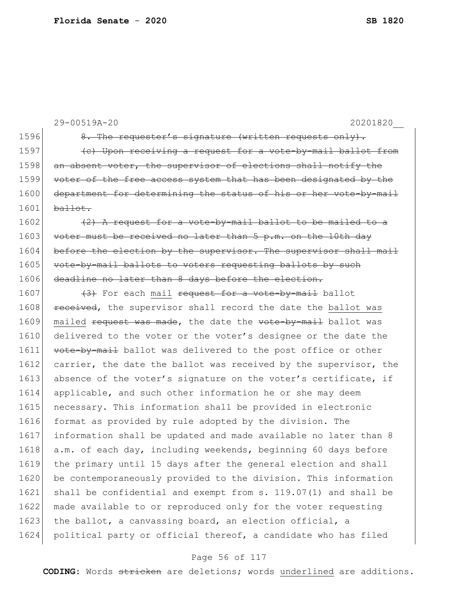|      | 20201820<br>29-00519A-20                                         |
|------|------------------------------------------------------------------|
| 1596 | 8. The requester's signature (written requests only).            |
| 1597 | (e) Upon receiving a request for a vote-by-mail ballot from      |
| 1598 | an absent voter, the supervisor of elections shall notify the    |
| 1599 | voter of the free access system that has been designated by the  |
| 1600 | department for determining the status of his or her vote-by-mail |
| 1601 | ballot.                                                          |
| 1602 | $(2)$ A request for a vote-by-mail ballot to be mailed to a      |
| 1603 | voter must be received no later than 5 p.m. on the 10th day      |
| 1604 | before the election by the supervisor. The supervisor shall mail |
| 1605 | vote-by-mail ballots to voters requesting ballots by such        |
| 1606 | deadline no later than 8 days before the election.               |
| 1607 | (3) For each mail request for a vote-by-mail ballot              |
| 1608 | received, the supervisor shall record the date the ballot was    |
| 1609 | mailed request was made, the date the vote-by-mail ballot was    |
| 1610 | delivered to the voter or the voter's designee or the date the   |
| 1611 | vote-by-mail ballot was delivered to the post office or other    |
| 1612 | carrier, the date the ballot was received by the supervisor, the |
| 1613 | absence of the voter's signature on the voter's certificate, if  |
| 1614 | applicable, and such other information he or she may deem        |
| 1615 | necessary. This information shall be provided in electronic      |
| 1616 | format as provided by rule adopted by the division. The          |
| 1617 | information shall be updated and made available no later than 8  |
| 1618 | a.m. of each day, including weekends, beginning 60 days before   |
| 1619 | the primary until 15 days after the general election and shall   |
| 1620 | be contemporaneously provided to the division. This information  |
| 1621 | shall be confidential and exempt from s. 119.07(1) and shall be  |
| 1622 | made available to or reproduced only for the voter requesting    |
| 1623 | the ballot, a canvassing board, an election official, a          |
| 1624 | political party or official thereof, a candidate who has filed   |

# Page 56 of 117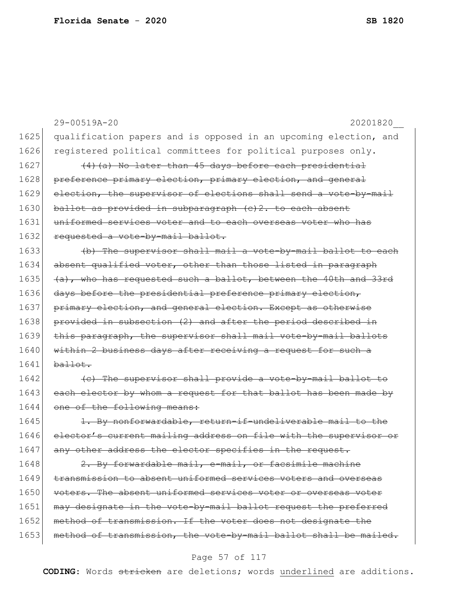|      | 29-00519A-20<br>20201820                                            |
|------|---------------------------------------------------------------------|
| 1625 | qualification papers and is opposed in an upcoming election, and    |
| 1626 | registered political committees for political purposes only.        |
| 1627 | (4) (a) No later than 45 days before each presidential              |
| 1628 | preference primary election, primary election, and general          |
| 1629 | election, the supervisor of elections shall send a vote-by-mail     |
| 1630 | ballot as provided in subparagraph (e)2. to each absent             |
| 1631 | uniformed services voter and to each overseas voter who has         |
| 1632 | requested a vote-by-mail ballot.                                    |
| 1633 | (b) The supervisor shall mail a vote-by-mail ballot to each         |
| 1634 | absent qualified voter, other than those listed in paragraph        |
| 1635 | (a), who has requested such a ballot, between the 40th and 33rd     |
| 1636 | days before the presidential preference primary election,           |
| 1637 | primary election, and general election. Except as otherwise         |
| 1638 | provided in subsection (2) and after the period described in        |
| 1639 | this paragraph, the supervisor shall mail vote-by-mail ballots      |
| 1640 | within 2 business days after receiving a request for such a         |
| 1641 | ballot.                                                             |
| 1642 | (e) The supervisor shall provide a vote-by-mail ballot to           |
| 1643 | each elector by whom a request for that ballot has been made by     |
| 1644 | one of the following means:                                         |
| 1645 | 1. By nonforwardable, return-if-undeliverable mail to the           |
| 1646 | elector's current mailing address on file with the<br>supervisor or |
| 1647 | any other address the elector specifies in the request.             |
| 1648 | 2. By forwardable mail, e-mail, or facsimile machine                |
| 1649 | transmission to absent uniformed services voters and overseas       |
| 1650 | voters. The absent uniformed services voter or overseas voter       |
| 1651 | may designate in the vote-by-mail ballot request the preferred      |
| 1652 | method of transmission. If the voter does not designate the         |
| 1653 | method of transmission, the vote-by-mail ballot shall be mailed.    |

# Page 57 of 117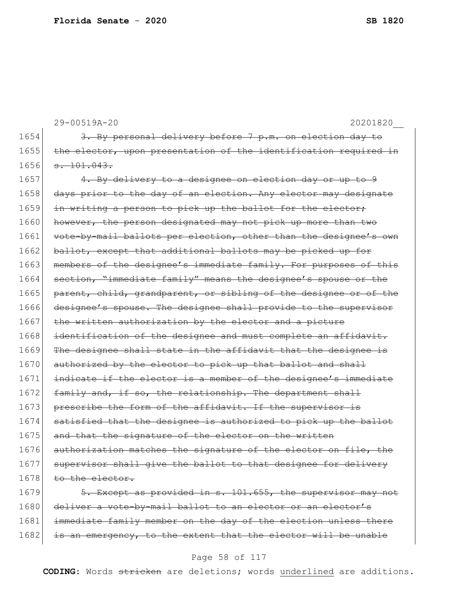```
29-00519A-20 20201820__
1654 3. By personal delivery before 7 p.m. on election day to
1655 the elector, upon presentation of the identification required in
1656 \overline{\phantom{0}3.101.043.}1657 4. By delivery to a designee on election day or up to 9
1658 days prior to the day of an election. Any elector may designate
1659 in writing a person to pick up the ballot for the elector;
1660 however, the person designated may not pick up more than two
1661 vote-by-mail ballots per election, other than the designee's own
1662 ballot, except that additional ballots may be picked up for
1663 members of the designee's immediate family. For purposes of this
1664 section, "immediate family" means the designee's spouse or the
1665 parent, child, grandparent, or sibling of the designee or of the
1666 designee's spouse. The designee shall provide to the supervisor
1667 the written authorization by the elector and a picture
1668 identification of the designee and must complete an affidavit.
1669 The designee shall state in the affidavit that the designee is
1670 authorized by the elector to pick up that ballot and shall
1671 indicate if the elector is a member of the designee's immediate
1672 family and, if so, the relationship. The department shall
1673 prescribe the form of the affidavit. If the supervisor is
1674 satisfied that the designee is authorized to pick up the ballot
1675 and that the signature of the elector on the written
1676 authorization matches the signature of the elector on file, the
1677 supervisor shall give the ballot to that designee for delivery
1678 to the elector.
1679 5. Except as provided in s. 101.655, the supervisor may not
1680 deliver a vote-by-mail ballot to an elector or an elector's
```
1681 immediate family member on the day of the election unless there 1682 is an emergency, to the extent that the elector will be unable

### Page 58 of 117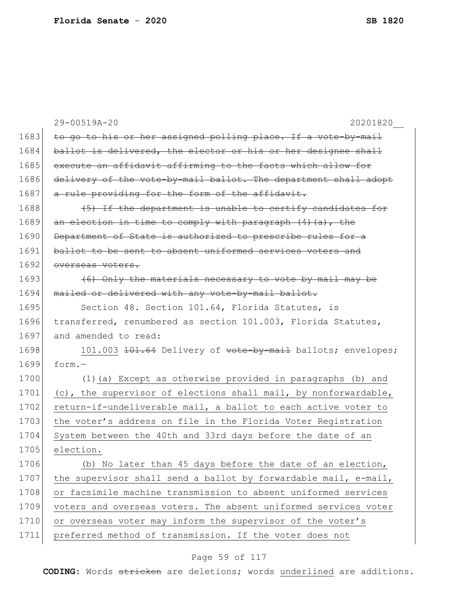|      | 29-00519A-20<br>20201820                                        |
|------|-----------------------------------------------------------------|
| 1683 | to go to his or her assigned polling place. If a vote-by-mail   |
| 1684 | ballot is delivered, the elector or his or her designee shall   |
| 1685 | execute an affidavit affirming to the facts which allow for     |
| 1686 | delivery of the vote-by-mail ballot. The department shall adopt |
| 1687 | a rule providing for the form of the affidavit.                 |
| 1688 | (5) If the department is unable to certify candidates for       |
| 1689 | an election in time to comply with paragraph $(4)$ $(a)$ , the  |
| 1690 | Department of State is authorized to prescribe rules for a      |
| 1691 | ballot to be sent to absent uniformed services voters and       |
| 1692 | overseas voters.                                                |
| 1693 | (6) Only the materials necessary to vote by mail may be         |
| 1694 | mailed or delivered with any vote-by-mail ballot.               |
| 1695 | Section 48. Section 101.64, Florida Statutes, is                |
| 1696 | transferred, renumbered as section 101.003, Florida Statutes,   |
| 1697 | and amended to read:                                            |
| 1698 | 101.003 101.64 Delivery of vote-by-mail ballots; envelopes;     |
| 1699 | $form. -$                                                       |
| 1700 | (1) (a) Except as otherwise provided in paragraphs (b) and      |
| 1701 | (c), the supervisor of elections shall mail, by nonforwardable, |
| 1702 | return-if-undeliverable mail, a ballot to each active voter to  |
| 1703 | the voter's address on file in the Florida Voter Registration   |
| 1704 | System between the 40th and 33rd days before the date of an     |
| 1705 | election.                                                       |
| 1706 | (b) No later than 45 days before the date of an election,       |
| 1707 | the supervisor shall send a ballot by forwardable mail, e-mail, |
| 1708 | or facsimile machine transmission to absent uniformed services  |
| 1709 | voters and overseas voters. The absent uniformed services voter |
| 1710 | or overseas voter may inform the supervisor of the voter's      |
| 1711 | preferred method of transmission. If the voter does not         |

# Page 59 of 117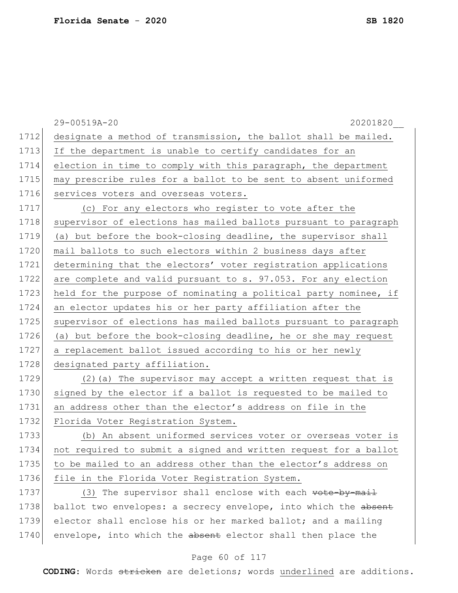|      | 29-00519A-20<br>20201820                                         |
|------|------------------------------------------------------------------|
| 1712 | designate a method of transmission, the ballot shall be mailed.  |
| 1713 | If the department is unable to certify candidates for an         |
| 1714 | election in time to comply with this paragraph, the department   |
| 1715 | may prescribe rules for a ballot to be sent to absent uniformed  |
| 1716 | services voters and overseas voters.                             |
| 1717 | (c) For any electors who register to vote after the              |
| 1718 | supervisor of elections has mailed ballots pursuant to paragraph |
| 1719 | (a) but before the book-closing deadline, the supervisor shall   |
| 1720 | mail ballots to such electors within 2 business days after       |
| 1721 | determining that the electors' voter registration applications   |
| 1722 | are complete and valid pursuant to s. 97.053. For any election   |
| 1723 | held for the purpose of nominating a political party nominee, if |
| 1724 | an elector updates his or her party affiliation after the        |
| 1725 | supervisor of elections has mailed ballots pursuant to paragraph |
| 1726 | (a) but before the book-closing deadline, he or she may request  |
| 1727 | a replacement ballot issued according to his or her newly        |
| 1728 | designated party affiliation.                                    |
| 1729 | (2) (a) The supervisor may accept a written request that is      |
| 1730 | signed by the elector if a ballot is requested to be mailed to   |
| 1731 | an address other than the elector's address on file in the       |
| 1732 | Florida Voter Registration System.                               |
| 1733 | (b) An absent uniformed services voter or overseas voter is      |
| 1734 | not required to submit a signed and written request for a ballot |
| 1735 | to be mailed to an address other than the elector's address on   |
| 1736 | file in the Florida Voter Registration System.                   |
| 1737 | (3) The supervisor shall enclose with each vote-by-mail          |
| 1738 | ballot two envelopes: a secrecy envelope, into which the absent  |
| 1739 | elector shall enclose his or her marked ballot; and a mailing    |
| 1740 | envelope, into which the absent elector shall then place the     |

# Page 60 of 117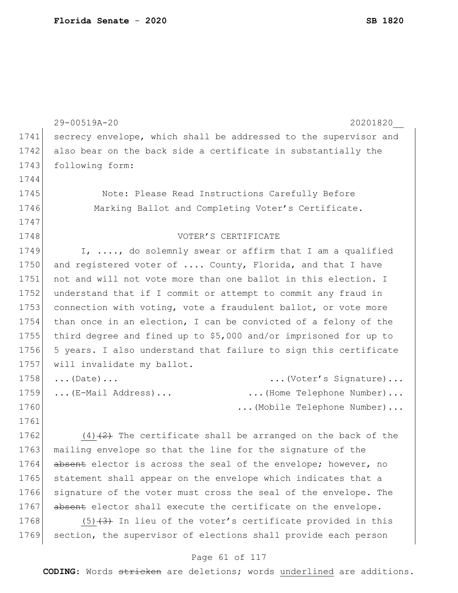|      | 29-00519A-20<br>20201820                                         |
|------|------------------------------------------------------------------|
| 1741 | secrecy envelope, which shall be addressed to the supervisor and |
| 1742 | also bear on the back side a certificate in substantially the    |
| 1743 | following form:                                                  |
| 1744 |                                                                  |
| 1745 | Note: Please Read Instructions Carefully Before                  |
| 1746 | Marking Ballot and Completing Voter's Certificate.               |
| 1747 |                                                                  |
| 1748 | VOTER'S CERTIFICATE                                              |
| 1749 | I, , do solemnly swear or affirm that I am a qualified           |
| 1750 | and registered voter of  County, Florida, and that I have        |
| 1751 | not and will not vote more than one ballot in this election. I   |
| 1752 | understand that if I commit or attempt to commit any fraud in    |
| 1753 | connection with voting, vote a fraudulent ballot, or vote more   |
| 1754 | than once in an election, I can be convicted of a felony of the  |
| 1755 | third degree and fined up to \$5,000 and/or imprisoned for up to |
| 1756 | 5 years. I also understand that failure to sign this certificate |
| 1757 | will invalidate my ballot.                                       |
| 1758 | (Voter's Signature)<br>$\ldots$ (Date) $\ldots$                  |
| 1759 | (E-Mail Address)<br>(Home Telephone Number)                      |
| 1760 | (Mobile Telephone Number)                                        |
| 1761 |                                                                  |
| 1762 | $(4)$ $(2)$ The certificate shall be arranged on the back of the |
| 1763 | mailing envelope so that the line for the signature of the       |
| 1764 | absent elector is across the seal of the envelope; however, no   |
| 1765 | statement shall appear on the envelope which indicates that a    |
| 1766 | signature of the voter must cross the seal of the envelope. The  |
| 1767 | absent elector shall execute the certificate on the envelope.    |
| 1768 | $(5)$ $(3)$ In lieu of the voter's certificate provided in this  |
| 1769 | section, the supervisor of elections shall provide each person   |

# Page 61 of 117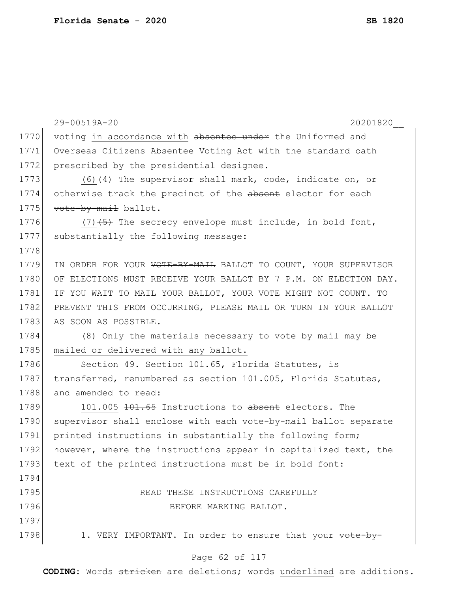|      | 29-00519A-20<br>20201820                                         |
|------|------------------------------------------------------------------|
| 1770 | voting in accordance with absentee under the Uniformed and       |
| 1771 | Overseas Citizens Absentee Voting Act with the standard oath     |
| 1772 | prescribed by the presidential designee.                         |
| 1773 | $(6)$ $(4)$ The supervisor shall mark, code, indicate on, or     |
| 1774 | otherwise track the precinct of the absent elector for each      |
| 1775 | vote-by-mail ballot.                                             |
| 1776 | $(7)$ $(4)$ The secrecy envelope must include, in bold font,     |
| 1777 | substantially the following message:                             |
| 1778 |                                                                  |
| 1779 | IN ORDER FOR YOUR VOTE-BY-MAIL BALLOT TO COUNT, YOUR SUPERVISOR  |
| 1780 | OF ELECTIONS MUST RECEIVE YOUR BALLOT BY 7 P.M. ON ELECTION DAY. |
| 1781 | IF YOU WAIT TO MAIL YOUR BALLOT, YOUR VOTE MIGHT NOT COUNT. TO   |
| 1782 | PREVENT THIS FROM OCCURRING, PLEASE MAIL OR TURN IN YOUR BALLOT  |
| 1783 | AS SOON AS POSSIBLE.                                             |
| 1784 | (8) Only the materials necessary to vote by mail may be          |
| 1785 | mailed or delivered with any ballot.                             |
| 1786 | Section 49. Section 101.65, Florida Statutes, is                 |
| 1787 | transferred, renumbered as section 101.005, Florida Statutes,    |
| 1788 | and amended to read:                                             |
| 1789 | 101.005 101.65 Instructions to absent electors. The              |
| 1790 | supervisor shall enclose with each vote-by-mail ballot separate  |
| 1791 | printed instructions in substantially the following form;        |
| 1792 | however, where the instructions appear in capitalized text, the  |
| 1793 | text of the printed instructions must be in bold font:           |
| 1794 |                                                                  |
| 1795 | READ THESE INSTRUCTIONS CAREFULLY                                |
| 1796 | BEFORE MARKING BALLOT.                                           |
| 1797 |                                                                  |
| 1798 | 1. VERY IMPORTANT. In order to ensure that your vote-by-         |
|      | Page 62 of 117                                                   |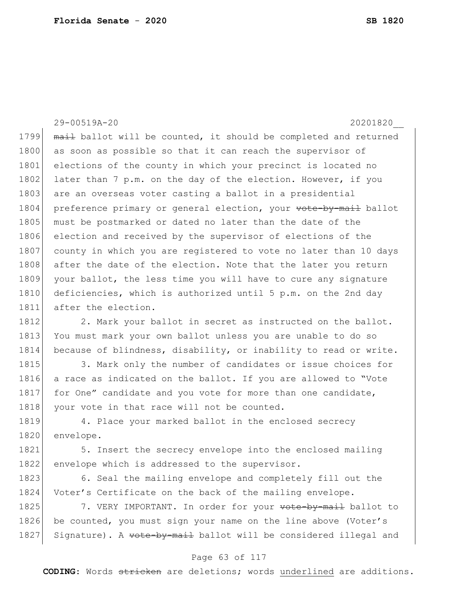29-00519A-20 20201820\_\_ 1799 mail ballot will be counted, it should be completed and returned 1800 as soon as possible so that it can reach the supervisor of 1801 elections of the county in which your precinct is located no 1802 later than 7 p.m. on the day of the election. However, if you 1803 are an overseas voter casting a ballot in a presidential 1804 preference primary or general election, your vote-by-mail ballot 1805 must be postmarked or dated no later than the date of the 1806 election and received by the supervisor of elections of the 1807 county in which you are registered to vote no later than 10 days 1808 after the date of the election. Note that the later you return 1809 your ballot, the less time you will have to cure any signature 1810 deficiencies, which is authorized until 5 p.m. on the 2nd day 1811 after the election. 1812 2. Mark your ballot in secret as instructed on the ballot.

1813 You must mark your own ballot unless you are unable to do so 1814 because of blindness, disability, or inability to read or write.

1815 3. Mark only the number of candidates or issue choices for 1816 a race as indicated on the ballot. If you are allowed to "Vote 1817 for One" candidate and you vote for more than one candidate, 1818 your vote in that race will not be counted.

1819 4. Place your marked ballot in the enclosed secrecy 1820 envelope.

1821 5. Insert the secrecy envelope into the enclosed mailing 1822 envelope which is addressed to the supervisor.

1823 6. Seal the mailing envelope and completely fill out the 1824 Voter's Certificate on the back of the mailing envelope.

1825 7. VERY IMPORTANT. In order for your vote-by-mail ballot to 1826 be counted, you must sign your name on the line above (Voter's 1827 Signature). A vote-by-mail ballot will be considered illegal and

### Page 63 of 117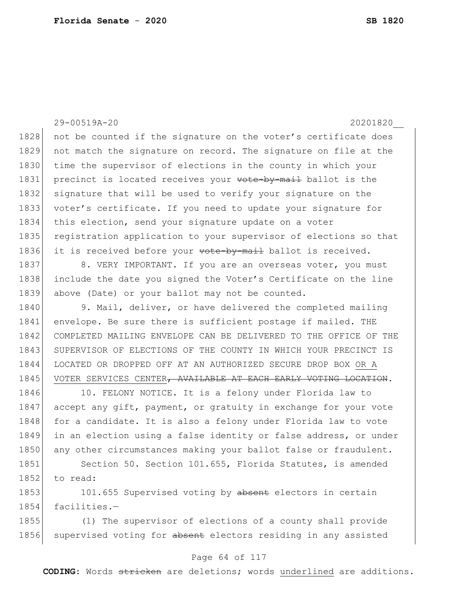29-00519A-20 20201820\_\_ 1828 not be counted if the signature on the voter's certificate does 1829 not match the signature on record. The signature on file at the 1830 time the supervisor of elections in the county in which your 1831 precinct is located receives your vote-by-mail ballot is the 1832 signature that will be used to verify your signature on the 1833 voter's certificate. If you need to update your signature for 1834 this election, send your signature update on a voter 1835 registration application to your supervisor of elections so that 1836 it is received before your vote by mail ballot is received. 1837 8. VERY IMPORTANT. If you are an overseas voter, you must 1838 include the date you signed the Voter's Certificate on the line 1839 above (Date) or your ballot may not be counted. 1840 9. Mail, deliver, or have delivered the completed mailing 1841 envelope. Be sure there is sufficient postage if mailed. THE 1842 COMPLETED MAILING ENVELOPE CAN BE DELIVERED TO THE OFFICE OF THE 1843 SUPERVISOR OF ELECTIONS OF THE COUNTY IN WHICH YOUR PRECINCT IS 1844 LOCATED OR DROPPED OFF AT AN AUTHORIZED SECURE DROP BOX OR A 1845 VOTER SERVICES CENTER, AVAILABLE AT EACH EARLY VOTING LOCATION. 1846 10. FELONY NOTICE. It is a felony under Florida law to 1847 accept any gift, payment, or gratuity in exchange for your vote 1848 for a candidate. It is also a felony under Florida law to vote 1849 in an election using a false identity or false address, or under 1850 any other circumstances making your ballot false or fraudulent. 1851 Section 50. Section 101.655, Florida Statutes, is amended 1852 to read: 1853 101.655 Supervised voting by absent electors in certain 1854 facilities.— 1855 (1) The supervisor of elections of a county shall provide

### Page 64 of 117

1856 supervised voting for absent electors residing in any assisted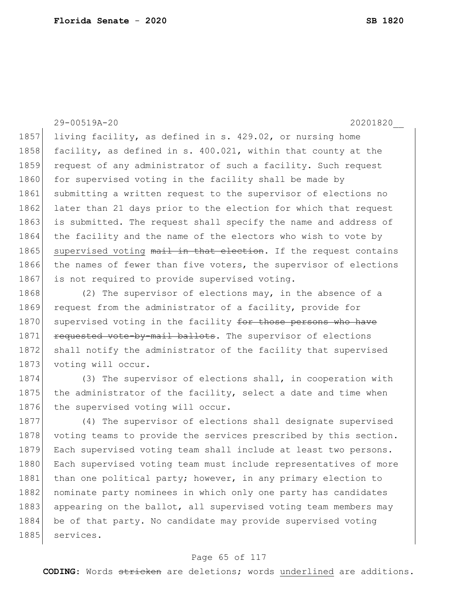### 29-00519A-20 20201820\_\_

1857 living facility, as defined in s. 429.02, or nursing home 1858 facility, as defined in s. 400.021, within that county at the 1859 request of any administrator of such a facility. Such request 1860 for supervised voting in the facility shall be made by 1861 submitting a written request to the supervisor of elections no 1862 later than 21 days prior to the election for which that request 1863 is submitted. The request shall specify the name and address of 1864 the facility and the name of the electors who wish to vote by 1865 supervised voting mail in that election. If the request contains 1866 the names of fewer than five voters, the supervisor of elections 1867 is not required to provide supervised voting.

1868 (2) The supervisor of elections may, in the absence of a 1869 request from the administrator of a facility, provide for 1870 supervised voting in the facility for those persons who have 1871 requested vote-by-mail ballots. The supervisor of elections 1872 shall notify the administrator of the facility that supervised 1873 voting will occur.

1874 (3) The supervisor of elections shall, in cooperation with 1875 the administrator of the facility, select a date and time when 1876 the supervised voting will occur.

1877 (4) The supervisor of elections shall designate supervised 1878 voting teams to provide the services prescribed by this section. 1879 Each supervised voting team shall include at least two persons. 1880 Each supervised voting team must include representatives of more 1881 than one political party; however, in any primary election to 1882 nominate party nominees in which only one party has candidates 1883 appearing on the ballot, all supervised voting team members may 1884 be of that party. No candidate may provide supervised voting 1885 services.

### Page 65 of 117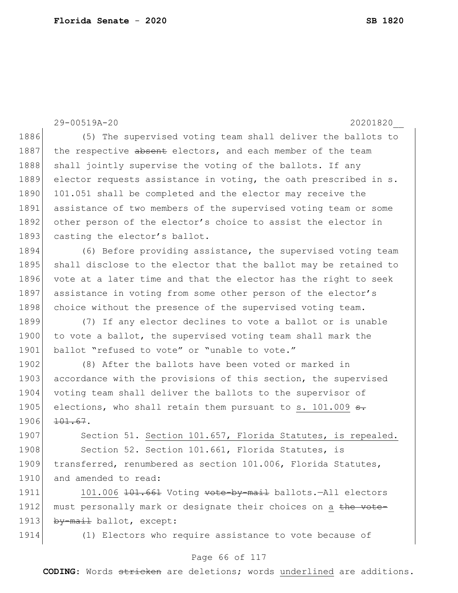29-00519A-20 20201820\_\_ 1886 (5) The supervised voting team shall deliver the ballots to 1887 the respective absent electors, and each member of the team 1888 shall jointly supervise the voting of the ballots. If any 1889 elector requests assistance in voting, the oath prescribed in s. 1890 101.051 shall be completed and the elector may receive the 1891 assistance of two members of the supervised voting team or some 1892 other person of the elector's choice to assist the elector in 1893 casting the elector's ballot. 1894 (6) Before providing assistance, the supervised voting team 1895 shall disclose to the elector that the ballot may be retained to 1896 vote at a later time and that the elector has the right to seek 1897 assistance in voting from some other person of the elector's 1898 choice without the presence of the supervised voting team. 1899 (7) If any elector declines to vote a ballot or is unable 1900 to vote a ballot, the supervised voting team shall mark the 1901 ballot "refused to vote" or "unable to vote." 1902 (8) After the ballots have been voted or marked in 1903 accordance with the provisions of this section, the supervised 1904 voting team shall deliver the ballots to the supervisor of 1905 elections, who shall retain them pursuant to s. 101.009 s. 1906 101.67. 1907 Section 51. Section 101.657, Florida Statutes, is repealed. 1908 Section 52. Section 101.661, Florida Statutes, is 1909 transferred, renumbered as section 101.006, Florida Statutes, 1910 and amended to read: 1911 101.006 101.661 Voting vote-by-mail ballots.-All electors 1912 must personally mark or designate their choices on a the vote-1913 by-mail ballot, except: 1914 (1) Electors who require assistance to vote because of

### Page 66 of 117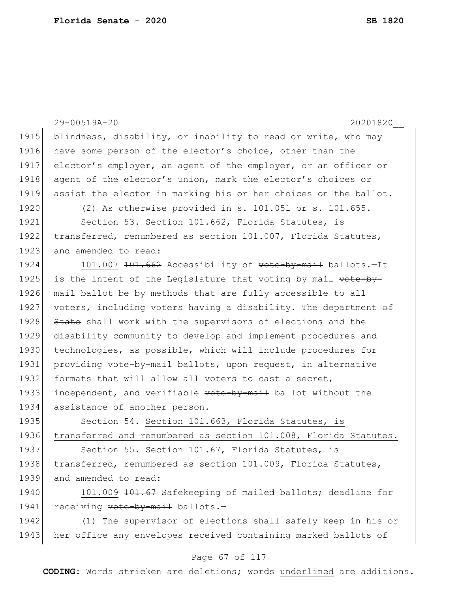|      | 29-00519A-20<br>20201820                                         |
|------|------------------------------------------------------------------|
| 1915 | blindness, disability, or inability to read or write, who may    |
| 1916 | have some person of the elector's choice, other than the         |
| 1917 | elector's employer, an agent of the employer, or an officer or   |
| 1918 | agent of the elector's union, mark the elector's choices or      |
| 1919 | assist the elector in marking his or her choices on the ballot.  |
| 1920 | (2) As otherwise provided in s. 101.051 or s. 101.655.           |
| 1921 | Section 53. Section 101.662, Florida Statutes, is                |
| 1922 | transferred, renumbered as section 101.007, Florida Statutes,    |
| 1923 | and amended to read:                                             |
| 1924 | 101.007 101.662 Accessibility of vote-by-mail ballots.-It        |
| 1925 | is the intent of the Legislature that voting by mail vote by     |
| 1926 | mail ballot be by methods that are fully accessible to all       |
| 1927 | voters, including voters having a disability. The department of  |
| 1928 | State shall work with the supervisors of elections and the       |
| 1929 | disability community to develop and implement procedures and     |
| 1930 | technologies, as possible, which will include procedures for     |
| 1931 | providing vote-by-mail ballots, upon request, in alternative     |
| 1932 | formats that will allow all voters to cast a secret,             |
| 1933 | independent, and verifiable vote-by-mail ballot without the      |
| 1934 | assistance of another person.                                    |
| 1935 | Section 54. Section 101.663, Florida Statutes, is                |
| 1936 | transferred and renumbered as section 101.008, Florida Statutes. |
| 1937 | Section 55. Section 101.67, Florida Statutes, is                 |
| 1938 | transferred, renumbered as section 101.009, Florida Statutes,    |
| 1939 | and amended to read:                                             |
| 1940 | 101.009 101.67 Safekeeping of mailed ballots; deadline for       |
| 1941 | receiving <del>vote-by-mail</del> ballots.-                      |
| 1942 | (1) The supervisor of elections shall safely keep in his or      |
| 1943 | her office any envelopes received containing marked ballots of   |
|      |                                                                  |

### Page 67 of 117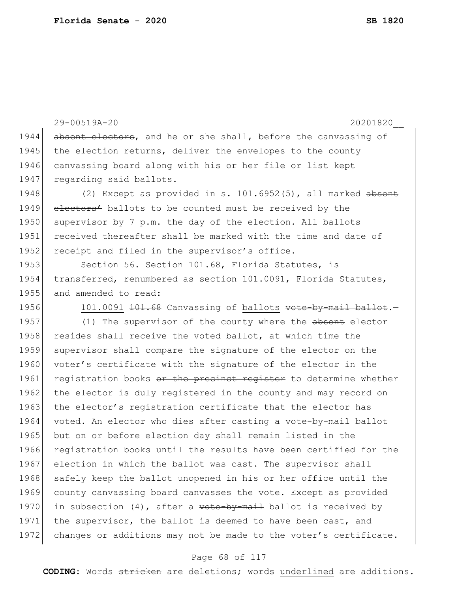29-00519A-20 20201820\_\_ 1944 absent electors, and he or she shall, before the canvassing of 1945 the election returns, deliver the envelopes to the county 1946 canvassing board along with his or her file or list kept 1947 regarding said ballots. 1948 (2) Except as provided in s. 101.6952(5), all marked absent 1949 electors' ballots to be counted must be received by the 1950 supervisor by 7 p.m. the day of the election. All ballots 1951 received thereafter shall be marked with the time and date of 1952 receipt and filed in the supervisor's office. 1953 Section 56. Section 101.68, Florida Statutes, is 1954 transferred, renumbered as section 101.0091, Florida Statutes, 1955 and amended to read: 1956 101.0091 101.68 Canvassing of ballots vote-by-mail ballot. 1957 (1) The supervisor of the county where the absent elector 1958 resides shall receive the voted ballot, at which time the 1959 supervisor shall compare the signature of the elector on the 1960 voter's certificate with the signature of the elector in the 1961 registration books or the precinct register to determine whether 1962 the elector is duly registered in the county and may record on 1963 the elector's registration certificate that the elector has 1964 voted. An elector who dies after casting a vote-by-mail ballot 1965 but on or before election day shall remain listed in the 1966 registration books until the results have been certified for the 1967 election in which the ballot was cast. The supervisor shall 1968 safely keep the ballot unopened in his or her office until the 1969 county canvassing board canvasses the vote. Except as provided 1970 in subsection (4), after a  $\text{yot}$ - $\text{yend}$  ballot is received by 1971 the supervisor, the ballot is deemed to have been cast, and 1972 changes or additions may not be made to the voter's certificate.

#### Page 68 of 117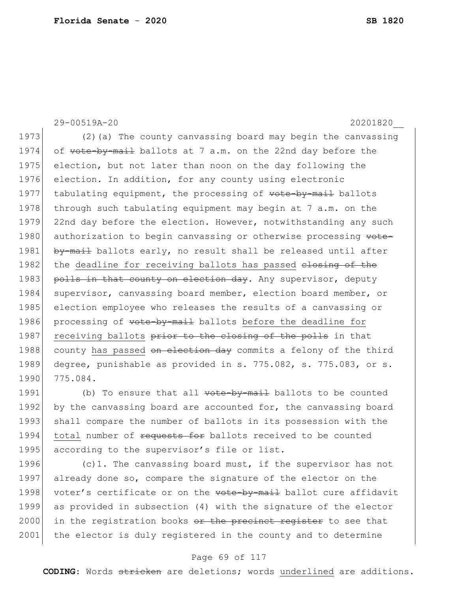29-00519A-20 20201820\_\_ 1973 (2) (a) The county canvassing board may begin the canvassing 1974 of vote-by-mail ballots at 7 a.m. on the 22nd day before the 1975 election, but not later than noon on the day following the 1976 election. In addition, for any county using electronic 1977 tabulating equipment, the processing of vote-by-mail ballots 1978 through such tabulating equipment may begin at 7 a.m. on the 1979 22nd day before the election. However, notwithstanding any such 1980 authorization to begin canvassing or otherwise processing vote-1981 by-mail ballots early, no result shall be released until after 1982 the deadline for receiving ballots has passed elesing of the 1983 polls in that county on election day. Any supervisor, deputy 1984 supervisor, canvassing board member, election board member, or 1985 election employee who releases the results of a canvassing or 1986 processing of vote-by-mail ballots before the deadline for 1987 receiving ballots prior to the closing of the polls in that 1988 county has passed on election day commits a felony of the third 1989 degree, punishable as provided in s. 775.082, s. 775.083, or s. 1990 775.084.

1991 (b) To ensure that all vote-by-mail ballots to be counted 1992 by the canvassing board are accounted for, the canvassing board 1993 shall compare the number of ballots in its possession with the 1994 total number of requests for ballots received to be counted 1995 according to the supervisor's file or list.

1996  $\vert$  (c)1. The canvassing board must, if the supervisor has not 1997 already done so, compare the signature of the elector on the 1998 voter's certificate or on the vote-by-mail ballot cure affidavit 1999 as provided in subsection (4) with the signature of the elector  $2000$  in the registration books  $\theta$  the precinct register to see that 2001 the elector is duly registered in the county and to determine

### Page 69 of 117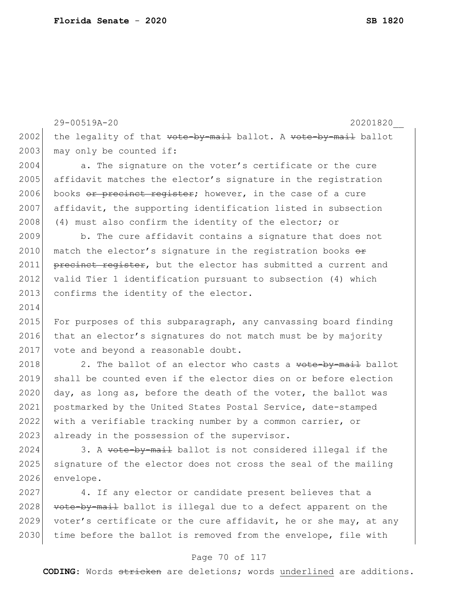29-00519A-20 20201820\_\_ 2002 the legality of that  $vote-by-mail$  ballot. A vote-by-mail ballot 2003 may only be counted if: 2004 a. The signature on the voter's certificate or the cure 2005 affidavit matches the elector's signature in the registration 2006 books  $\sigma$  precinct register; however, in the case of a cure 2007 affidavit, the supporting identification listed in subsection 2008 (4) must also confirm the identity of the elector; or 2009 b. The cure affidavit contains a signature that does not 2010 match the elector's signature in the registration books  $\Theta$ 2011 **precinct register,** but the elector has submitted a current and 2012 valid Tier 1 identification pursuant to subsection (4) which 2013 confirms the identity of the elector. 2014 2015 For purposes of this subparagraph, any canvassing board finding 2016 that an elector's signatures do not match must be by majority 2017 vote and beyond a reasonable doubt. 2018 2. The ballot of an elector who casts a  $\overline{v}$  vote-by-mail ballot 2019 shall be counted even if the elector dies on or before election 2020 day, as long as, before the death of the voter, the ballot was 2021 postmarked by the United States Postal Service, date-stamped 2022 with a verifiable tracking number by a common carrier, or 2023 already in the possession of the supervisor. 2024 3. A  $\overline{v}$  vote-by-mail ballot is not considered illegal if the 2025 signature of the elector does not cross the seal of the mailing 2026 envelope. 2027 4. If any elector or candidate present believes that a 2028 vote-by-mail ballot is illegal due to a defect apparent on the

#### Page 70 of 117

2029 voter's certificate or the cure affidavit, he or she may, at any 2030 time before the ballot is removed from the envelope, file with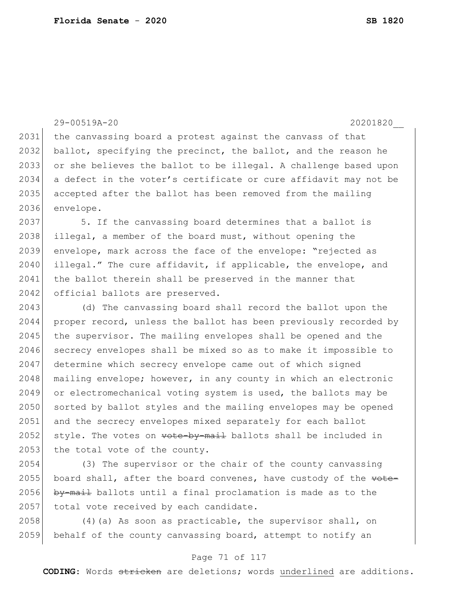29-00519A-20 20201820\_\_ 2031 | the canvassing board a protest against the canvass of that 2032 ballot, specifying the precinct, the ballot, and the reason he 2033 or she believes the ballot to be illegal. A challenge based upon 2034 a defect in the voter's certificate or cure affidavit may not be 2035 accepted after the ballot has been removed from the mailing 2036 envelope. 2037 5. If the canvassing board determines that a ballot is 2038 illegal, a member of the board must, without opening the 2039 envelope, mark across the face of the envelope: "rejected as 2040 illegal." The cure affidavit, if applicable, the envelope, and 2041 the ballot therein shall be preserved in the manner that 2042 official ballots are preserved. 2043 (d) The canvassing board shall record the ballot upon the 2044 proper record, unless the ballot has been previously recorded by 2045 the supervisor. The mailing envelopes shall be opened and the 2046 secrecy envelopes shall be mixed so as to make it impossible to 2047 determine which secrecy envelope came out of which signed  $2048$  mailing envelope; however, in any county in which an electronic 2049 or electromechanical voting system is used, the ballots may be 2050 sorted by ballot styles and the mailing envelopes may be opened 2051 and the secrecy envelopes mixed separately for each ballot 2052 style. The votes on  $\text{vote-by-mail}$  ballots shall be included in 2053 the total vote of the county. 2054 (3) The supervisor or the chair of the county canvassing 2055 board shall, after the board convenes, have custody of the  $\theta$ 2056 by-mail ballots until a final proclamation is made as to the

2058 (4)(a) As soon as practicable, the supervisor shall, on 2059 behalf of the county canvassing board, attempt to notify an

2057 total vote received by each candidate.

#### Page 71 of 117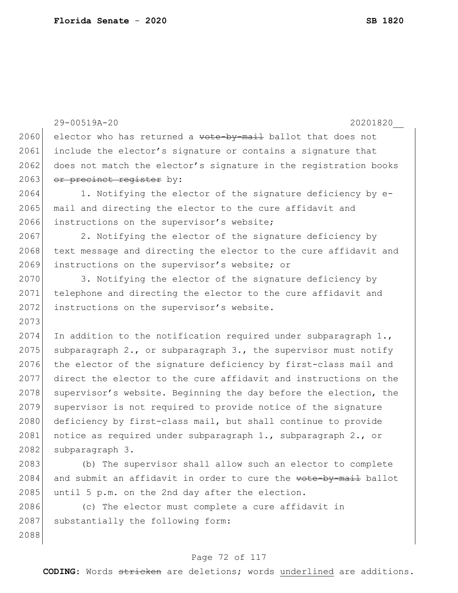2088

```
29-00519A-20 20201820__
2060 elector who has returned a \texttt{vote-by-mail} ballot that does not
2061 include the elector's signature or contains a signature that
2062 does not match the elector's signature in the registration books
2063 or precinct register by:
2064 1. Notifying the elector of the signature deficiency by e-
2065 mail and directing the elector to the cure affidavit and
2066 instructions on the supervisor's website;
2067 2. Notifying the elector of the signature deficiency by
2068 text message and directing the elector to the cure affidavit and
2069 instructions on the supervisor's website; or
2070 3. Notifying the elector of the signature deficiency by
2071 telephone and directing the elector to the cure affidavit and 
2072 instructions on the supervisor's website.
2073
2074 In addition to the notification required under subparagraph 1.,
2075 subparagraph 2., or subparagraph 3., the supervisor must notify
2076 the elector of the signature deficiency by first-class mail and
2077 direct the elector to the cure affidavit and instructions on the 
2078 supervisor's website. Beginning the day before the election, the
2079 supervisor is not required to provide notice of the signature 
2080 deficiency by first-class mail, but shall continue to provide
2081 | notice as required under subparagraph 1., subparagraph 2., or
2082 subparagraph 3.
2083 (b) The supervisor shall allow such an elector to complete 
2084 and submit an affidavit in order to cure the vote-by-mail ballot
2085 until 5 p.m. on the 2nd day after the election.
2086 (c) The elector must complete a cure affidavit in 
2087 substantially the following form:
```
### Page 72 of 117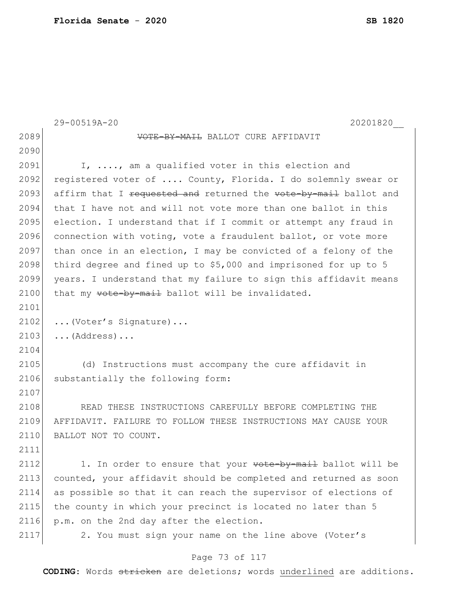|      | 29-00519A-20<br>20201820                                         |
|------|------------------------------------------------------------------|
| 2089 | VOTE-BY-MAIL BALLOT CURE AFFIDAVIT                               |
| 2090 |                                                                  |
| 2091 | I, , am a qualified voter in this election and                   |
| 2092 | registered voter of  County, Florida. I do solemnly swear or     |
| 2093 | affirm that I requested and returned the vote-by-mail ballot and |
| 2094 | that I have not and will not vote more than one ballot in this   |
| 2095 | election. I understand that if I commit or attempt any fraud in  |
| 2096 | connection with voting, vote a fraudulent ballot, or vote more   |
| 2097 | than once in an election, I may be convicted of a felony of the  |
| 2098 | third degree and fined up to \$5,000 and imprisoned for up to 5  |
| 2099 | years. I understand that my failure to sign this affidavit means |
| 2100 | that my vote-by-mail ballot will be invalidated.                 |
| 2101 |                                                                  |
| 2102 | (Voter's Signature)                                              |
| 2103 | $\ldots$ (Address) $\ldots$                                      |
| 2104 |                                                                  |
| 2105 | (d) Instructions must accompany the cure affidavit in            |
| 2106 | substantially the following form:                                |
| 2107 |                                                                  |
| 2108 | READ THESE INSTRUCTIONS CAREFULLY BEFORE COMPLETING THE          |
| 2109 | AFFIDAVIT. FAILURE TO FOLLOW THESE INSTRUCTIONS MAY CAUSE YOUR   |
| 2110 | BALLOT NOT TO COUNT.                                             |
| 2111 |                                                                  |
| 2112 | 1. In order to ensure that your wote-by-mail ballot will be      |
| 2113 | counted, your affidavit should be completed and returned as soon |
| 2114 | as possible so that it can reach the supervisor of elections of  |
| 2115 | the county in which your precinct is located no later than 5     |
| 2116 | p.m. on the 2nd day after the election.                          |
| 2117 | 2. You must sign your name on the line above (Voter's            |

# Page 73 of 117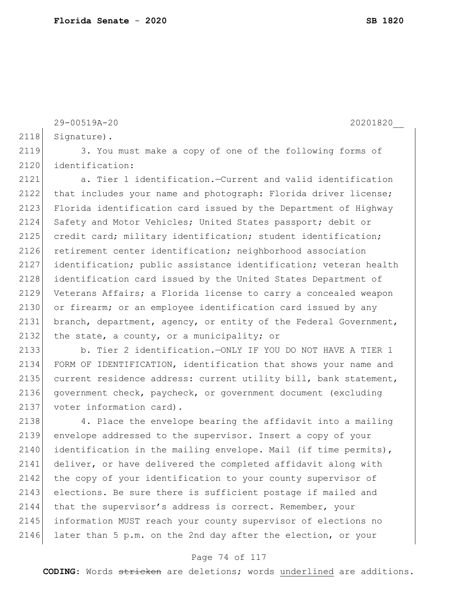```
29-00519A-20 20201820__
2118 Signature).
2119 3. You must make a copy of one of the following forms of
2120 identification:
2121 a. Tier 1 identification.—Current and valid identification 
2122 that includes your name and photograph: Florida driver license;
2123 Florida identification card issued by the Department of Highway
2124 Safety and Motor Vehicles; United States passport; debit or
2125 credit card; military identification; student identification;
2126 retirement center identification; neighborhood association
2127 identification; public assistance identification; veteran health 
2128 identification card issued by the United States Department of
2129 Veterans Affairs; a Florida license to carry a concealed weapon 
2130 or firearm; or an employee identification card issued by any
2131 branch, department, agency, or entity of the Federal Government, 
2132 the state, a county, or a municipality; or
```
2133 b. Tier 2 identification.—ONLY IF YOU DO NOT HAVE A TIER 1 2134 FORM OF IDENTIFICATION, identification that shows your name and 2135 current residence address: current utility bill, bank statement, 2136 government check, paycheck, or government document (excluding 2137 voter information card).

2138 4. Place the envelope bearing the affidavit into a mailing 2139 envelope addressed to the supervisor. Insert a copy of your 2140 identification in the mailing envelope. Mail (if time permits), 2141 deliver, or have delivered the completed affidavit along with 2142 the copy of your identification to your county supervisor of 2143 elections. Be sure there is sufficient postage if mailed and 2144 that the supervisor's address is correct. Remember, your 2145 information MUST reach your county supervisor of elections no 2146 later than 5 p.m. on the 2nd day after the election, or your

### Page 74 of 117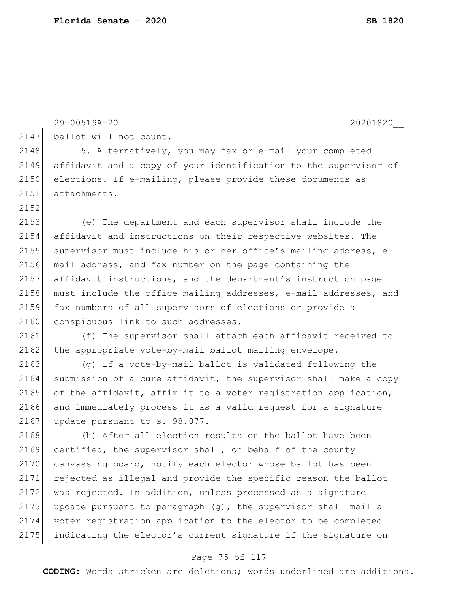|      | 29-00519A-20<br>20201820                                         |
|------|------------------------------------------------------------------|
| 2147 | ballot will not count.                                           |
| 2148 | 5. Alternatively, you may fax or e-mail your completed           |
| 2149 | affidavit and a copy of your identification to the supervisor of |
| 2150 | elections. If e-mailing, please provide these documents as       |
| 2151 | attachments.                                                     |
| 2152 |                                                                  |
| 2153 | (e) The department and each supervisor shall include the         |
| 2154 | affidavit and instructions on their respective websites. The     |
| 2155 | supervisor must include his or her office's mailing address, e-  |
| 2156 | mail address, and fax number on the page containing the          |
| 2157 | affidavit instructions, and the department's instruction page    |
| 2158 | must include the office mailing addresses, e-mail addresses, and |
| 2159 | fax numbers of all supervisors of elections or provide a         |
| 2160 | conspicuous link to such addresses.                              |
| 2161 | (f) The supervisor shall attach each affidavit received to       |
| 2162 | the appropriate vote-by-mail ballot mailing envelope.            |
| 2163 | (g) If a vote-by-mail ballot is validated following the          |
| 2164 | submission of a cure affidavit, the supervisor shall make a copy |
| 2165 | of the affidavit, affix it to a voter registration application,  |
| 2166 | and immediately process it as a valid request for a signature    |
| 2167 | update pursuant to s. 98.077.                                    |
| 2168 | (h) After all election results on the ballot have been           |
| 2169 | certified, the supervisor shall, on behalf of the county         |
| 2170 | canvassing board, notify each elector whose ballot has been      |
| 2171 | rejected as illegal and provide the specific reason the ballot   |
| 2172 | was rejected. In addition, unless processed as a signature       |
| 2173 | update pursuant to paragraph (g), the supervisor shall mail a    |
| 2174 | voter registration application to the elector to be completed    |
| 2175 | indicating the elector's current signature if the signature on   |

# Page 75 of 117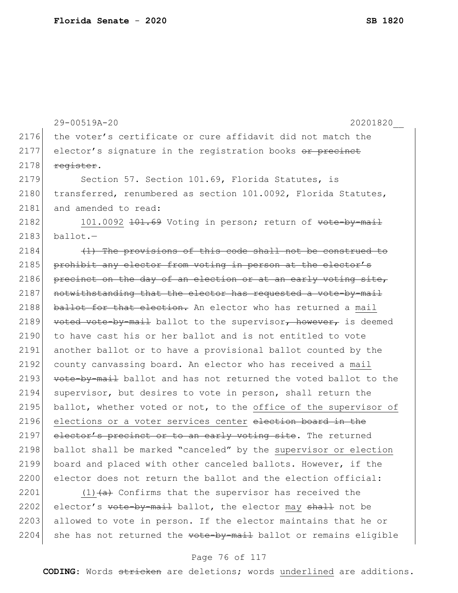29-00519A-20 20201820\_\_ 2176 the voter's certificate or cure affidavit did not match the  $2177$  elector's signature in the registration books  $\overline{or}$  precinct  $2178$  register. 2179 Section 57. Section 101.69, Florida Statutes, is 2180 transferred, renumbered as section 101.0092, Florida Statutes, 2181 and amended to read: 2182 101.0092 101.69 Voting in person; return of vote-by-mail  $2183$  ballot. $-$ 2184 (1) The provisions of this code shall not be construed to 2185 prohibit any elector from voting in person at the elector's 2186 precinct on the day of an election or at an early voting site, 2187 notwithstanding that the elector has requested a vote-by-mail 2188 ballot for that election. An elector who has returned a mail 2189 voted vote-by-mail ballot to the supervisor, however, is deemed 2190 to have cast his or her ballot and is not entitled to vote 2191 another ballot or to have a provisional ballot counted by the 2192 county canvassing board. An elector who has received a mail 2193 vote-by-mail ballot and has not returned the voted ballot to the 2194 supervisor, but desires to vote in person, shall return the 2195 ballot, whether voted or not, to the office of the supervisor of 2196 elections or a voter services center election board in the 2197 elector's precinct or to an early voting site. The returned 2198 ballot shall be marked "canceled" by the supervisor or election 2199 board and placed with other canceled ballots. However, if the 2200 elector does not return the ballot and the election official: 2201 (1) $\left(4\right)$  Confirms that the supervisor has received the 2202 elector's  $\overline{v}$  vote-by-mail ballot, the elector may shall not be 2203 allowed to vote in person. If the elector maintains that he or

#### Page 76 of 117

 $2204$  she has not returned the  $\overline{\text{vote-by-mail}}$  ballot or remains eligible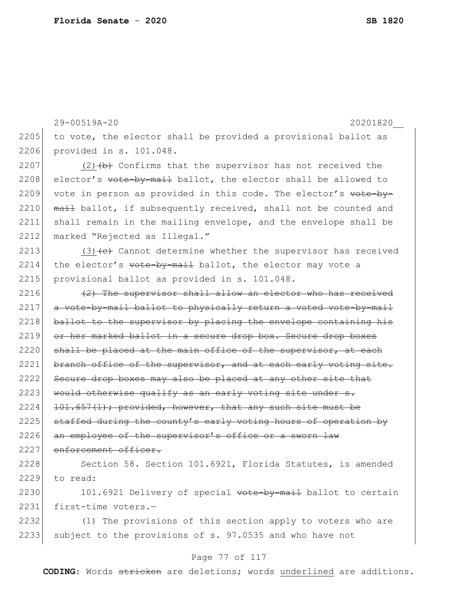29-00519A-20 20201820\_\_  $2205$  to vote, the elector shall be provided a provisional ballot as 2206 provided in s. 101.048. 2207 (2) $\left(\frac{b}{b}\right)$  Confirms that the supervisor has not received the 2208 elector's vote-by-mail ballot, the elector shall be allowed to 2209 vote in person as provided in this code. The elector's  $\text{vote}-\text{by}-$ 2210  $\overline{mat}$  ballot, if subsequently received, shall not be counted and 2211 shall remain in the mailing envelope, and the envelope shall be 2212 marked "Rejected as Illegal." 2213 (3)  $\left($ e $\right)$  Cannot determine whether the supervisor has received 2214 the elector's  $\frac{1}{2214}$  ballot, the elector may vote a 2215 provisional ballot as provided in s. 101.048.  $2216$  (2) The supervisor shall allow an elector who has received 2217 a vote-by-mail ballot to physically return a voted vote-by-mail 2218 ballot to the supervisor by placing the envelope containing his 2219 or her marked ballot in a secure drop box. Secure drop boxes  $2220$  shall be placed at the main office of the supervisor, at each 2221 branch office of the supervisor, and at each early voting site. 2222 Secure drop boxes may also be placed at any other site that 2223 would otherwise qualify as an early voting site under  $s$ .  $2224$  101.657(1); provided, however, that any such site must be 2225 staffed during the county's early voting hours of operation by 2226 an employee of the supervisor's office or a sworn law 2227 enforcement officer. 2228 Section 58. Section 101.6921, Florida Statutes, is amended 2229 to read: 2230 101.6921 Delivery of special vote-by-mail ballot to certain 2231 first-time voters.-2232 (1) The provisions of this section apply to voters who are 2233 subject to the provisions of s. 97.0535 and who have not

### Page 77 of 117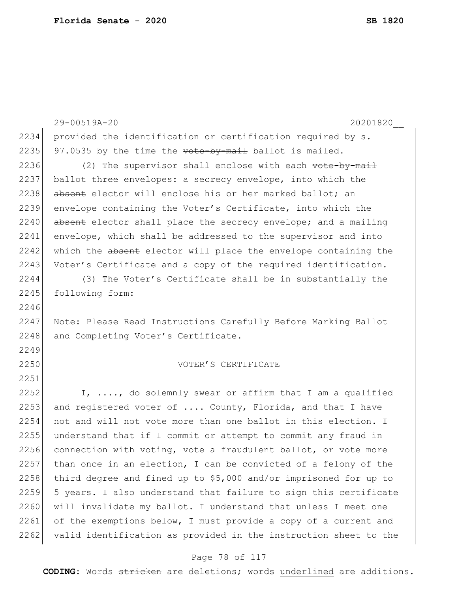29-00519A-20 20201820\_\_ 2234 provided the identification or certification required by s. 2235 97.0535 by the time the  $\overline{\text{vote}}$ -by-mail ballot is mailed. 2236  $(2)$  The supervisor shall enclose with each  $\text{y-mod-1}$ 2237 ballot three envelopes: a secrecy envelope, into which the 2238 absent elector will enclose his or her marked ballot; an 2239 envelope containing the Voter's Certificate, into which the 2240 absent elector shall place the secrecy envelope; and a mailing 2241 envelope, which shall be addressed to the supervisor and into 2242 which the absent elector will place the envelope containing the 2243 Voter's Certificate and a copy of the required identification. 2244 (3) The Voter's Certificate shall be in substantially the 2245 following form: 2246 2247 Note: Please Read Instructions Carefully Before Marking Ballot 2248 and Completing Voter's Certificate. 2249 2250 VOTER'S CERTIFICATE 2251 2252 I,  $\ldots$ , do solemnly swear or affirm that I am a qualified 2253 and registered voter of  $\ldots$  County, Florida, and that I have 2254 not and will not vote more than one ballot in this election. I 2255 understand that if I commit or attempt to commit any fraud in 2256 connection with voting, vote a fraudulent ballot, or vote more 2257 than once in an election, I can be convicted of a felony of the 2258 third degree and fined up to  $$5,000$  and/or imprisoned for up to 2259 5 years. I also understand that failure to sign this certificate 2260 will invalidate my ballot. I understand that unless I meet one 2261 of the exemptions below, I must provide a copy of a current and 2262 valid identification as provided in the instruction sheet to the

### Page 78 of 117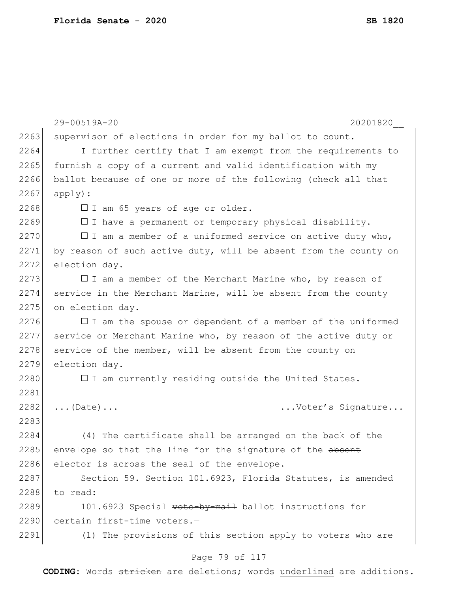|      | 29-00519A-20<br>20201820                                         |
|------|------------------------------------------------------------------|
| 2263 | supervisor of elections in order for my ballot to count.         |
| 2264 | I further certify that I am exempt from the requirements to      |
| 2265 | furnish a copy of a current and valid identification with my     |
| 2266 | ballot because of one or more of the following (check all that   |
| 2267 | apply):                                                          |
| 2268 | $\square$ I am 65 years of age or older.                         |
| 2269 | $\Box$ I have a permanent or temporary physical disability.      |
| 2270 | $\Box$ I am a member of a uniformed service on active duty who,  |
| 2271 | by reason of such active duty, will be absent from the county on |
| 2272 | election day.                                                    |
| 2273 | $\Box$ I am a member of the Merchant Marine who, by reason of    |
| 2274 | service in the Merchant Marine, will be absent from the county   |
| 2275 | on election day.                                                 |
| 2276 | $\Box$ I am the spouse or dependent of a member of the uniformed |
| 2277 | service or Merchant Marine who, by reason of the active duty or  |
| 2278 | service of the member, will be absent from the county on         |
| 2279 | election day.                                                    |
| 2280 | $\square$ I am currently residing outside the United States.     |
| 2281 |                                                                  |
| 2282 | Voter's Signature<br>$\ldots$ (Date) $\ldots$                    |
| 2283 |                                                                  |
| 2284 | (4) The certificate shall be arranged on the back of the         |
| 2285 | envelope so that the line for the signature of the absent        |
| 2286 | elector is across the seal of the envelope.                      |
| 2287 | Section 59. Section 101.6923, Florida Statutes, is amended       |
| 2288 | to read:                                                         |
| 2289 | 101.6923 Special vote-by-mail ballot instructions for            |
| 2290 | certain first-time voters.-                                      |
| 2291 | (1) The provisions of this section apply to voters who are       |
|      |                                                                  |

# Page 79 of 117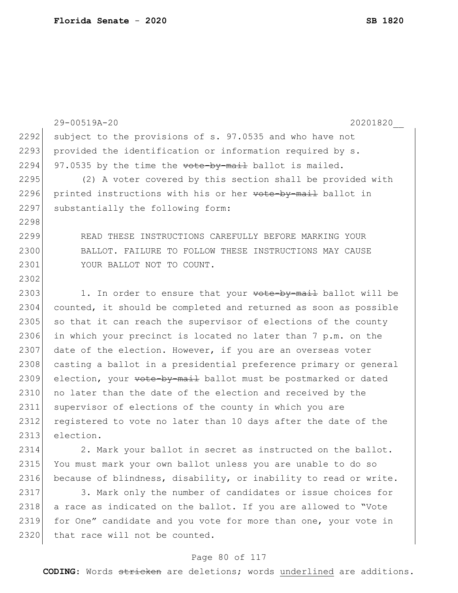|      | 29-00519A-20<br>20201820                                         |
|------|------------------------------------------------------------------|
| 2292 | subject to the provisions of s. 97.0535 and who have not         |
| 2293 | provided the identification or information required by s.        |
| 2294 | 97.0535 by the time the vote-by-mail ballot is mailed.           |
| 2295 | (2) A voter covered by this section shall be provided with       |
| 2296 | printed instructions with his or her vote-by-mail ballot in      |
| 2297 | substantially the following form:                                |
| 2298 |                                                                  |
| 2299 | READ THESE INSTRUCTIONS CAREFULLY BEFORE MARKING YOUR            |
| 2300 | BALLOT. FAILURE TO FOLLOW THESE INSTRUCTIONS MAY CAUSE           |
| 2301 | YOUR BALLOT NOT TO COUNT.                                        |
| 2302 |                                                                  |
| 2303 | 1. In order to ensure that your wote-by-mail ballot will be      |
| 2304 | counted, it should be completed and returned as soon as possible |
| 2305 | so that it can reach the supervisor of elections of the county   |
| 2306 | in which your precinct is located no later than 7 p.m. on the    |
| 2307 | date of the election. However, if you are an overseas voter      |
| 2308 | casting a ballot in a presidential preference primary or general |
| 2309 | election, your vote-by-mail ballot must be postmarked or dated   |
| 2310 | no later than the date of the election and received by the       |
| 2311 | supervisor of elections of the county in which you are           |
| 2312 | registered to vote no later than 10 days after the date of the   |
| 2313 | election.                                                        |
| 2314 | 2. Mark your ballot in secret as instructed on the ballot.       |
| 2315 | You must mark your own ballot unless you are unable to do so     |
| 2316 | because of blindness, disability, or inability to read or write. |
| 2317 | 3. Mark only the number of candidates or issue choices for       |
| 2318 | a race as indicated on the ballot. If you are allowed to "Vote   |

2319 for One" candidate and you vote for more than one, your vote in 2320 that race will not be counted.

### Page 80 of 117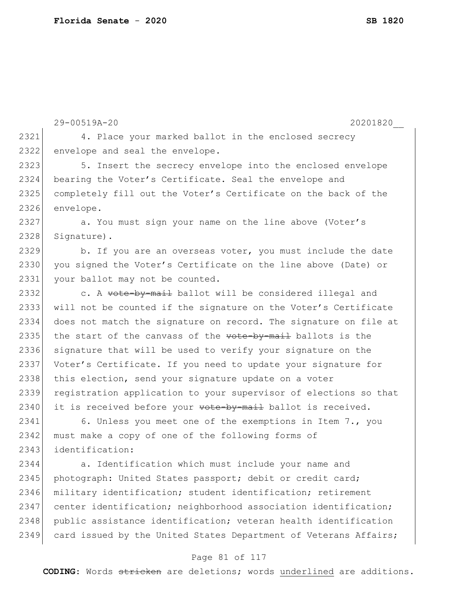|      | 29-00519A-20<br>20201820                                               |
|------|------------------------------------------------------------------------|
| 2321 | 4. Place your marked ballot in the enclosed secrecy                    |
| 2322 | envelope and seal the envelope.                                        |
| 2323 | 5. Insert the secrecy envelope into the enclosed envelope              |
| 2324 | bearing the Voter's Certificate. Seal the envelope and                 |
| 2325 | completely fill out the Voter's Certificate on the back of the         |
| 2326 | envelope.                                                              |
| 2327 | a. You must sign your name on the line above (Voter's                  |
| 2328 | Signature).                                                            |
| 2329 | b. If you are an overseas voter, you must include the date             |
| 2330 | you signed the Voter's Certificate on the line above (Date) or         |
| 2331 | your ballot may not be counted.                                        |
| 2332 | c. A vote-by-mail ballot will be considered illegal and                |
| 2333 | will not be counted if the signature on the Voter's Certificate        |
| 2334 | does not match the signature on record. The signature on file at       |
| 2335 | the start of the canvass of the vote-by-mail ballots is the            |
| 2336 | signature that will be used to verify your signature on the            |
| 2337 | Voter's Certificate. If you need to update your signature for          |
| 2338 | this election, send your signature update on a voter                   |
| 2339 | registration application to your supervisor of elections so that       |
| 2340 | it is received before your <del>vote-by-mail</del> ballot is received. |
| 2341 | 6. Unless you meet one of the exemptions in Item 7., you               |
| 2342 | must make a copy of one of the following forms of                      |
| 2343 | identification:                                                        |
| 2344 | a. Identification which must include your name and                     |
| 2345 | photograph: United States passport; debit or credit card;              |
| 2346 | military identification; student identification; retirement            |
| 2347 | center identification; neighborhood association identification;        |
| 2348 | public assistance identification; veteran health identification        |
| 2349 | card issued by the United States Department of Veterans Affairs;       |
|      | Page 81 of 117                                                         |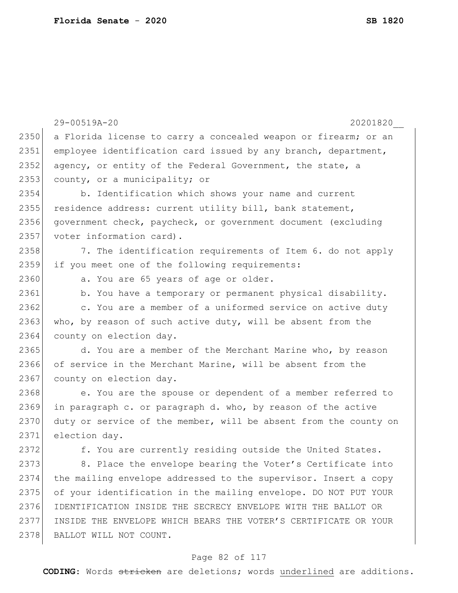|      | 29-00519A-20<br>20201820                                         |
|------|------------------------------------------------------------------|
| 2350 | a Florida license to carry a concealed weapon or firearm; or an  |
| 2351 | employee identification card issued by any branch, department,   |
| 2352 | agency, or entity of the Federal Government, the state, a        |
| 2353 | county, or a municipality; or                                    |
| 2354 | b. Identification which shows your name and current              |
| 2355 | residence address: current utility bill, bank statement,         |
| 2356 | government check, paycheck, or government document (excluding    |
| 2357 | voter information card).                                         |
| 2358 | 7. The identification requirements of Item 6. do not apply       |
| 2359 | if you meet one of the following requirements:                   |
| 2360 | a. You are 65 years of age or older.                             |
| 2361 | b. You have a temporary or permanent physical disability.        |
| 2362 | c. You are a member of a uniformed service on active duty        |
| 2363 | who, by reason of such active duty, will be absent from the      |
| 2364 | county on election day.                                          |
| 2365 | d. You are a member of the Merchant Marine who, by reason        |
| 2366 | of service in the Merchant Marine, will be absent from the       |
| 2367 | county on election day.                                          |
| 2368 | e. You are the spouse or dependent of a member referred to       |
| 2369 | in paragraph c. or paragraph d. who, by reason of the active     |
| 2370 | duty or service of the member, will be absent from the county on |
| 2371 | election day.                                                    |
| 2372 | f. You are currently residing outside the United States.         |
| 2373 | 8. Place the envelope bearing the Voter's Certificate into       |
| 2374 | the mailing envelope addressed to the supervisor. Insert a copy  |
| 2375 | of your identification in the mailing envelope. DO NOT PUT YOUR  |
| 2376 | IDENTIFICATION INSIDE THE SECRECY ENVELOPE WITH THE BALLOT OR    |
| 2377 | INSIDE THE ENVELOPE WHICH BEARS THE VOTER'S CERTIFICATE OR YOUR  |
| 2378 | BALLOT WILL NOT COUNT.                                           |

# Page 82 of 117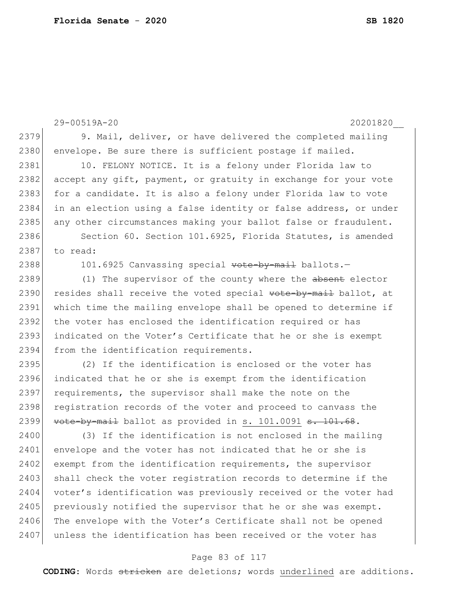```
29-00519A-20 20201820__
2379 9. Mail, deliver, or have delivered the completed mailing
2380 envelope. Be sure there is sufficient postage if mailed.
2381 10. FELONY NOTICE. It is a felony under Florida law to
2382 accept any gift, payment, or gratuity in exchange for your vote
2383 for a candidate. It is also a felony under Florida law to vote
2384 in an election using a false identity or false address, or under 
2385 any other circumstances making your ballot false or fraudulent.
2386 Section 60. Section 101.6925, Florida Statutes, is amended
2387 to read:
2388 101.6925 Canvassing special vote-by-mail ballots.-
2389 (1) The supervisor of the county where the absent elector
2390 resides shall receive the voted special vote-by-mail ballot, at
2391 which time the mailing envelope shall be opened to determine if 
2392 the voter has enclosed the identification required or has
2393 indicated on the Voter's Certificate that he or she is exempt
2394 from the identification requirements.
2395 (2) If the identification is enclosed or the voter has 
2396 indicated that he or she is exempt from the identification 
2397 requirements, the supervisor shall make the note on the
2398 registration records of the voter and proceed to canvass the
2399 vote-by-mail ballot as provided in s. 101.0091 s. 101.68.
2400 (3) If the identification is not enclosed in the mailing
2401 envelope and the voter has not indicated that he or she is
2402 exempt from the identification requirements, the supervisor
2403 shall check the voter registration records to determine if the
2404 voter's identification was previously received or the voter had
2405 previously notified the supervisor that he or she was exempt.
2406 The envelope with the Voter's Certificate shall not be opened
2407 unless the identification has been received or the voter has
```
### Page 83 of 117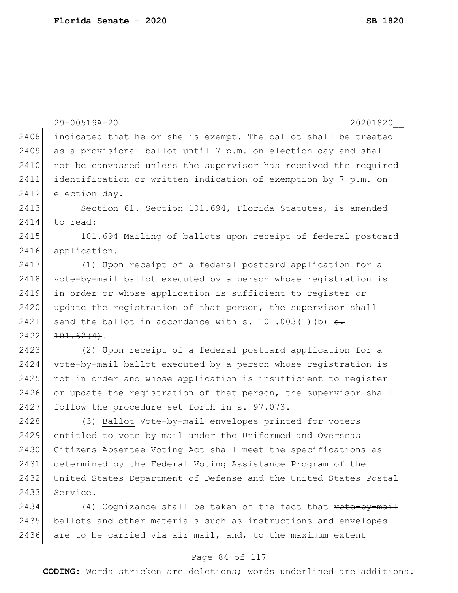|      | 29-00519A-20<br>20201820                                          |
|------|-------------------------------------------------------------------|
| 2408 | indicated that he or she is exempt. The ballot shall be treated   |
| 2409 | as a provisional ballot until 7 p.m. on election day and shall    |
| 2410 | not be canvassed unless the supervisor has received the required  |
| 2411 | identification or written indication of exemption by 7 p.m. on    |
| 2412 | election day.                                                     |
| 2413 | Section 61. Section 101.694, Florida Statutes, is amended         |
| 2414 | to read:                                                          |
| 2415 | 101.694 Mailing of ballots upon receipt of federal postcard       |
| 2416 | application.-                                                     |
| 2417 | (1) Upon receipt of a federal postcard application for a          |
| 2418 | vote-by-mail ballot executed by a person whose registration is    |
| 2419 | in order or whose application is sufficient to register or        |
| 2420 | update the registration of that person, the supervisor shall      |
| 2421 | send the ballot in accordance with s. $101.003(1)$ (b) $\theta$ . |
| 2422 | $101.62(4)$ .                                                     |
| 2423 | (2) Upon receipt of a federal postcard application for a          |
| 2424 | vote-by-mail ballot executed by a person whose registration is    |
| 2425 | not in order and whose application is insufficient to register    |
| 2426 | or update the registration of that person, the supervisor shall   |
| 2427 | follow the procedure set forth in s. 97.073.                      |
| 2428 | (3) Ballot Vote-by-mail envelopes printed for voters              |
| 2429 | entitled to vote by mail under the Uniformed and Overseas         |
| 2430 | Citizens Absentee Voting Act shall meet the specifications as     |
| 2431 | determined by the Federal Voting Assistance Program of the        |
| 2432 | United States Department of Defense and the United States Postal  |
| 2433 | Service.                                                          |
| 2434 | (4) Cognizance shall be taken of the fact that vote-by-mail       |
| 2435 | ballots and other materials such as instructions and envelopes    |
| 2436 | are to be carried via air mail, and, to the maximum extent        |

# Page 84 of 117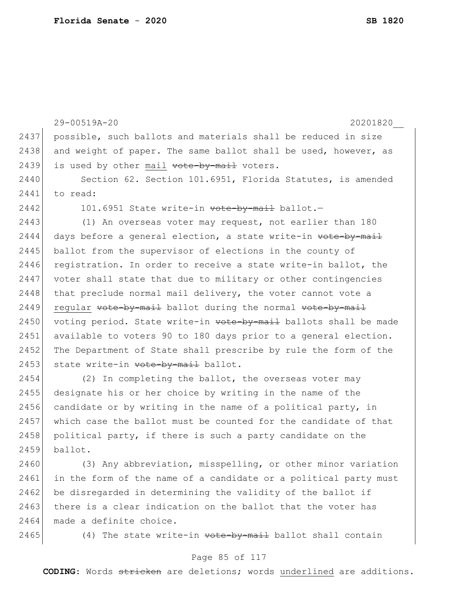|      | 29-00519A-20<br>20201820                                         |
|------|------------------------------------------------------------------|
| 2437 | possible, such ballots and materials shall be reduced in size    |
| 2438 | and weight of paper. The same ballot shall be used, however, as  |
| 2439 | is used by other mail vote-by-mail voters.                       |
| 2440 | Section 62. Section 101.6951, Florida Statutes, is amended       |
| 2441 | to read:                                                         |
| 2442 | 101.6951 State write-in vote-by-mail ballot.-                    |
| 2443 | (1) An overseas voter may request, not earlier than 180          |
| 2444 | days before a general election, a state write-in vote-by-mail    |
| 2445 | ballot from the supervisor of elections in the county of         |
| 2446 | registration. In order to receive a state write-in ballot, the   |
| 2447 | voter shall state that due to military or other contingencies    |
| 2448 | that preclude normal mail delivery, the voter cannot vote a      |
| 2449 | regular vote-by-mail ballot during the normal vote-by-mail       |
| 2450 | voting period. State write-in vote by mail ballots shall be made |
| 2451 | available to voters 90 to 180 days prior to a general election.  |
| 2452 | The Department of State shall prescribe by rule the form of the  |
| 2453 | state write-in vote-by-mail ballot.                              |
| 2454 | (2) In completing the ballot, the overseas voter may             |
| 2455 | designate his or her choice by writing in the name of the        |
| 2456 | candidate or by writing in the name of a political party, in     |
| 2457 | which case the ballot must be counted for the candidate of that  |
| 2458 | political party, if there is such a party candidate on the       |
| 2459 | ballot.                                                          |
| 2460 | (3) Any abbreviation, misspelling, or other minor variation      |
| 2461 | in the form of the name of a candidate or a political party must |
| 2462 | be disregarded in determining the validity of the ballot if      |

 $2463$  there is a clear indication on the ballot that the voter has 2464 made a definite choice.

2465 (4) The state write-in  $\text{vote-by-mail}$  ballot shall contain

### Page 85 of 117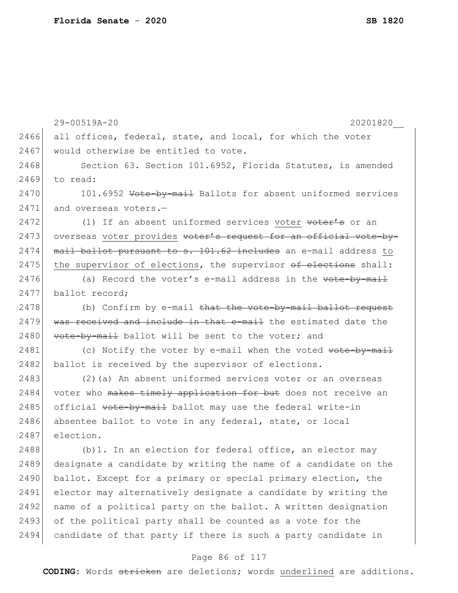|      | 29-00519A-20<br>20201820                                               |
|------|------------------------------------------------------------------------|
| 2466 | all offices, federal, state, and local, for which the voter            |
| 2467 | would otherwise be entitled to vote.                                   |
| 2468 | Section 63. Section 101.6952, Florida Statutes, is amended             |
| 2469 | to read:                                                               |
| 2470 | 101.6952 <del>Vote-by-mail</del> Ballots for absent uniformed services |
| 2471 | and overseas voters.-                                                  |
| 2472 | (1) If an absent uniformed services voter voter's or an                |
| 2473 | overseas voter provides voter's request for an official vote-by-       |
| 2474 | mail ballot pursuant to s. 101.62 includes an e-mail address to        |
| 2475 | the supervisor of elections, the supervisor of elections shall:        |
| 2476 | (a) Record the voter's e-mail address in the vote-by-mail              |
| 2477 | ballot record;                                                         |
| 2478 | (b) Confirm by e-mail that the vote-by-mail ballot request             |
| 2479 | was received and include in that e-mail the estimated date the         |
| 2480 | vote-by-mail ballot will be sent to the voter; and                     |
| 2481 | (c) Notify the voter by e-mail when the voted <del>vote-by-mail</del>  |
| 2482 | ballot is received by the supervisor of elections.                     |
| 2483 | (2) (a) An absent uniformed services voter or an overseas              |
| 2484 | voter who makes timely application for but does not receive an         |
| 2485 | official vote-by-mail ballot may use the federal write-in              |
| 2486 | absentee ballot to vote in any federal, state, or local                |
| 2487 | election.                                                              |
| 2488 | (b) 1. In an election for federal office, an elector may               |
| 2489 | designate a candidate by writing the name of a candidate on the        |
| 2490 | ballot. Except for a primary or special primary election, the          |
| 2491 | elector may alternatively designate a candidate by writing the         |
| 2492 | name of a political party on the ballot. A written designation         |
| 2493 | of the political party shall be counted as a vote for the              |
| 2494 | candidate of that party if there is such a party candidate in          |
|      |                                                                        |

# Page 86 of 117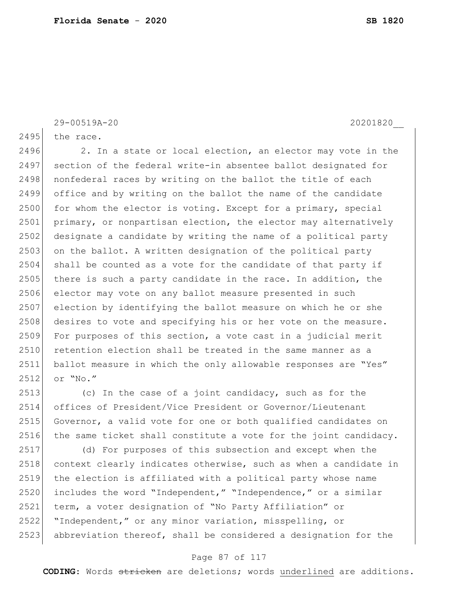29-00519A-20 20201820\_\_

 $2495$  the race.

2496 2. In a state or local election, an elector may vote in the

2497 section of the federal write-in absentee ballot designated for 2498 | nonfederal races by writing on the ballot the title of each 2499 office and by writing on the ballot the name of the candidate 2500 for whom the elector is voting. Except for a primary, special 2501 primary, or nonpartisan election, the elector may alternatively 2502 designate a candidate by writing the name of a political party  $2503$  on the ballot. A written designation of the political party 2504 shall be counted as a vote for the candidate of that party if 2505 there is such a party candidate in the race. In addition, the 2506 elector may vote on any ballot measure presented in such 2507 election by identifying the ballot measure on which he or she 2508 desires to vote and specifying his or her vote on the measure. 2509 For purposes of this section, a vote cast in a judicial merit 2510 retention election shall be treated in the same manner as a 2511 ballot measure in which the only allowable responses are "Yes" 2512 or "No."

2513 (c) In the case of a joint candidacy, such as for the 2514 offices of President/Vice President or Governor/Lieutenant 2515 Governor, a valid vote for one or both qualified candidates on 2516 the same ticket shall constitute a vote for the joint candidacy.

 (d) For purposes of this subsection and except when the 2518 context clearly indicates otherwise, such as when a candidate in the election is affiliated with a political party whose name includes the word "Independent," "Independence," or a similar term, a voter designation of "No Party Affiliation" or "Independent," or any minor variation, misspelling, or abbreviation thereof, shall be considered a designation for the

### Page 87 of 117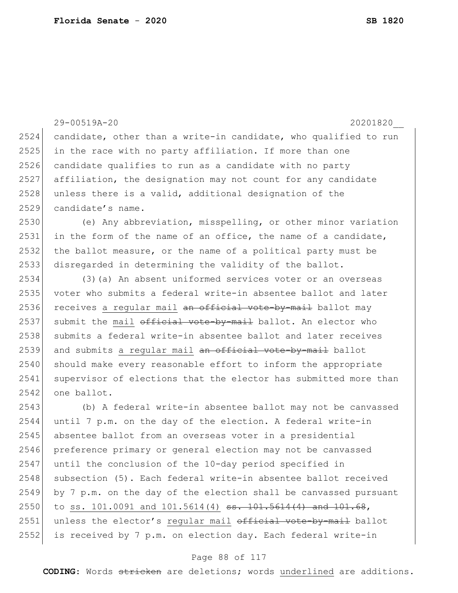29-00519A-20 20201820\_\_ 2524 candidate, other than a write-in candidate, who qualified to run 2525 in the race with no party affiliation. If more than one 2526 candidate qualifies to run as a candidate with no party 2527 affiliation, the designation may not count for any candidate 2528 unless there is a valid, additional designation of the 2529 candidate's name. 2530 (e) Any abbreviation, misspelling, or other minor variation 2531 in the form of the name of an office, the name of a candidate, 2532 the ballot measure, or the name of a political party must be 2533 disregarded in determining the validity of the ballot. 2534 (3)(a) An absent uniformed services voter or an overseas 2535 voter who submits a federal write-in absentee ballot and later 2536 receives a regular mail an official vote-by-mail ballot may 2537 submit the mail  $\theta$  of ficial vote-by-mail ballot. An elector who 2538 submits a federal write-in absentee ballot and later receives 2539 and submits a regular mail an official vote-by-mail ballot 2540 should make every reasonable effort to inform the appropriate 2541 supervisor of elections that the elector has submitted more than 2542 one ballot. 2543 (b) A federal write-in absentee ballot may not be canvassed 2544 until 7 p.m. on the day of the election. A federal write-in 2545 absentee ballot from an overseas voter in a presidential 2546 preference primary or general election may not be canvassed 2547 until the conclusion of the 10-day period specified in 2548 subsection (5). Each federal write-in absentee ballot received 2549 by 7 p.m. on the day of the election shall be canvassed pursuant 2550 to ss. 101.0091 and 101.5614(4) <del>ss. 101.5614(4) and 101.68</del>, 2551 unless the elector's regular mail official vote-by-mail ballot 2552 is received by 7 p.m. on election day. Each federal write-in

#### Page 88 of 117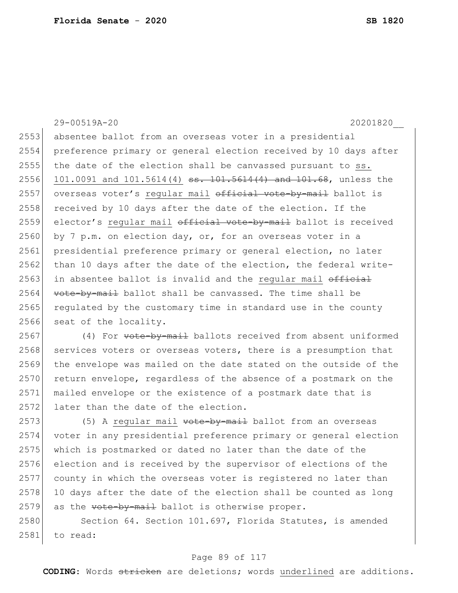29-00519A-20 20201820\_\_ 2553 absentee ballot from an overseas voter in a presidential 2554 preference primary or general election received by 10 days after 2555 the date of the election shall be canvassed pursuant to ss. 2556 101.0091 and 101.5614(4) ss. 101.5614(4) and 101.68, unless the 2557 overseas voter's regular mail official vote-by-mail ballot is 2558 received by 10 days after the date of the election. If the 2559 elector's regular mail official vote-by-mail ballot is received 2560 by 7 p.m. on election day, or, for an overseas voter in a 2561 presidential preference primary or general election, no later  $2562$  than 10 days after the date of the election, the federal write-2563 in absentee ballot is invalid and the regular mail official  $2564$  vote-by-mail ballot shall be canvassed. The time shall be 2565 regulated by the customary time in standard use in the county 2566 seat of the locality. 2567 (4) For vote-by-mail ballots received from absent uniformed

2568 services voters or overseas voters, there is a presumption that 2569 the envelope was mailed on the date stated on the outside of the 2570 return envelope, regardless of the absence of a postmark on the 2571 mailed envelope or the existence of a postmark date that is 2572 later than the date of the election.

2573 (5) A regular mail vote by mail ballot from an overseas voter in any presidential preference primary or general election which is postmarked or dated no later than the date of the election and is received by the supervisor of elections of the county in which the overseas voter is registered no later than 10 days after the date of the election shall be counted as long 2579 as the  $\text{vote-by-mail}$  ballot is otherwise proper.

2580 Section 64. Section 101.697, Florida Statutes, is amended 2581 to read:

### Page 89 of 117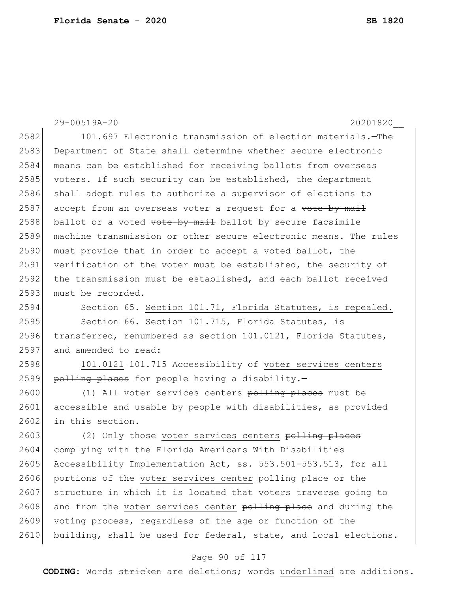29-00519A-20 20201820\_\_ 2582 101.697 Electronic transmission of election materials.—The 2583 Department of State shall determine whether secure electronic 2584 means can be established for receiving ballots from overseas 2585 voters. If such security can be established, the department 2586 shall adopt rules to authorize a supervisor of elections to  $2587$  accept from an overseas voter a request for a vote-by-mail  $2588$  ballot or a voted vote-by-mail ballot by secure facsimile 2589 machine transmission or other secure electronic means. The rules 2590 must provide that in order to accept a voted ballot, the 2591 verification of the voter must be established, the security of 2592 the transmission must be established, and each ballot received 2593 must be recorded. 2594 Section 65. Section 101.71, Florida Statutes, is repealed. 2595 Section 66. Section 101.715, Florida Statutes, is 2596 transferred, renumbered as section 101.0121, Florida Statutes, 2597 and amended to read: 2598 101.0121 <del>101.715</del> Accessibility of voter services centers 2599 polling places for people having a disability. $-$ 2600 (1) All voter services centers polling places must be 2601 accessible and usable by people with disabilities, as provided 2602 in this section. 2603 (2) Only those voter services centers polling places 2604 complying with the Florida Americans With Disabilities 2605 Accessibility Implementation Act, ss. 553.501-553.513, for all 2606 portions of the voter services center polling place or the

2607 structure in which it is located that voters traverse going to 2608 and from the voter services center polling place and during the 2609 voting process, regardless of the age or function of the 2610 building, shall be used for federal, state, and local elections.

#### Page 90 of 117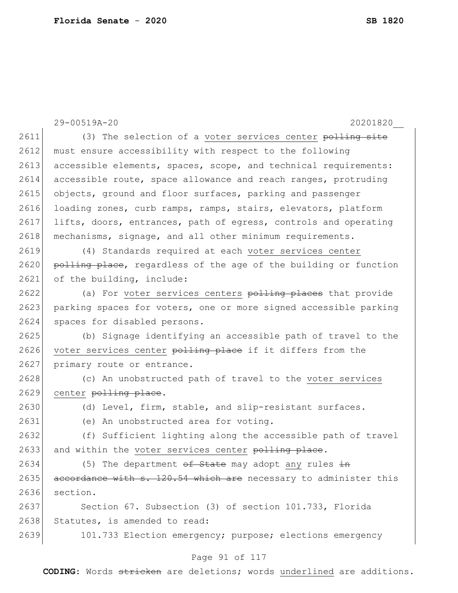|      | 29-00519A-20<br>20201820                                         |
|------|------------------------------------------------------------------|
| 2611 | (3) The selection of a voter services center polling site        |
| 2612 | must ensure accessibility with respect to the following          |
| 2613 | accessible elements, spaces, scope, and technical requirements:  |
| 2614 | accessible route, space allowance and reach ranges, protruding   |
| 2615 |                                                                  |
| 2616 | objects, ground and floor surfaces, parking and passenger        |
| 2617 | loading zones, curb ramps, ramps, stairs, elevators, platform    |
|      | lifts, doors, entrances, path of egress, controls and operating  |
| 2618 | mechanisms, signage, and all other minimum requirements.         |
| 2619 | (4) Standards required at each voter services center             |
| 2620 | polling place, regardless of the age of the building or function |
| 2621 | of the building, include:                                        |
| 2622 | (a) For voter services centers polling places that provide       |
| 2623 | parking spaces for voters, one or more signed accessible parking |
| 2624 | spaces for disabled persons.                                     |
| 2625 | (b) Signage identifying an accessible path of travel to the      |
| 2626 | voter services center polling place if it differs from the       |
| 2627 | primary route or entrance.                                       |
| 2628 | (c) An unobstructed path of travel to the voter services         |
| 2629 | center polling place.                                            |
| 2630 | (d) Level, firm, stable, and slip-resistant surfaces.            |
| 2631 | (e) An unobstructed area for voting.                             |
| 2632 | (f) Sufficient lighting along the accessible path of travel      |
| 2633 | and within the voter services center polling place.              |
| 2634 | (5) The department of State may adopt any rules in               |
| 2635 | accordance with s. 120.54 which are necessary to administer this |
| 2636 | section.                                                         |
| 2637 | Section 67. Subsection (3) of section 101.733, Florida           |
| 2638 | Statutes, is amended to read:                                    |
| 2639 | 101.733 Election emergency; purpose; elections emergency         |
|      | Page 91 of 117                                                   |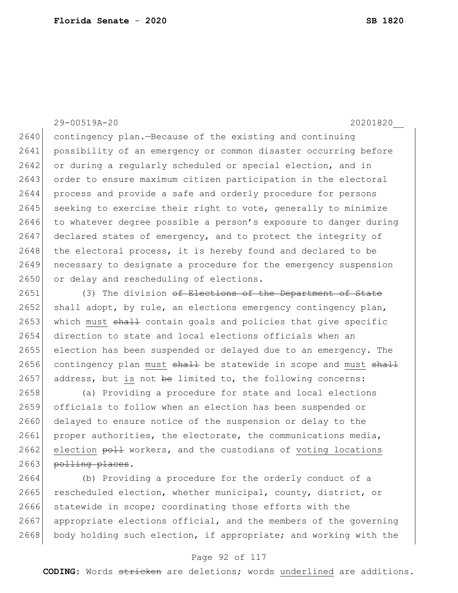### 29-00519A-20 20201820\_\_

2640 contingency plan.—Because of the existing and continuing 2641 possibility of an emergency or common disaster occurring before 2642 or during a regularly scheduled or special election, and in 2643 order to ensure maximum citizen participation in the electoral 2644 process and provide a safe and orderly procedure for persons  $2645$  seeking to exercise their right to vote, generally to minimize 2646 to whatever degree possible a person's exposure to danger during 2647 declared states of emergency, and to protect the integrity of 2648 the electoral process, it is hereby found and declared to be 2649 necessary to designate a procedure for the emergency suspension 2650 or delay and rescheduling of elections.

2651 (3) The division of Elections of the Department of State 2652 shall adopt, by rule, an elections emergency contingency plan, 2653 which must  $\frac{1}{2}$  contain goals and policies that give specific 2654 direction to state and local elections officials when an 2655 election has been suspended or delayed due to an emergency. The 2656 contingency plan must  $shaH$  be statewide in scope and must  $shaH$ 2657 address, but is not be limited to, the following concerns:

2658 (a) Providing a procedure for state and local elections 2659 officials to follow when an election has been suspended or 2660 delayed to ensure notice of the suspension or delay to the 2661 proper authorities, the electorate, the communications media, 2662 election poll workers, and the custodians of voting locations 2663 <del>polling places</del>.

2664 (b) Providing a procedure for the orderly conduct of a 2665 rescheduled election, whether municipal, county, district, or 2666 statewide in scope; coordinating those efforts with the 2667 appropriate elections official, and the members of the governing  $2668$  body holding such election, if appropriate; and working with the

#### Page 92 of 117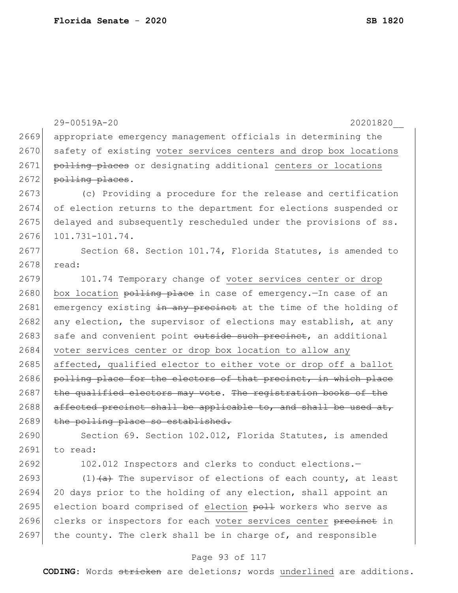29-00519A-20 20201820\_\_ 2669 appropriate emergency management officials in determining the 2670 safety of existing voter services centers and drop box locations 2671 polling places or designating additional centers or locations 2672 polling places. 2673 (c) Providing a procedure for the release and certification 2674 of election returns to the department for elections suspended or 2675 delayed and subsequently rescheduled under the provisions of ss. 2676 101.731-101.74. 2677 Section 68. Section 101.74, Florida Statutes, is amended to 2678 read: 2679 101.74 Temporary change of voter services center or drop 2680 box location  $\frac{\text{p}-\text{p}}{\text{p}-\text{p}}$  box location  $\frac{\text{p}-\text{p}}{\text{p}-\text{p}}$  box location  $\frac{\text{p}-\text{p}}{\text{p}-\text{p}}$ 2681 emergency existing in any precinct at the time of the holding of 2682 any election, the supervisor of elections may establish, at any 2683 safe and convenient point outside such precinct, an additional 2684 voter services center or drop box location to allow any 2685 affected, qualified elector to either vote or drop off a ballot 2686 polling place for the electors of that precinct, in which place 2687 the qualified electors may vote. The registration books of the  $2688$  affected precinct shall be applicable to, and shall be used at, 2689 the polling place so established. 2690 Section 69. Section 102.012, Florida Statutes, is amended 2691 to read: 2692 102.012 Inspectors and clerks to conduct elections.-

2693 (1) $\left(4\right)$  The supervisor of elections of each county, at least 2694 20 days prior to the holding of any election, shall appoint an 2695 election board comprised of election poll workers who serve as 2696 clerks or inspectors for each voter services center precinct in 2697 the county. The clerk shall be in charge of, and responsible

#### Page 93 of 117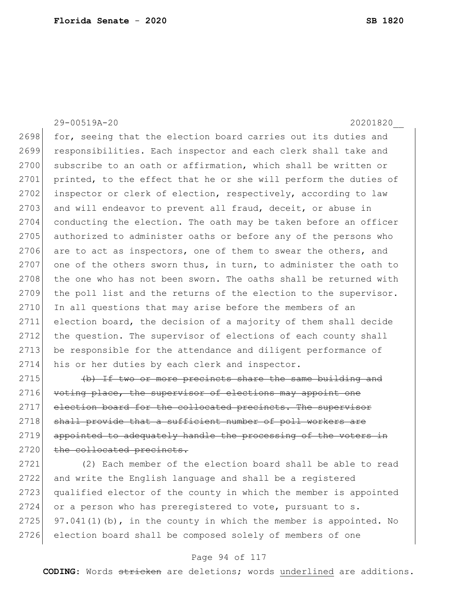29-00519A-20 20201820\_\_

2698 for, seeing that the election board carries out its duties and 2699 responsibilities. Each inspector and each clerk shall take and 2700 subscribe to an oath or affirmation, which shall be written or 2701 printed, to the effect that he or she will perform the duties of 2702 inspector or clerk of election, respectively, according to law 2703 and will endeavor to prevent all fraud, deceit, or abuse in 2704 conducting the election. The oath may be taken before an officer 2705 authorized to administer oaths or before any of the persons who 2706 are to act as inspectors, one of them to swear the others, and 2707 one of the others sworn thus, in turn, to administer the oath to 2708 the one who has not been sworn. The oaths shall be returned with 2709 the poll list and the returns of the election to the supervisor. 2710 In all questions that may arise before the members of an 2711 election board, the decision of a majority of them shall decide 2712 the question. The supervisor of elections of each county shall 2713 be responsible for the attendance and diligent performance of 2714 his or her duties by each clerk and inspector.

2715  $\left\{\n \begin{array}{ccc}\n \text{+b} & \text{If two or more precinets share the same building and}\n \end{array}\n \right\}$ 2716 voting place, the supervisor of elections may appoint one 2717 election board for the collocated precincts. The supervisor 2718 shall provide that a sufficient number of poll workers are 2719 appointed to adequately handle the processing of the voters in 2720 the collocated precincts.

2721 (2) Each member of the election board shall be able to read 2722 and write the English language and shall be a registered 2723 qualified elector of the county in which the member is appointed 2724 or a person who has preregistered to vote, pursuant to s. 2725 97.041(1)(b), in the county in which the member is appointed. No 2726 election board shall be composed solely of members of one

#### Page 94 of 117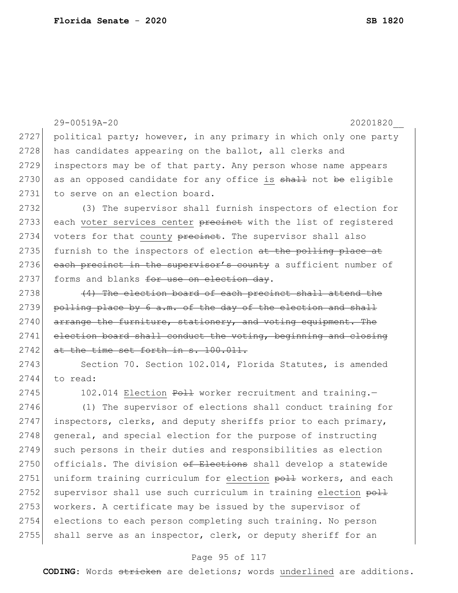```
29-00519A-20 20201820__
2727 political party; however, in any primary in which only one party
2728 has candidates appearing on the ballot, all clerks and
2729 inspectors may be of that party. Any person whose name appears 
2730 as an opposed candidate for any office is shall not be eligible
2731 to serve on an election board.
2732 (3) The supervisor shall furnish inspectors of election for 
2733 each voter services center precinct with the list of registered
2734 voters for that county precinct. The supervisor shall also
2735 furnish to the inspectors of election at the polling place at
2736 each precinct in the supervisor's county a sufficient number of
2737 forms and blanks for use on election day.
2738 (4) The election board of each precinct shall attend
2739 polling place by 6 a.m. of the day of the election and shall
2740 arrange the furniture, stationery, and voting equipment. The
2741 election board shall conduct the voting, beginning and closing
2742 at the time set forth in s. 100.011.
2743 Section 70. Section 102.014, Florida Statutes, is amended
2744 to read:
2745 102.014 Election Poll worker recruitment and training.-
2746 (1) The supervisor of elections shall conduct training for 
2747 inspectors, clerks, and deputy sheriffs prior to each primary, 
2748 general, and special election for the purpose of instructing
2749 such persons in their duties and responsibilities as election
2750 officials. The division \theta Elections shall develop a statewide
2751 uniform training curriculum for election poll workers, and each
2752 supervisor shall use such curriculum in training election poll
2753 workers. A certificate may be issued by the supervisor of
2754 elections to each person completing such training. No person
```
#### Page 95 of 117

2755 shall serve as an inspector, clerk, or deputy sheriff for an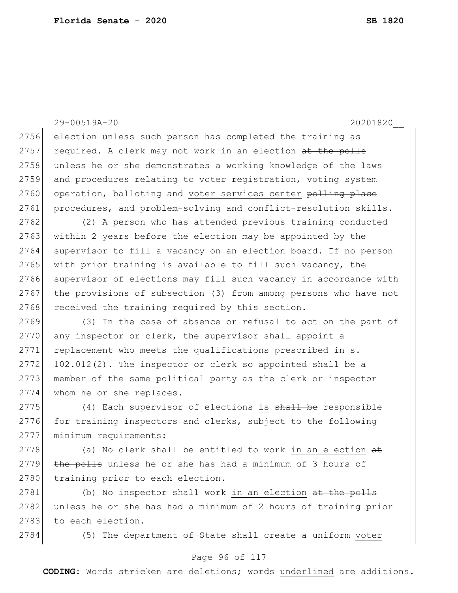### 29-00519A-20 20201820\_\_

2756 election unless such person has completed the training as 2757 required. A clerk may not work in an election at the polls 2758 unless he or she demonstrates a working knowledge of the laws 2759 and procedures relating to voter registration, voting system 2760 operation, balloting and voter services center polling place 2761 procedures, and problem-solving and conflict-resolution skills.

2762 (2) A person who has attended previous training conducted 2763 within 2 years before the election may be appointed by the 2764 supervisor to fill a vacancy on an election board. If no person 2765 with prior training is available to fill such vacancy, the 2766 supervisor of elections may fill such vacancy in accordance with 2767 the provisions of subsection (3) from among persons who have not 2768 received the training required by this section.

2769 (3) In the case of absence or refusal to act on the part of 2770 any inspector or clerk, the supervisor shall appoint a 2771 replacement who meets the qualifications prescribed in s.  $2772$  102.012(2). The inspector or clerk so appointed shall be a 2773 member of the same political party as the clerk or inspector 2774 whom he or she replaces.

2775 (4) Each supervisor of elections is shall be responsible  $2776$  for training inspectors and clerks, subject to the following 2777 | minimum requirements:

 $2778$  (a) No clerk shall be entitled to work in an election  $a\pm$ 2779  $\overline{the$  polls unless he or she has had a minimum of 3 hours of 2780 training prior to each election.

2781 (b) No inspector shall work in an election at the polls 2782 unless he or she has had a minimum of 2 hours of training prior 2783 to each election.

2784 (5) The department of State shall create a uniform voter

### Page 96 of 117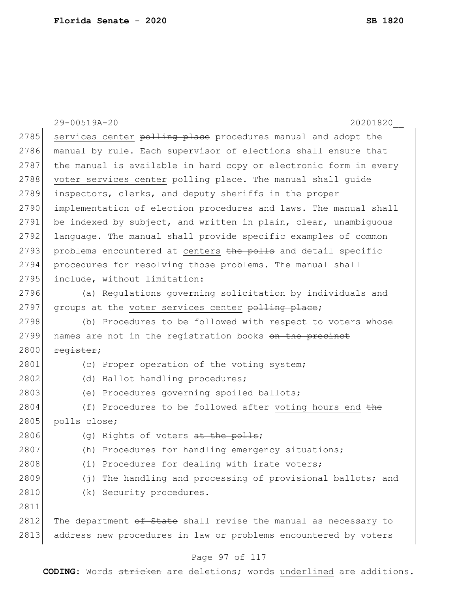|      | 29-00519A-20<br>20201820                                         |
|------|------------------------------------------------------------------|
| 2785 | services center polling place procedures manual and adopt the    |
| 2786 | manual by rule. Each supervisor of elections shall ensure that   |
| 2787 | the manual is available in hard copy or electronic form in every |
| 2788 | voter services center polling place. The manual shall guide      |
| 2789 | inspectors, clerks, and deputy sheriffs in the proper            |
| 2790 | implementation of election procedures and laws. The manual shall |
| 2791 | be indexed by subject, and written in plain, clear, unambiguous  |
| 2792 | language. The manual shall provide specific examples of common   |
| 2793 | problems encountered at centers the polls and detail specific    |
| 2794 | procedures for resolving those problems. The manual shall        |
| 2795 | include, without limitation:                                     |
| 2796 | (a) Regulations governing solicitation by individuals and        |
| 2797 | groups at the voter services center polling place;               |
| 2798 | (b) Procedures to be followed with respect to voters whose       |
| 2799 | names are not in the registration books on the precinct          |
| 2800 | register;                                                        |
| 2801 | (c) Proper operation of the voting system;                       |
| 2802 | Ballot handling procedures;<br>(d)                               |
| 2803 | Procedures governing spoiled ballots;<br>(e)                     |
| 2804 | (f) Procedures to be followed after voting hours end the         |
| 2805 | polls close;                                                     |
| 2806 | (g) Rights of voters at the polls;                               |
| 2807 | (h)<br>Procedures for handling emergency situations;             |
| 2808 | Procedures for dealing with irate voters;<br>(i)                 |
| 2809 | The handling and processing of provisional ballots; and<br>(j)   |
| 2810 | Security procedures.<br>(k)                                      |
| 2811 |                                                                  |
| 2812 | The department of State shall revise the manual as necessary to  |
| 2813 | address new procedures in law or problems encountered by voters  |

# Page 97 of 117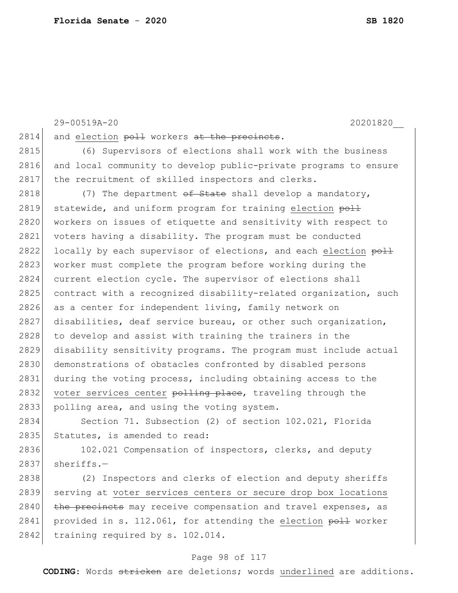29-00519A-20 20201820\_\_

 $2814$  and election  $p$ oll workers at the precincts.

2815 (6) Supervisors of elections shall work with the business 2816 and local community to develop public-private programs to ensure 2817 the recruitment of skilled inspectors and clerks.

2818  $(7)$  The department <del>of State</del> shall develop a mandatory, 2819 statewide, and uniform program for training election  $p_0$ . 2820 workers on issues of etiquette and sensitivity with respect to 2821 voters having a disability. The program must be conducted 2822 locally by each supervisor of elections, and each election  $p_0$ 2823 worker must complete the program before working during the 2824 current election cycle. The supervisor of elections shall 2825 contract with a recognized disability-related organization, such 2826 as a center for independent living, family network on 2827 disabilities, deaf service bureau, or other such organization, 2828 to develop and assist with training the trainers in the 2829 disability sensitivity programs. The program must include actual 2830 demonstrations of obstacles confronted by disabled persons 2831 during the voting process, including obtaining access to the 2832 voter services center polling place, traveling through the 2833 polling area, and using the voting system.

2834 Section 71. Subsection (2) of section 102.021, Florida 2835 Statutes, is amended to read:

2836 102.021 Compensation of inspectors, clerks, and deputy  $2837$  sheriffs.

2838 (2) Inspectors and clerks of election and deputy sheriffs 2839 serving at voter services centers or secure drop box locations 2840 the precincts may receive compensation and travel expenses, as 2841 provided in s. 112.061, for attending the election  $p=$  worker 2842 training required by s. 102.014.

#### Page 98 of 117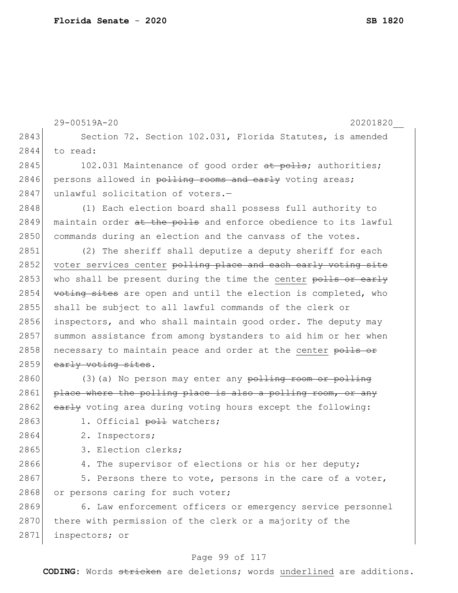|      | 29-00519A-20<br>20201820                                        |
|------|-----------------------------------------------------------------|
| 2843 | Section 72. Section 102.031, Florida Statutes, is amended       |
| 2844 | to read:                                                        |
| 2845 | 102.031 Maintenance of good order at polls; authorities;        |
| 2846 | persons allowed in polling rooms and early voting areas;        |
| 2847 | unlawful solicitation of voters.-                               |
| 2848 | (1) Each election board shall possess full authority to         |
| 2849 | maintain order at the polls and enforce obedience to its lawful |
| 2850 | commands during an election and the canvass of the votes.       |
| 2851 | (2) The sheriff shall deputize a deputy sheriff for each        |
| 2852 | voter services center polling place and each early voting site  |
| 2853 | who shall be present during the time the center polls or early  |
| 2854 | voting sites are open and until the election is completed, who  |
| 2855 | shall be subject to all lawful commands of the clerk or         |
| 2856 | inspectors, and who shall maintain good order. The deputy may   |
| 2857 | summon assistance from among bystanders to aid him or her when  |
| 2858 | necessary to maintain peace and order at the center polls or    |
| 2859 | early voting sites.                                             |
| 2860 | (3) (a) No person may enter any polling room or polling         |
| 2861 | place where the polling place is also a polling room, or any    |
| 2862 | early voting area during voting hours except the following:     |
| 2863 | 1. Official poll watchers;                                      |
| 2864 | 2. Inspectors;                                                  |
| 2865 | 3. Election clerks;                                             |
| 2866 | 4. The supervisor of elections or his or her deputy;            |
| 2867 | 5. Persons there to vote, persons in the care of a voter,       |
| 2868 | or persons caring for such voter;                               |
| 2869 | 6. Law enforcement officers or emergency service personnel      |
| 2870 | there with permission of the clerk or a majority of the         |
| 2871 | inspectors; or                                                  |
|      |                                                                 |

# Page 99 of 117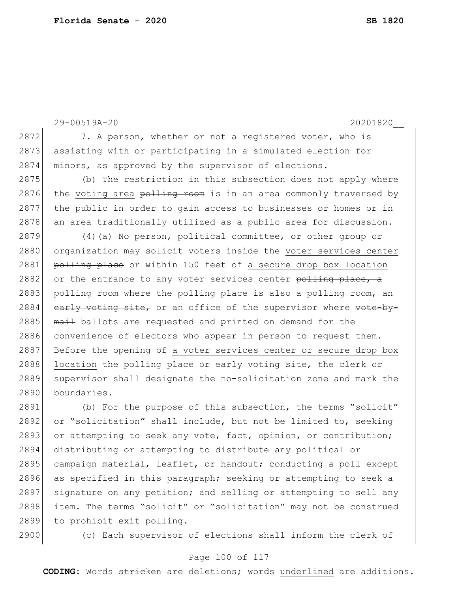```
29-00519A-20 20201820__
2872 7. A person, whether or not a registered voter, who is
2873 assisting with or participating in a simulated election for
2874 minors, as approved by the supervisor of elections.
2875 (b) The restriction in this subsection does not apply where 
2876 the voting area \frac{1+i}{2} room is in an area commonly traversed by
2877 the public in order to gain access to businesses or homes or in 
2878 an area traditionally utilized as a public area for discussion.
2879 (4) (a) No person, political committee, or other group or
2880 organization may solicit voters inside the voter services center
2881 polling place or within 150 feet of a secure drop box location
2882 or the entrance to any voter services center polling place, a
2883 polling room where the polling place is also a polling room, an
2884 early voting site, or an office of the supervisor where vote-by-
2885 mail ballots are requested and printed on demand for the
2886 convenience of electors who appear in person to request them.
2887 Before the opening of a voter services center or secure drop box
2888 location the polling place or early voting site, the clerk or
2889 supervisor shall designate the no-solicitation zone and mark the
2890 boundaries.
2891 (b) For the purpose of this subsection, the terms "solicit" 
2892 or "solicitation" shall include, but not be limited to, seeking
2893 or attempting to seek any vote, fact, opinion, or contribution;
2894 distributing or attempting to distribute any political or 
2895 campaign material, leaflet, or handout; conducting a poll except
```
2897 signature on any petition; and selling or attempting to sell any 2898 item. The terms "solicit" or "solicitation" may not be construed 2899 to prohibit exit polling.

2896 as specified in this paragraph; seeking or attempting to seek a

2900 (c) Each supervisor of elections shall inform the clerk of

#### Page 100 of 117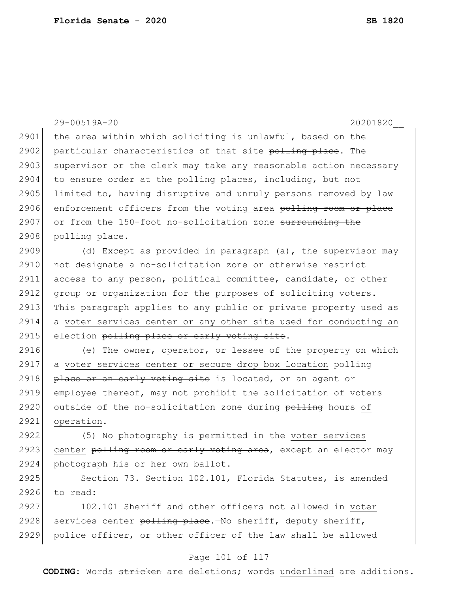|      | 29-00519A-20<br>20201820                                         |
|------|------------------------------------------------------------------|
| 2901 | the area within which soliciting is unlawful, based on the       |
| 2902 | particular characteristics of that site polling place. The       |
| 2903 | supervisor or the clerk may take any reasonable action necessary |
| 2904 | to ensure order at the polling places, including, but not        |
| 2905 | limited to, having disruptive and unruly persons removed by law  |
| 2906 | enforcement officers from the voting area polling room or place  |
| 2907 | or from the 150-foot no-solicitation zone surrounding the        |
| 2908 | polling place.                                                   |
| 2909 | (d) Except as provided in paragraph (a), the supervisor may      |
| 2910 | not designate a no-solicitation zone or otherwise restrict       |
| 2911 | access to any person, political committee, candidate, or other   |
| 2912 | group or organization for the purposes of soliciting voters.     |
| 2913 | This paragraph applies to any public or private property used as |
| 2914 | a voter services center or any other site used for conducting an |
|      |                                                                  |
| 2915 | election polling place or early voting site.                     |
| 2916 | (e) The owner, operator, or lessee of the property on which      |
| 2917 | a voter services center or secure drop box location polling      |
| 2918 | place or an early voting site is located, or an agent or         |
| 2919 | employee thereof, may not prohibit the solicitation of voters    |
| 2920 | outside of the no-solicitation zone during polling hours of      |
| 2921 | operation.                                                       |
| 2922 | (5) No photography is permitted in the voter services            |
| 2923 | center polling room or early voting area, except an elector may  |
| 2924 | photograph his or her own ballot.                                |
| 2925 | Section 73. Section 102.101, Florida Statutes, is amended        |
| 2926 | to read:                                                         |
| 2927 | 102.101 Sheriff and other officers not allowed in voter          |
| 2928 | services center polling place. No sheriff, deputy sheriff,       |

# Page 101 of 117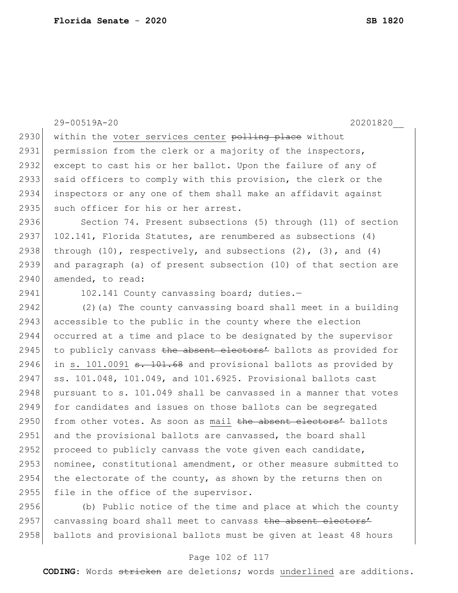|      | 20201820<br>29-00519A-20                                                   |
|------|----------------------------------------------------------------------------|
| 2930 | within the voter services center polling place without                     |
| 2931 | permission from the clerk or a majority of the inspectors,                 |
| 2932 | except to cast his or her ballot. Upon the failure of any of               |
| 2933 | said officers to comply with this provision, the clerk or the              |
| 2934 | inspectors or any one of them shall make an affidavit against              |
| 2935 | such officer for his or her arrest.                                        |
| 2936 | Section 74. Present subsections (5) through (11) of section                |
| 2937 | 102.141, Florida Statutes, are renumbered as subsections (4)               |
| 2938 | through $(10)$ , respectively, and subsections $(2)$ , $(3)$ , and $(4)$   |
| 2939 | and paragraph (a) of present subsection (10) of that section are           |
| 2940 | amended, to read:                                                          |
| 2941 | 102.141 County canvassing board; duties.-                                  |
| 2942 | (2) (a) The county canvassing board shall meet in a building               |
| 2943 | accessible to the public in the county where the election                  |
| 2944 | occurred at a time and place to be designated by the supervisor            |
| 2945 | to publicly canvass the absent electors' ballots as provided for           |
| 2946 | in s. 101.0091 <del>s. 101.68</del> and provisional ballots as provided by |
| 2947 | ss. 101.048, 101.049, and 101.6925. Provisional ballots cast               |
| 2948 | pursuant to s. 101.049 shall be canvassed in a manner that votes           |
| 2949 | for candidates and issues on those ballots can be segregated               |
| 2950 | from other votes. As soon as mail the absent electors' ballots             |
| 2951 | and the provisional ballots are canvassed, the board shall                 |
| 2952 | proceed to publicly canvass the vote given each candidate,                 |
| 2953 | nominee, constitutional amendment, or other measure submitted to           |
| 2954 | the electorate of the county, as shown by the returns then on              |
| 2955 | file in the office of the supervisor.                                      |
| 2956 | (b) Public notice of the time and place at which the county                |

2957 canvassing board shall meet to canvass the absent electors' ballots and provisional ballots must be given at least 48 hours

### Page 102 of 117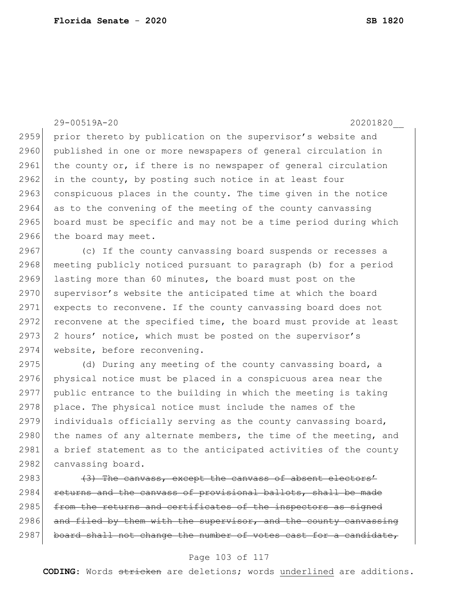29-00519A-20 20201820\_\_ 2959 prior thereto by publication on the supervisor's website and 2960 published in one or more newspapers of general circulation in 2961 the county or, if there is no newspaper of general circulation  $2962$  in the county, by posting such notice in at least four 2963 conspicuous places in the county. The time given in the notice 2964 as to the convening of the meeting of the county canvassing 2965 board must be specific and may not be a time period during which 2966 the board may meet.

2967 (c) If the county canvassing board suspends or recesses a 2968 meeting publicly noticed pursuant to paragraph (b) for a period 2969 lasting more than 60 minutes, the board must post on the 2970 supervisor's website the anticipated time at which the board 2971 expects to reconvene. If the county canvassing board does not 2972 reconvene at the specified time, the board must provide at least 2973 2 hours' notice, which must be posted on the supervisor's 2974 website, before reconvening.

2975 (d) During any meeting of the county canvassing board, a 2976 physical notice must be placed in a conspicuous area near the 2977 public entrance to the building in which the meeting is taking 2978 place. The physical notice must include the names of the 2979 individuals officially serving as the county canvassing board, 2980 the names of any alternate members, the time of the meeting, and 2981 a brief statement as to the anticipated activities of the county 2982 canvassing board.

 $2983$  (3) The canvass, except the canvass of absent electors' 2984 returns and the canvass of provisional ballots, shall be made 2985 from the returns and certificates of the inspectors as signed 2986 and filed by them with the supervisor, and the county canvassing  $2987$  board shall not change the number of votes cast for a candidate,

#### Page 103 of 117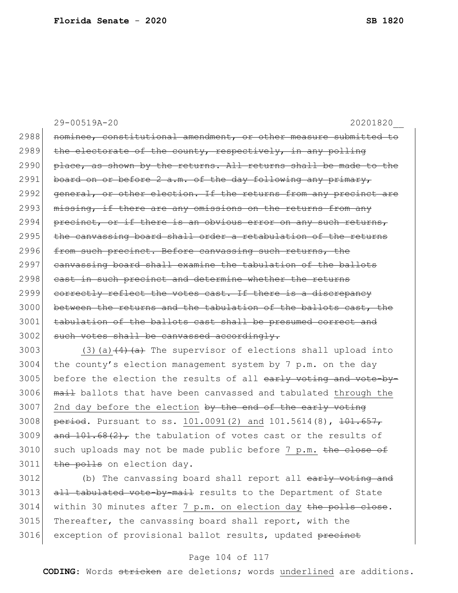29-00519A-20 20201820\_\_ 2988 nominee, constitutional amendment, or other measure submitted to  $2989$  the electorate of the county, respectively, in any polling  $2990$  place, as shown by the returns. All returns shall be made to the 2991 board on or before 2  $a.m.$  of the day following any primary, 2992 general, or other election. If the returns from any precinct are  $2993$  missing, if there are any omissions on the returns from any 2994 precinct, or if there is an obvious error on any such returns, 2995 the canvassing board shall order a retabulation of the returns 2996 from such precinct. Before canvassing such returns, the 2997 canvassing board shall examine the tabulation of the ballots 2998 cast in such precinct and determine whether the returns 2999 correctly reflect the votes cast. If there is a discrepancy 3000 between the returns and the tabulation of the ballots cast, the 3001 tabulation of the ballots cast shall be presumed correct and  $3002$  such votes shall be canvassed accordingly. 3003 (3)(a) $(4)$   $(a)$  The supervisor of elections shall upload into

 $3004$  the county's election management system by 7 p.m. on the day 3005 before the election the results of all  $\frac{1}{2}$  voting and vote-by-3006 mail ballots that have been canvassed and tabulated through the 3007 2nd day before the election  $by$  the end of the early voting 3008 period. Pursuant to ss. 101.0091(2) and 101.5614(8), 101.657, 3009 and  $101.68(2)$ , the tabulation of votes cast or the results of 3010 such uploads may not be made public before 7 p.m. the close of 3011 the polls on election day.

3012 (b) The canvassing board shall report all early voting and 3013 all tabulated vote-by-mail results to the Department of State  $3014$  within 30 minutes after 7 p.m. on election day the polls close. 3015 Thereafter, the canvassing board shall report, with the 3016 exception of provisional ballot results, updated precinct

#### Page 104 of 117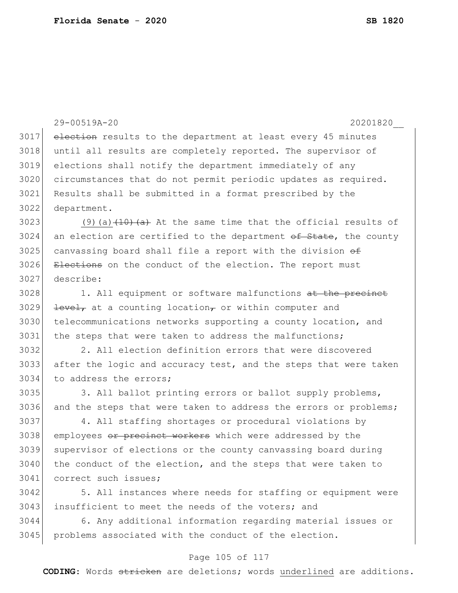29-00519A-20 20201820\_\_ 3017 election results to the department at least every 45 minutes 3018 until all results are completely reported. The supervisor of 3019 elections shall notify the department immediately of any 3020 circumstances that do not permit periodic updates as required. 3021 Results shall be submitted in a format prescribed by the 3022 department. 3023 (9)(a) $(10)(a)$  a) At the same time that the official results of  $3024$  an election are certified to the department of State, the county 3025 canvassing board shall file a report with the division  $\theta$ 3026 Elections on the conduct of the election. The report must 3027 describe: 3028 1. All equipment or software malfunctions at the precinct  $3029$  <del>level,</del> at a counting location, or within computer and 3030 telecommunications networks supporting a county location, and 3031 the steps that were taken to address the malfunctions; 3032 2. All election definition errors that were discovered 3033 after the logic and accuracy test, and the steps that were taken 3034 to address the errors; 3035 3. All ballot printing errors or ballot supply problems, 3036 and the steps that were taken to address the errors or problems; 3037 4. All staffing shortages or procedural violations by 3038 employees or precinct workers which were addressed by the 3039 supervisor of elections or the county canvassing board during 3040 the conduct of the election, and the steps that were taken to 3041 correct such issues;

3042 5. All instances where needs for staffing or equipment were 3043 insufficient to meet the needs of the voters; and

3044 6. Any additional information regarding material issues or 3045 problems associated with the conduct of the election.

### Page 105 of 117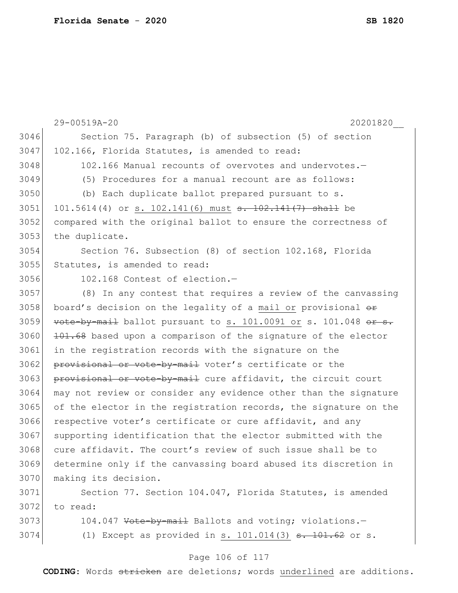29-00519A-20 20201820\_\_ 3046 Section 75. Paragraph (b) of subsection (5) of section 3047 102.166, Florida Statutes, is amended to read: 3048 102.166 Manual recounts of overvotes and undervotes. -3049 (5) Procedures for a manual recount are as follows: 3050 (b) Each duplicate ballot prepared pursuant to s. 3051 101.5614(4) or s. 102.141(6) must <del>s. 102.141(7) shall</del> be 3052 compared with the original ballot to ensure the correctness of 3053 the duplicate. 3054 Section 76. Subsection (8) of section 102.168, Florida 3055 Statutes, is amended to read: 3056 102.168 Contest of election.— 3057 (8) In any contest that requires a review of the canvassing 3058 board's decision on the legality of a mail or provisional  $\theta$ 3059 vote-by-mail ballot pursuant to s. 101.0091 or s. 101.048 or s.  $3060$  101.68 based upon a comparison of the signature of the elector 3061 in the registration records with the signature on the 3062 provisional or vote-by-mail voter's certificate or the 3063 provisional or vote-by-mail cure affidavit, the circuit court 3064 may not review or consider any evidence other than the signature 3065 of the elector in the registration records, the signature on the 3066 respective voter's certificate or cure affidavit, and any 3067 supporting identification that the elector submitted with the 3068 cure affidavit. The court's review of such issue shall be to 3069 determine only if the canvassing board abused its discretion in 3070 making its decision. 3071 Section 77. Section 104.047, Florida Statutes, is amended  $3072$  to read: 3073 104.047 Vote-by-mail Ballots and voting; violations.

3074 (1) Except as provided in s.  $101.014(3)$   $\overline{s}$ .  $101.62$  or s.

#### Page 106 of 117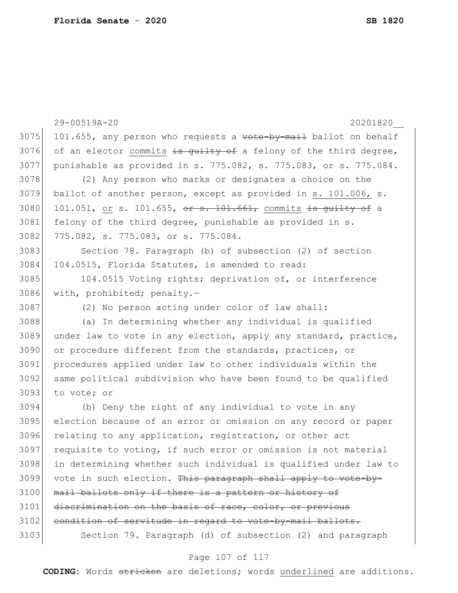29-00519A-20 20201820\_\_ 3075 101.655, any person who requests a  $v$ ote-by-mail ballot on behalf 3076 of an elector commits is quilty of a felony of the third degree, 3077 punishable as provided in s. 775.082, s. 775.083, or s. 775.084. 3078 (2) Any person who marks or designates a choice on the 3079 ballot of another person, except as provided in s. 101.006, s. 3080 101.051, or s. 101.655, or s. 101.661, commits is guilty of a 3081 felony of the third degree, punishable as provided in s. 3082 775.082, s. 775.083, or s. 775.084. 3083 Section 78. Paragraph (b) of subsection (2) of section 3084 104.0515, Florida Statutes, is amended to read: 3085 104.0515 Voting rights; deprivation of, or interference 3086 with, prohibited; penalty.— 3087 (2) No person acting under color of law shall: 3088 (a) In determining whether any individual is qualified 3089 under law to vote in any election, apply any standard, practice, 3090 or procedure different from the standards, practices, or 3091 procedures applied under law to other individuals within the 3092 same political subdivision who have been found to be qualified 3093 to vote; or 3094 (b) Deny the right of any individual to vote in any 3095 election because of an error or omission on any record or paper 3096 relating to any application, registration, or other act  $3097$  requisite to voting, if such error or omission is not material 3098 in determining whether such individual is qualified under law to 3099 vote in such election. This paragraph shall apply to vote-by-3100 mail ballots only if there is a pattern or history of 3101 discrimination on the basis of race, color, or previous 3102 condition of servitude in regard to vote-by-mail ballots. 3103 Section 79. Paragraph (d) of subsection (2) and paragraph

### Page 107 of 117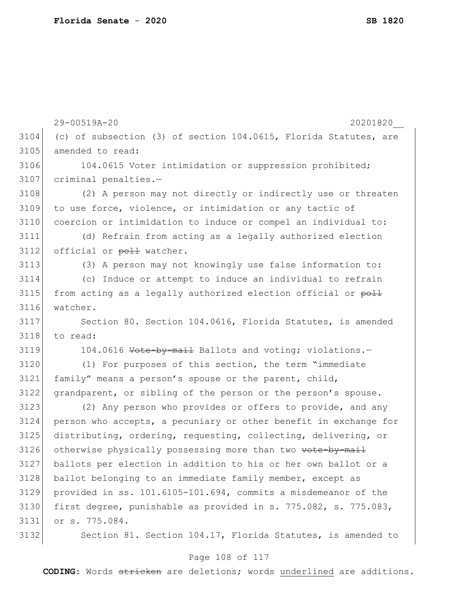29-00519A-20 20201820\_\_ 3104 (c) of subsection (3) of section 104.0615, Florida Statutes, are 3105 amended to read: 3106 104.0615 Voter intimidation or suppression prohibited; 3107 criminal penalties.-3108 (2) A person may not directly or indirectly use or threaten 3109 to use force, violence, or intimidation or any tactic of 3110 coercion or intimidation to induce or compel an individual to: 3111 (d) Refrain from acting as a legally authorized election 3112 official or poll watcher. 3113 (3) A person may not knowingly use false information to: 3114 (c) Induce or attempt to induce an individual to refrain  $3115$  from acting as a legally authorized election official or  $p_{\text{odd}}$ 3116 watcher. 3117 Section 80. Section 104.0616, Florida Statutes, is amended  $3118$  to read: 3119 104.0616 Vote-by-mail Ballots and voting; violations.-3120 (1) For purposes of this section, the term "immediate 3121 family" means a person's spouse or the parent, child, 3122 grandparent, or sibling of the person or the person's spouse. 3123 (2) Any person who provides or offers to provide, and any 3124 person who accepts, a pecuniary or other benefit in exchange for 3125 distributing, ordering, requesting, collecting, delivering, or 3126 otherwise physically possessing more than two vote-by-mail 3127 ballots per election in addition to his or her own ballot or a 3128 ballot belonging to an immediate family member, except as 3129 provided in ss. 101.6105-101.694, commits a misdemeanor of the 3130 first degree, punishable as provided in s. 775.082, s. 775.083, 3131 or s. 775.084. 3132 Section 81. Section 104.17, Florida Statutes, is amended to

### Page 108 of 117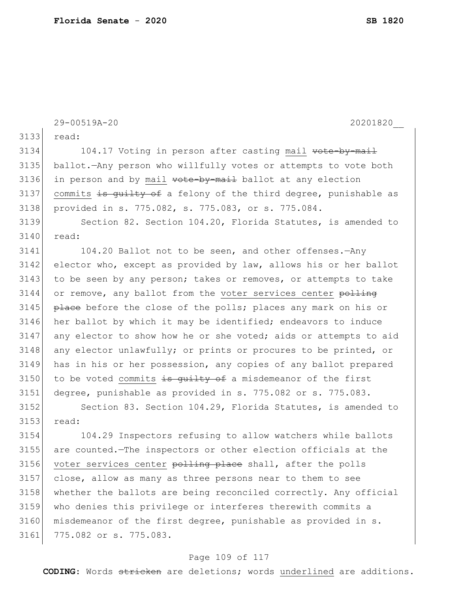|      | 20201820<br>29-00519A-20                                         |
|------|------------------------------------------------------------------|
| 3133 | read:                                                            |
| 3134 | 104.17 Voting in person after casting mail vote-by-mail          |
| 3135 | ballot. Any person who willfully votes or attempts to vote both  |
| 3136 | in person and by mail vote-by-mail ballot at any election        |
| 3137 | commits is quilty of a felony of the third degree, punishable as |
| 3138 | provided in s. 775.082, s. 775.083, or s. 775.084.               |
| 3139 | Section 82. Section 104.20, Florida Statutes, is amended to      |
| 3140 | read:                                                            |
| 3141 | 104.20 Ballot not to be seen, and other offenses. - Any          |
| 3142 | elector who, except as provided by law, allows his or her ballot |
| 3143 | to be seen by any person; takes or removes, or attempts to take  |
| 3144 | or remove, any ballot from the voter services center polling     |
| 3145 | place before the close of the polls; places any mark on his or   |
| 3146 | her ballot by which it may be identified; endeavors to induce    |
| 3147 | any elector to show how he or she voted; aids or attempts to aid |
| 3148 | any elector unlawfully; or prints or procures to be printed, or  |
| 3149 | has in his or her possession, any copies of any ballot prepared  |
| 3150 | to be voted commits is quilty of a misdemeanor of the first      |
| 3151 | degree, punishable as provided in s. 775.082 or s. 775.083.      |
| 3152 | Section 83. Section 104.29, Florida Statutes, is amended to      |
| 3153 | read:                                                            |
| 3154 | 104.29 Inspectors refusing to allow watchers while ballots       |
| 3155 | are counted. The inspectors or other election officials at the   |
| 3156 | voter services center polling place shall, after the polls       |
| 3157 | close, allow as many as three persons near to them to see        |
| 3158 | whether the ballots are being reconciled correctly. Any official |
| 3159 | who denies this privilege or interferes therewith commits a      |
| 3160 | misdemeanor of the first degree, punishable as provided in s.    |
| 3161 | 775.082 or s. 775.083.                                           |
|      |                                                                  |

# Page 109 of 117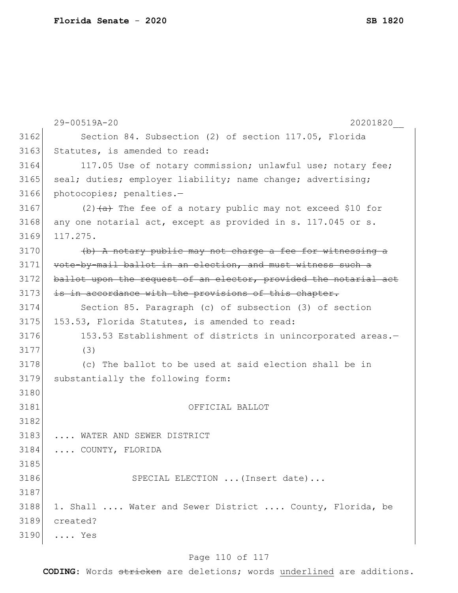|      | 29-00519A-20<br>20201820                                         |
|------|------------------------------------------------------------------|
| 3162 | Section 84. Subsection (2) of section 117.05, Florida            |
| 3163 | Statutes, is amended to read:                                    |
| 3164 | 117.05 Use of notary commission; unlawful use; notary fee;       |
| 3165 | seal; duties; employer liability; name change; advertising;      |
| 3166 | photocopies; penalties.-                                         |
| 3167 | $(2)$ $(a)$ The fee of a notary public may not exceed \$10 for   |
| 3168 | any one notarial act, except as provided in s. 117.045 or s.     |
| 3169 | 117.275.                                                         |
| 3170 | (b) A notary public may not charge a fee for witnessing a        |
| 3171 | vote-by-mail ballot in an election, and must witness such a      |
| 3172 | ballot upon the request of an elector, provided the notarial act |
| 3173 | is in accordance with the provisions of this chapter.            |
| 3174 | Section 85. Paragraph (c) of subsection (3) of section           |
| 3175 | 153.53, Florida Statutes, is amended to read:                    |
| 3176 | 153.53 Establishment of districts in unincorporated areas.-      |
| 3177 | (3)                                                              |
| 3178 | (c) The ballot to be used at said election shall be in           |
| 3179 | substantially the following form:                                |
| 3180 |                                                                  |
| 3181 | OFFICIAL BALLOT                                                  |
| 3182 |                                                                  |
| 3183 | WATER AND SEWER DISTRICT                                         |
| 3184 | COUNTY, FLORIDA                                                  |
| 3185 |                                                                  |
| 3186 | SPECIAL ELECTION  (Insert date)                                  |
| 3187 |                                                                  |
| 3188 | 1. Shall  Water and Sewer District  County, Florida, be          |
| 3189 | created?                                                         |
| 3190 | $\ldots$ Yes                                                     |

# Page 110 of 117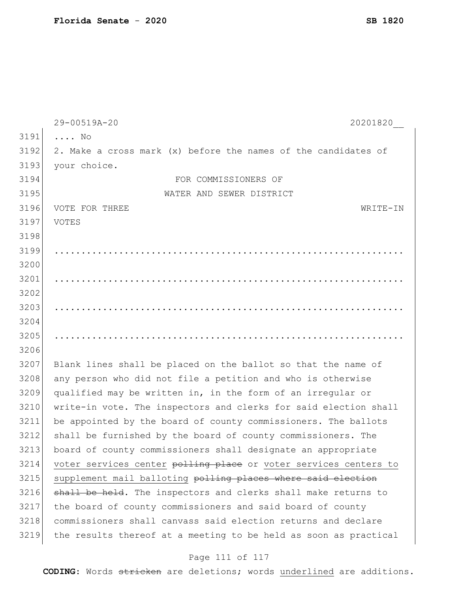|      | 29-00519A-20<br>20201820                                         |
|------|------------------------------------------------------------------|
| 3191 | $\ldots$ No                                                      |
| 3192 | 2. Make a cross mark (x) before the names of the candidates of   |
| 3193 | your choice.                                                     |
| 3194 | FOR COMMISSIONERS OF                                             |
| 3195 | WATER AND SEWER DISTRICT                                         |
| 3196 | VOTE FOR THREE<br>WRITE-IN                                       |
| 3197 | VOTES                                                            |
| 3198 |                                                                  |
| 3199 |                                                                  |
| 3200 |                                                                  |
| 3201 |                                                                  |
| 3202 |                                                                  |
| 3203 |                                                                  |
| 3204 |                                                                  |
| 3205 |                                                                  |
| 3206 |                                                                  |
| 3207 | Blank lines shall be placed on the ballot so that the name of    |
| 3208 | any person who did not file a petition and who is otherwise      |
| 3209 | qualified may be written in, in the form of an irregular or      |
| 3210 | write-in vote. The inspectors and clerks for said election shall |
| 3211 | be appointed by the board of county commissioners. The ballots   |
| 3212 | shall be furnished by the board of county commissioners. The     |
| 3213 | board of county commissioners shall designate an appropriate     |
| 3214 | voter services center polling place or voter services centers to |
| 3215 | supplement mail balloting polling places where said election     |
| 3216 | shall be held. The inspectors and clerks shall make returns to   |
| 3217 | the board of county commissioners and said board of county       |
| 3218 | commissioners shall canvass said election returns and declare    |
| 3219 | the results thereof at a meeting to be held as soon as practical |

# Page 111 of 117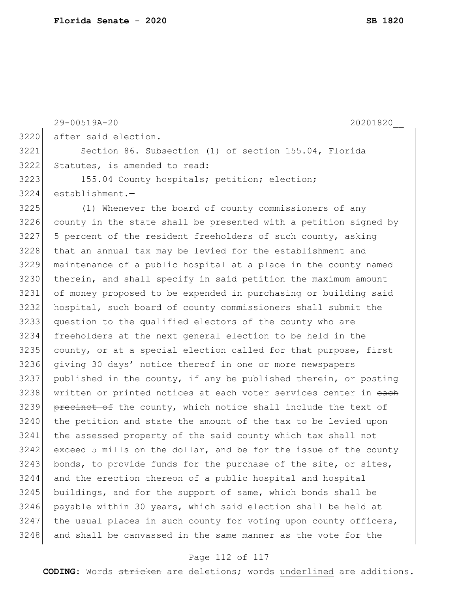| 29-00519A-20<br>20201820                                         |
|------------------------------------------------------------------|
| after said election.                                             |
| Section 86. Subsection (1) of section 155.04, Florida            |
| Statutes, is amended to read:                                    |
| 155.04 County hospitals; petition; election;                     |
| $establishment.$ -                                               |
| (1) Whenever the board of county commissioners of any            |
| county in the state shall be presented with a petition signed by |
| 5 percent of the resident freeholders of such county, asking     |
| that an annual tax may be levied for the establishment and       |
| maintenance of a public hospital at a place in the county named  |
| therein, and shall specify in said petition the maximum amount   |
| of money proposed to be expended in purchasing or building said  |
| hospital, such board of county commissioners shall submit the    |
| question to the qualified electors of the county who are         |
| freeholders at the next general election to be held in the       |
| county, or at a special election called for that purpose, first  |
| giving 30 days' notice thereof in one or more newspapers         |
| published in the county, if any be published therein, or posting |
| written or printed notices at each voter services center in each |
| precinct of the county, which notice shall include the text of   |
| the petition and state the amount of the tax to be levied upon   |
| the assessed property of the said county which tax shall not     |
| exceed 5 mills on the dollar, and be for the issue of the county |
| bonds, to provide funds for the purchase of the site, or sites,  |
| and the erection thereon of a public hospital and hospital       |
| buildings, and for the support of same, which bonds shall be     |
| payable within 30 years, which said election shall be held at    |
| the usual places in such county for voting upon county officers, |
| and shall be canvassed in the same manner as the vote for the    |
|                                                                  |

# Page 112 of 117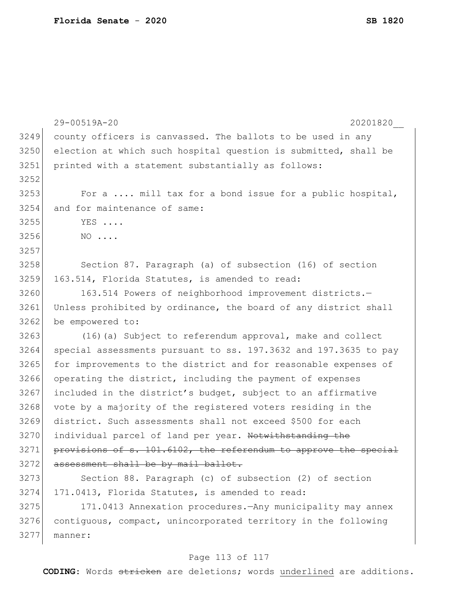|      | 29-00519A-20<br>20201820                                         |
|------|------------------------------------------------------------------|
| 3249 | county officers is canvassed. The ballots to be used in any      |
| 3250 | election at which such hospital question is submitted, shall be  |
| 3251 | printed with a statement substantially as follows:               |
| 3252 |                                                                  |
| 3253 | For a  mill tax for a bond issue for a public hospital,          |
| 3254 | and for maintenance of same:                                     |
| 3255 | YES                                                              |
| 3256 | $NO \ldots$                                                      |
| 3257 |                                                                  |
| 3258 | Section 87. Paragraph (a) of subsection (16) of section          |
| 3259 | 163.514, Florida Statutes, is amended to read:                   |
| 3260 | 163.514 Powers of neighborhood improvement districts.-           |
| 3261 | Unless prohibited by ordinance, the board of any district shall  |
| 3262 | be empowered to:                                                 |
| 3263 | (16) (a) Subject to referendum approval, make and collect        |
| 3264 | special assessments pursuant to ss. 197.3632 and 197.3635 to pay |
| 3265 | for improvements to the district and for reasonable expenses of  |
| 3266 | operating the district, including the payment of expenses        |
| 3267 | included in the district's budget, subject to an affirmative     |
| 3268 | vote by a majority of the registered voters residing in the      |
| 3269 | district. Such assessments shall not exceed \$500 for each       |
| 3270 | individual parcel of land per year. Notwithstanding the          |
| 3271 | provisions of s. 101.6102, the referendum to approve the special |
| 3272 | assessment shall be by mail ballot.                              |
| 3273 | Section 88. Paragraph (c) of subsection (2) of section           |
| 3274 | 171.0413, Florida Statutes, is amended to read:                  |
| 3275 | 171.0413 Annexation procedures. - Any municipality may annex     |
| 3276 | contiguous, compact, unincorporated territory in the following   |
| 3277 | manner:                                                          |
|      |                                                                  |

# Page 113 of 117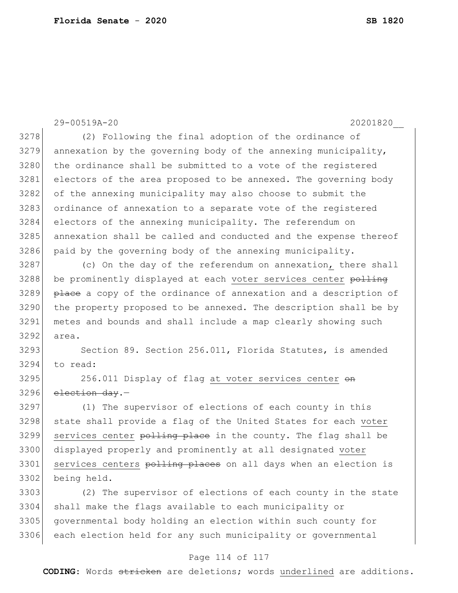29-00519A-20 20201820\_\_ 3278 (2) Following the final adoption of the ordinance of  $3279$  annexation by the governing body of the annexing municipality, 3280 the ordinance shall be submitted to a vote of the registered 3281 electors of the area proposed to be annexed. The governing body 3282 of the annexing municipality may also choose to submit the 3283 ordinance of annexation to a separate vote of the registered 3284 electors of the annexing municipality. The referendum on 3285 annexation shall be called and conducted and the expense thereof 3286 paid by the governing body of the annexing municipality. 3287 (c) On the day of the referendum on annexation, there shall 3288 be prominently displayed at each voter services center polling 3289 place a copy of the ordinance of annexation and a description of 3290 the property proposed to be annexed. The description shall be by 3291 metes and bounds and shall include a map clearly showing such 3292 area. 3293 Section 89. Section 256.011, Florida Statutes, is amended 3294 to read: 3295 256.011 Display of flag at voter services center on  $3296$  election day.-3297 (1) The supervisor of elections of each county in this 3298 state shall provide a flag of the United States for each voter 3299 services center polling place in the county. The flag shall be 3300 displayed properly and prominently at all designated voter 3301 services centers polling places on all days when an election is 3302 being held. 3303 (2) The supervisor of elections of each county in the state 3304 shall make the flags available to each municipality or

3305 governmental body holding an election within such county for 3306 each election held for any such municipality or governmental

### Page 114 of 117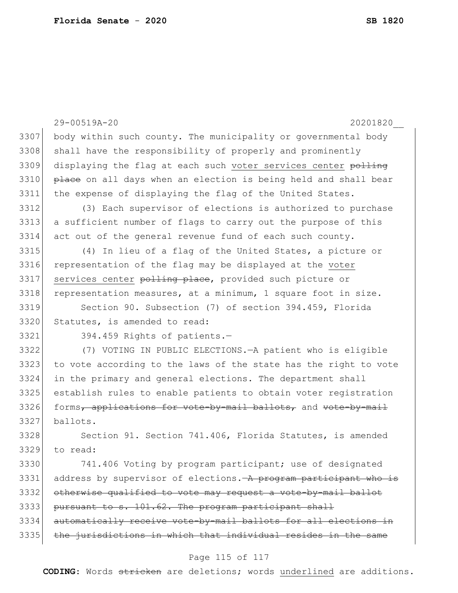|      | 29-00519A-20<br>20201820                                         |
|------|------------------------------------------------------------------|
| 3307 | body within such county. The municipality or governmental body   |
| 3308 | shall have the responsibility of properly and prominently        |
| 3309 |                                                                  |
|      | displaying the flag at each such voter services center polling   |
| 3310 | place on all days when an election is being held and shall bear  |
| 3311 | the expense of displaying the flag of the United States.         |
| 3312 | (3) Each supervisor of elections is authorized to purchase       |
| 3313 | a sufficient number of flags to carry out the purpose of this    |
| 3314 | act out of the general revenue fund of each such county.         |
| 3315 | (4) In lieu of a flag of the United States, a picture or         |
| 3316 | representation of the flag may be displayed at the voter         |
| 3317 | services center polling place, provided such picture or          |
| 3318 | representation measures, at a minimum, 1 square foot in size.    |
| 3319 | Section 90. Subsection (7) of section 394.459, Florida           |
| 3320 | Statutes, is amended to read:                                    |
| 3321 | 394.459 Rights of patients.-                                     |
| 3322 | (7) VOTING IN PUBLIC ELECTIONS. - A patient who is eligible      |
| 3323 | to vote according to the laws of the state has the right to vote |
| 3324 | in the primary and general elections. The department shall       |
| 3325 | establish rules to enable patients to obtain voter registration  |
| 3326 | forms, applications for vote-by-mail ballots, and vote-by-mail   |
| 3327 | ballots.                                                         |
| 3328 | Section 91. Section 741.406, Florida Statutes, is amended        |
| 3329 | to read:                                                         |
| 3330 | 741.406 Voting by program participant; use of designated         |
| 3331 | address by supervisor of elections. A program participant who is |
| 3332 | otherwise qualified to vote may request a vote-by-mail ballot    |
| 3333 | pursuant to s. 101.62. The program participant shall             |
| 3334 | automatically receive vote-by-mail ballots for all elections in  |
| 3335 | the jurisdictions in which that individual resides in the same   |
|      | Page 115 of 117                                                  |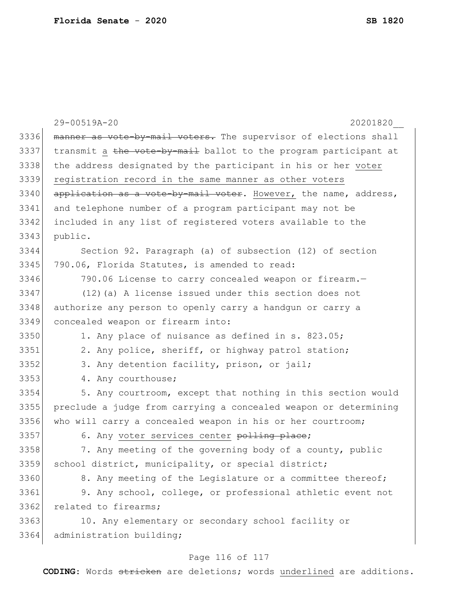|      | 29-00519A-20<br>20201820                                         |
|------|------------------------------------------------------------------|
| 3336 | manner as vote-by-mail voters. The supervisor of elections shall |
| 3337 | transmit a the vote-by-mail ballot to the program participant at |
| 3338 | the address designated by the participant in his or her voter    |
| 3339 | registration record in the same manner as other voters           |
| 3340 | application as a vote-by-mail voter. However, the name, address, |
| 3341 | and telephone number of a program participant may not be         |
| 3342 | included in any list of registered voters available to the       |
| 3343 | public.                                                          |
| 3344 | Section 92. Paragraph (a) of subsection (12) of section          |
| 3345 | 790.06, Florida Statutes, is amended to read:                    |
| 3346 | 790.06 License to carry concealed weapon or firearm.-            |
| 3347 | (12) (a) A license issued under this section does not            |
| 3348 | authorize any person to openly carry a handgun or carry a        |
| 3349 | concealed weapon or firearm into:                                |
| 3350 | 1. Any place of nuisance as defined in s. 823.05;                |
| 3351 | 2. Any police, sheriff, or highway patrol station;               |
| 3352 | 3. Any detention facility, prison, or jail;                      |
| 3353 | 4. Any courthouse;                                               |
| 3354 | 5. Any courtroom, except that nothing in this section would      |
| 3355 | preclude a judge from carrying a concealed weapon or determining |
| 3356 | who will carry a concealed weapon in his or her courtroom;       |
| 3357 | 6. Any voter services center polling place;                      |
| 3358 | 7. Any meeting of the governing body of a county, public         |
| 3359 | school district, municipality, or special district;              |
| 3360 | 8. Any meeting of the Legislature or a committee thereof;        |
| 3361 | 9. Any school, college, or professional athletic event not       |
| 3362 | related to firearms;                                             |
| 3363 | 10. Any elementary or secondary school facility or               |
| 3364 | administration building;                                         |

# Page 116 of 117